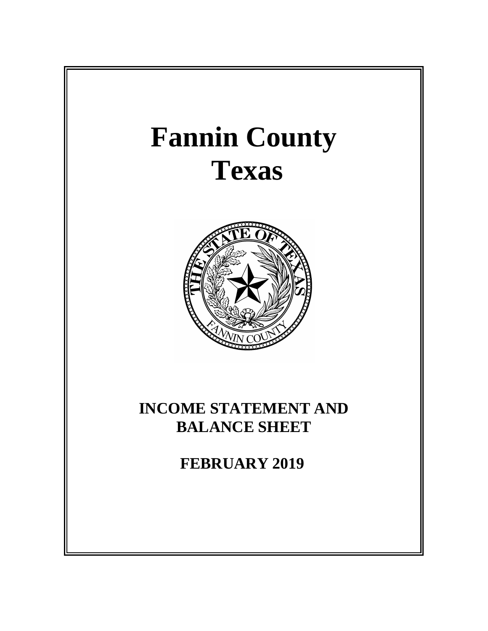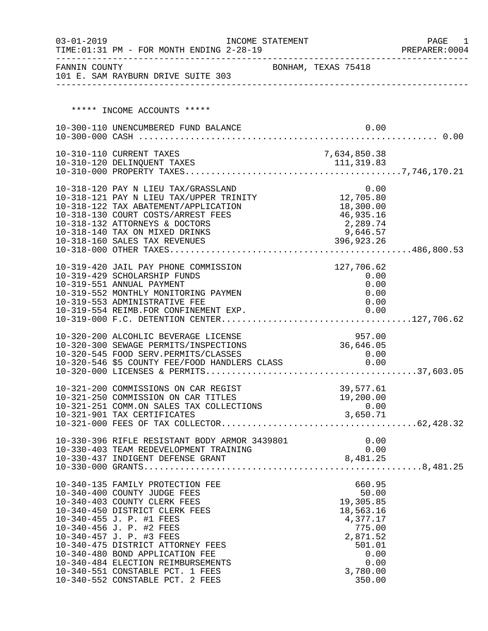| $03 - 01 - 2019$ | INCOME STATEMENT<br>TIME: 01:31 PM - FOR MONTH ENDING 2-28-19                                 |                     |                  |                      |              | PAGE<br>- 1<br>PREPARER: 0004 |
|------------------|-----------------------------------------------------------------------------------------------|---------------------|------------------|----------------------|--------------|-------------------------------|
|                  | FANNIN COUNTY<br>101 E. SAM RAYBURN DRIVE SUITE 303                                           | BONHAM, TEXAS 75418 |                  |                      |              |                               |
|                  |                                                                                               |                     |                  |                      |              |                               |
|                  | ***** INCOME ACCOUNTS *****                                                                   |                     |                  |                      |              |                               |
|                  | 10-300-110 UNENCUMBERED FUND BALANCE                                                          |                     |                  |                      | 0.00         |                               |
|                  |                                                                                               |                     |                  |                      |              |                               |
|                  | 10-310-110 CURRENT TAXES                                                                      |                     |                  | 7,634,850.38         |              |                               |
|                  |                                                                                               |                     |                  |                      |              |                               |
|                  |                                                                                               |                     |                  |                      |              |                               |
|                  | 10-318-120 PAY N LIEU TAX/GRASSLAND 0.00<br>10-318-121 PAY N LIEU TAX/UPPER TRINITY 12,705.80 |                     |                  |                      |              |                               |
|                  | 10-318-122 TAX ABATEMENT/APPLICATION                                                          |                     |                  | 18,300.00            |              |                               |
|                  | 10-318-130 COURT COSTS/ARREST FEES                                                            |                     |                  | 46,935.16            |              |                               |
|                  | 10-318-132 ATTORNEYS & DOCTORS                                                                |                     |                  | 2,289.74<br>9,646.57 |              |                               |
|                  | 10-318-140 TAX ON MIXED DRINKS                                                                |                     |                  |                      |              |                               |
|                  | 10-318-160 SALES TAX REVENUES                                                                 |                     | 396,923.26       |                      |              |                               |
|                  |                                                                                               |                     |                  |                      |              |                               |
|                  | 10-319-420 JAIL PAY PHONE COMMISSION                                                          |                     |                  | 127,706.62           |              |                               |
|                  | 10-319-429 SCHOLARSHIP FUNDS                                                                  |                     |                  | 0.00                 |              |                               |
|                  | 10-319-551 ANNUAL PAYMENT<br>10-319-552 MONTHLY MONITORING PAYMEN                             |                     |                  |                      | 0.00<br>0.00 |                               |
|                  | 10-319-553 ADMINISTRATIVE FEE                                                                 |                     |                  |                      | 0.00         |                               |
|                  |                                                                                               |                     |                  |                      |              |                               |
|                  |                                                                                               |                     |                  |                      |              |                               |
|                  | 10-320-200 ALCOHLIC BEVERAGE LICENSE                                                          |                     |                  | 957.00               |              |                               |
|                  | 10-320-300 SEWAGE PERMITS/INSPECTIONS                                                         |                     | 36,646.05        |                      |              |                               |
|                  | 10-320-545 FOOD SERV.PERMITS/CLASSES<br>10-320-546 \$5 COUNTY FEE/FOOD HANDLERS CLASS         |                     |                  | 0.00                 |              |                               |
|                  |                                                                                               |                     |                  | 0.00                 |              |                               |
|                  |                                                                                               |                     |                  |                      |              |                               |
|                  | 10-321-200 COMMISSIONS ON CAR REGIST                                                          |                     |                  | 39,577.61            |              |                               |
|                  | 10-321-250 COMMISSION ON CAR TITLES                                                           |                     |                  | 19,200.00            |              |                               |
|                  | 10-321-251 COMM.ON SALES TAX COLLECTIONS<br>10-321-901 TAX CERTIFICATES                       |                     | 0.00<br>3,650.71 |                      | 0.00         |                               |
|                  |                                                                                               |                     |                  |                      |              |                               |
|                  |                                                                                               |                     |                  |                      |              |                               |
|                  | 10-330-396 RIFLE RESISTANT BODY ARMOR 3439801<br>10-330-403 TEAM REDEVELOPMENT TRAINING       |                     |                  |                      | 0.00<br>0.00 |                               |
|                  |                                                                                               |                     |                  | 8,481.25             |              |                               |
|                  |                                                                                               |                     |                  |                      |              |                               |
|                  | 10-340-135 FAMILY PROTECTION FEE                                                              |                     |                  | 660.95               |              |                               |
|                  | 10-340-400 COUNTY JUDGE FEES                                                                  |                     |                  | 50.00                |              |                               |
|                  | 10-340-403 COUNTY CLERK FEES                                                                  |                     |                  | 19,305.85            |              |                               |
|                  | 10-340-450 DISTRICT CLERK FEES                                                                |                     |                  | 18,563.16            |              |                               |
|                  | 10-340-455 J. P. #1 FEES                                                                      |                     |                  | 4,377.17             |              |                               |
|                  | 10-340-456 J. P. #2 FEES<br>10-340-457 J. P. #3 FEES                                          |                     |                  | 775.00<br>2,871.52   |              |                               |
|                  | 10-340-475 DISTRICT ATTORNEY FEES                                                             |                     |                  | 501.01               |              |                               |
|                  | 10-340-480 BOND APPLICATION FEE                                                               |                     |                  |                      | 0.00         |                               |
|                  | 10-340-484 ELECTION REIMBURSEMENTS                                                            |                     |                  |                      | 0.00         |                               |
|                  | 10-340-551 CONSTABLE PCT. 1 FEES<br>10-340-552 CONSTABLE PCT. 2 FEES                          |                     |                  | 3,780.00<br>350.00   |              |                               |
|                  |                                                                                               |                     |                  |                      |              |                               |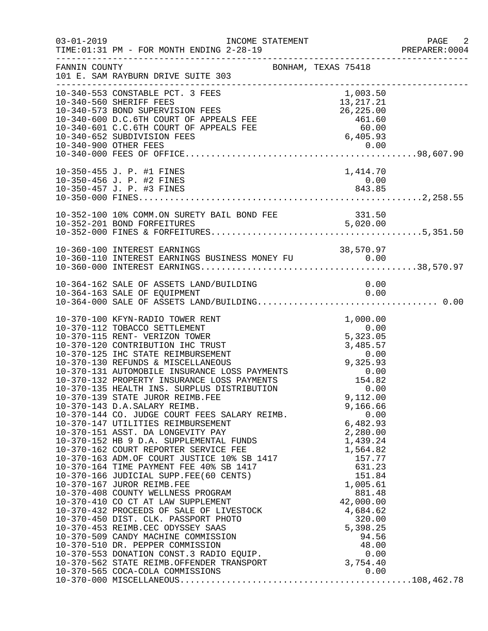| $03 - 01 - 2019$ | INCOME STATEMENT<br>TIME: 01:31 PM - FOR MONTH ENDING 2-28-19<br>________________                                                                                                                                                                                                                                                                                                                                                                                                                                                                                                                                                                                                                                                                                                                                                                                                                                |                                                                                                                                                               | PAGE 2<br>PREPARER:0004 |
|------------------|------------------------------------------------------------------------------------------------------------------------------------------------------------------------------------------------------------------------------------------------------------------------------------------------------------------------------------------------------------------------------------------------------------------------------------------------------------------------------------------------------------------------------------------------------------------------------------------------------------------------------------------------------------------------------------------------------------------------------------------------------------------------------------------------------------------------------------------------------------------------------------------------------------------|---------------------------------------------------------------------------------------------------------------------------------------------------------------|-------------------------|
| FANNIN COUNTY    | BONHAM, TEXAS 75418<br>101 E. SAM RAYBURN DRIVE SUITE 303                                                                                                                                                                                                                                                                                                                                                                                                                                                                                                                                                                                                                                                                                                                                                                                                                                                        |                                                                                                                                                               |                         |
|                  | 10-340-553 CONSTABLE PCT. 3 FEES<br>10-340-560 SHERIFF FEES<br>10-340-560 SHERIFF FEES<br>10-340-573 BOND SUPERVISION FEES<br>10-340-600 D.C.6TH COURT OF APPEALS FEE<br>10-340-601 C.C.6TH COURT OF APPEALS FEE<br>10-340-601 C.C.6TH COURT OF APPEALS FEE<br>10-340-900 OTHER FEES<br>10-340-900 OTHER                                                                                                                                                                                                                                                                                                                                                                                                                                                                                                                                                                                                         | 1,003.50<br>13,217.21                                                                                                                                         |                         |
|                  | 10-350-455 J. P. #1 FINES<br>10-350-456 J. P. #2 FINES<br>10-350-457 J. P. #3 FINES                                                                                                                                                                                                                                                                                                                                                                                                                                                                                                                                                                                                                                                                                                                                                                                                                              | 1,414.70<br>$0.00$<br>843.85                                                                                                                                  |                         |
|                  |                                                                                                                                                                                                                                                                                                                                                                                                                                                                                                                                                                                                                                                                                                                                                                                                                                                                                                                  |                                                                                                                                                               |                         |
|                  | 10-360-100 INTEREST EARNINGS                                                                                                                                                                                                                                                                                                                                                                                                                                                                                                                                                                                                                                                                                                                                                                                                                                                                                     | 38,570.97                                                                                                                                                     |                         |
|                  |                                                                                                                                                                                                                                                                                                                                                                                                                                                                                                                                                                                                                                                                                                                                                                                                                                                                                                                  |                                                                                                                                                               |                         |
|                  | 10-370-139 STATE JUROR REIMB.FEE<br>10-370-143 D.A.SALARY REIMB.<br>10-370-144 CO. JUDGE COURT FEES SALARY REIMB.<br>10-370-147 UTILITIES REIMBURSEMENT 6,482.93<br>10-370-151 ASST. DA LONGEVITY PAY 2,280.00<br>10-370-152 HB 9 D.A. SUPPLEMENTAL FUNDS 1,439.24<br>10-370-162 COURT REPORTER SERVICE FE<br>10-370-151 ASST. DA LONGLY--<br>10-370-152 HB 9 D.A. SUPPLEMENTAL FUNDS<br>10-370-162 COURT REPORTER SERVICE FEE<br>10-370-163 ADM.OF COURT JUSTICE 10% SB 1417<br>10-370-164 TIME PAYMENT FEE 40% SB 1417<br>10-370-167 JUROR REIMB.FEE<br>10-370-167 JUROR REIMB.FEE<br>10-370-408 COUNTY WELLNESS PROGRAM<br>10-370-410 CO CT AT LAW SUPPLEMENT<br>10-370-432 PROCEEDS OF SALE OF LIVESTOCK<br>10-370-450 DIST. CLK. PASSPORT PHOTO<br>10-370-453 REIMB.CEC ODYSSEY SAAS<br>10-370-509 CANDY MACHINE COMMISSION<br>10-370-510 DR. PEPPER COMMISSION<br>10-370-553 DONATION CONST.3 RADIO EQUIP. | 9,112.00<br>9,166.66<br>1,564.82<br>157.77<br>631.23<br>151.84<br>1,005.61<br>881.48<br>42,000.00<br>4,684.62<br>320.00<br>5,398.25<br>94.56<br>48.00<br>0.00 |                         |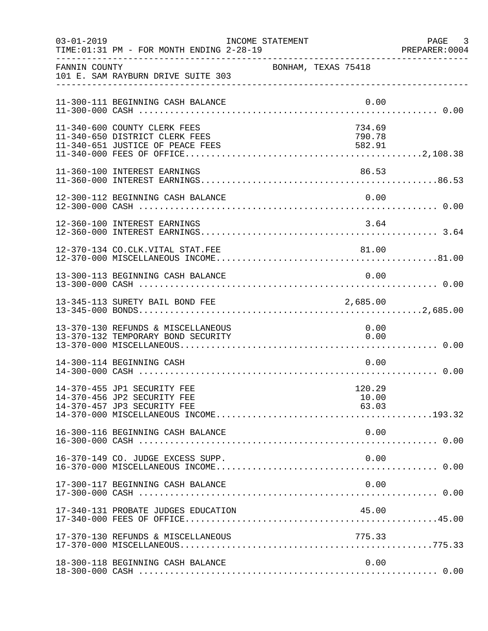| $03 - 01 - 2019$ | TIME: 01:31 PM - FOR MONTH ENDING 2-28-19                                                          | INCOME STATEMENT |                     |                            |      | PAGE 3<br>PREPARER:0004 |
|------------------|----------------------------------------------------------------------------------------------------|------------------|---------------------|----------------------------|------|-------------------------|
| FANNIN COUNTY    | 101 E. SAM RAYBURN DRIVE SUITE 303                                                                 |                  | BONHAM, TEXAS 75418 |                            |      |                         |
|                  | 11-300-111 BEGINNING CASH BALANCE                                                                  |                  |                     | 0.00                       |      |                         |
|                  | 11-340-600 COUNTY CLERK FEES<br>11-340-650 DISTRICT CLERK FEES<br>11-340-651 JUSTICE OF PEACE FEES |                  |                     | 734.69<br>790.78<br>582.91 |      |                         |
|                  | 11-360-100 INTEREST EARNINGS                                                                       |                  |                     | 86.53                      |      |                         |
|                  | 12-300-112 BEGINNING CASH BALANCE                                                                  |                  |                     |                            |      |                         |
|                  | 12-360-100 INTEREST EARNINGS                                                                       |                  |                     | 3.64                       |      |                         |
|                  | 12-370-134 CO.CLK.VITAL STAT.FEE                                                                   |                  |                     | 81.00                      |      |                         |
|                  | 13-300-113 BEGINNING CASH BALANCE                                                                  |                  |                     | 0.00                       |      |                         |
|                  | 13-345-113 SURETY BAIL BOND FEE                                                                    |                  |                     | 2,685.00                   |      |                         |
|                  | 13-370-130 REFUNDS & MISCELLANEOUS<br>13-370-132 TEMPORARY BOND SECURITY                           |                  |                     | 0.00<br>0.00               |      |                         |
|                  | 14-300-114 BEGINNING CASH                                                                          |                  |                     | 0.00                       |      |                         |
|                  | 14-370-455 JP1 SECURITY FEE<br>14-370-456 JP2 SECURITY FEE<br>14-370-457 JP3 SECURITY FEE          |                  |                     | 120.29<br>10.00<br>63.03   |      |                         |
|                  | 16-300-116 BEGINNING CASH BALANCE                                                                  |                  |                     |                            | 0.00 |                         |
|                  | 16-370-149 CO. JUDGE EXCESS SUPP.                                                                  |                  |                     |                            | 0.00 |                         |
|                  | 17-300-117 BEGINNING CASH BALANCE                                                                  |                  |                     |                            | 0.00 |                         |
|                  | 17-340-131 PROBATE JUDGES EDUCATION                                                                |                  |                     | 45.00                      |      |                         |
|                  | 17-370-130 REFUNDS & MISCELLANEOUS                                                                 |                  |                     | 775.33                     |      |                         |
|                  | 18-300-118 BEGINNING CASH BALANCE                                                                  |                  |                     |                            | 0.00 |                         |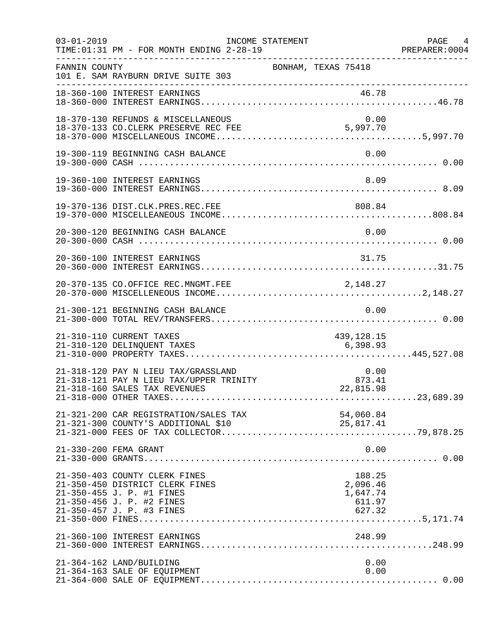| $03 - 01 - 2019$ | TIME: 01:31 PM - FOR MONTH ENDING 2-28-19                                                                                                               | INCOME STATEMENT                                                  | PAGE 4<br>PREPARER: 0004 |
|------------------|---------------------------------------------------------------------------------------------------------------------------------------------------------|-------------------------------------------------------------------|--------------------------|
| FANNIN COUNTY    | 101 E. SAM RAYBURN DRIVE SUITE 303                                                                                                                      | BONHAM, TEXAS 75418                                               |                          |
|                  | 18-360-100 INTEREST EARNINGS                                                                                                                            | 46.78                                                             |                          |
|                  | 18-370-130 REFUNDS & MISCELLANEOUS                                                                                                                      | 0.00                                                              |                          |
|                  | 19-300-119 BEGINNING CASH BALANCE                                                                                                                       | 0.00                                                              |                          |
|                  | 19-360-100 INTEREST EARNINGS                                                                                                                            | 8.09                                                              |                          |
|                  | 19-370-136 DIST.CLK.PRES.REC.FEE                                                                                                                        | 808.84                                                            |                          |
|                  | 20-300-120 BEGINNING CASH BALANCE                                                                                                                       | 0.00                                                              |                          |
|                  | 20-360-100 INTEREST EARNINGS                                                                                                                            | 31.75                                                             |                          |
|                  | 20-370-135 CO.OFFICE REC.MNGMT.FEE                                                                                                                      | 2, 148.27                                                         |                          |
|                  | 21-300-121 BEGINNING CASH BALANCE                                                                                                                       | 0.00                                                              |                          |
|                  | 21-310-110 CURRENT TAXES<br>21-310-120 DELINQUENT TAXES                                                                                                 | 439, 128. 15<br>6,398.93                                          |                          |
|                  | 21-318-120 PAY N LIEU TAX/GRASSLAND<br>21-318-121 PAY N LIEU TAX/UPPER TRINITY<br>21-318-160 SALES TAX REVENUES                                         | 0.00<br>$\begin{array}{c} 0.00 \ 873.41 \end{array}$<br>22,815.98 |                          |
|                  | 21-321-200 CAR REGISTRATION/SALES TAX<br>21-321-300 COUNTY'S ADDITIONAL \$10                                                                            | 54,060.84<br>25,817.41                                            |                          |
|                  | 21-330-200 FEMA GRANT                                                                                                                                   | 0.00                                                              |                          |
|                  | 21-350-403 COUNTY CLERK FINES<br>21-350-450 DISTRICT CLERK FINES<br>21-350-455 J. P. #1 FINES<br>21-350-456 J. P. #2 FINES<br>21-350-457 J. P. #3 FINES | 188.25<br>2,096.46<br>1,647.74<br>611.97<br>627.32                |                          |
|                  | 21-360-100 INTEREST EARNINGS                                                                                                                            | 248.99                                                            |                          |
|                  | 21-364-162 LAND/BUILDING<br>21-364-163 SALE OF EQUIPMENT                                                                                                | 0.00<br>0.00                                                      |                          |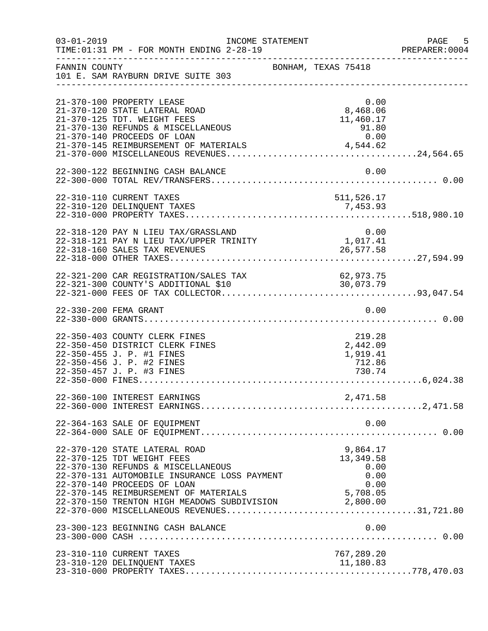| $03 - 01 - 2019$ | TIME: 01:31 PM - FOR MONTH ENDING 2-28-19                                                                                                                                                                                                                                                                                  | INCOME STATEMENT    |                                                              | $-5$<br>PAGE<br>PREPARER: 0004 |
|------------------|----------------------------------------------------------------------------------------------------------------------------------------------------------------------------------------------------------------------------------------------------------------------------------------------------------------------------|---------------------|--------------------------------------------------------------|--------------------------------|
| FANNIN COUNTY    | 101 E. SAM RAYBURN DRIVE SUITE 303                                                                                                                                                                                                                                                                                         | BONHAM, TEXAS 75418 |                                                              |                                |
|                  | 21-370-100 PROPERTY LEASE<br>21-370-120 STATE LATERAL ROAD<br>21-370-125 TDT. WEIGHT FEES<br>21-370-130 REFUNDS & MISCELLANEOUS<br>21-370-140 PROCEEDS OF LOAN<br>21-370-145 REIMBURSEMENT OF MATERIALS                                                                                                                    |                     | 0.00<br>8,468.06<br>11,460.17<br>$91.80$<br>0.00<br>4,544.62 |                                |
|                  | 22-300-122 BEGINNING CASH BALANCE                                                                                                                                                                                                                                                                                          |                     | 0.00                                                         |                                |
|                  | 22-310-110 CURRENT TAXES<br>22-310-120 DELINQUENT TAXES                                                                                                                                                                                                                                                                    |                     | 511,526.17<br>7,453.93                                       |                                |
|                  | 22-318-120 PAY N LIEU TAX/GRASSLAND<br>22-318-121 PAY N LIEU TAX/UPPER TRINITY                                                                                                                                                                                                                                             |                     | 0.00<br>1,017.41                                             |                                |
|                  |                                                                                                                                                                                                                                                                                                                            |                     |                                                              |                                |
|                  | 22-330-200 FEMA GRANT                                                                                                                                                                                                                                                                                                      |                     | 0.00                                                         |                                |
|                  | 22-350-403 COUNTY CLERK FINES<br>22-350-450 DISTRICT CLERK FINES<br>22-350-455 J. P. #1 FINES<br>22-350-456 J. P. #2 FINES<br>22-350-457 J. P. #3 FINES                                                                                                                                                                    |                     | 219.28<br>2,442.09<br>1,919.41<br>712.86<br>730.74           |                                |
|                  | 22-360-100 INTEREST EARNINGS                                                                                                                                                                                                                                                                                               |                     | 2,471.58                                                     |                                |
|                  | 22-364-163 SALE OF EQUIPMENT                                                                                                                                                                                                                                                                                               |                     | 0.00                                                         |                                |
|                  | 22-370-120 STATE LATERAL ROAD<br>22-370-125 TDT WEIGHT FEES<br>22-370-130 REFUNDS & MISCELLANEOUS<br>22-370-131 AUTOMOBILE INSURANCE LOSS PAYMENT<br>22-370-140 PROCEEDS OF LOAN<br>22-370-145 REIMBURSEMENT OF MATERIALS<br>22-370-145 REIMBURSEMENT OF MATERIALS<br>22-370-150 TRENTON HIGH MEADOWS SUBDIVISION 2.800.00 |                     | 9,864.17<br>13,349.58<br>0.00<br>0.00<br>0.00<br>5,708.05    |                                |
|                  | 23-300-123 BEGINNING CASH BALANCE                                                                                                                                                                                                                                                                                          |                     | 0.00                                                         |                                |
|                  | 23-310-110 CURRENT TAXES<br>23-310-120 DELINQUENT TAXES                                                                                                                                                                                                                                                                    |                     | 767,289.20<br>11,180.83                                      |                                |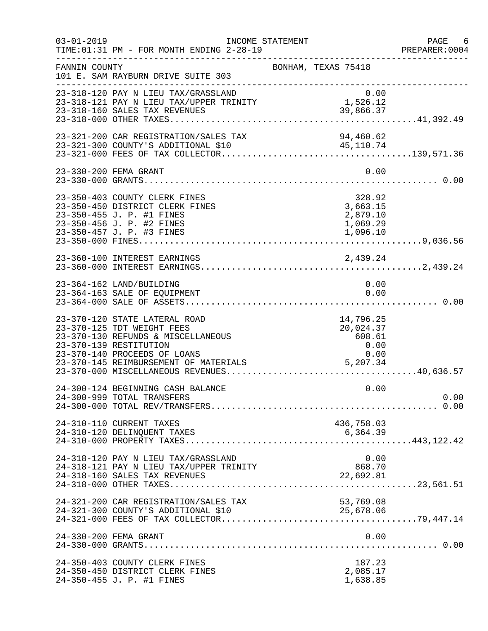| $03 - 01 - 2019$ | TIME: 01:31 PM - FOR MONTH ENDING 2-28-19                                                                                                                                                            | INCOME STATEMENT                                               | PAGE 6<br>PREPARER: 0004 |
|------------------|------------------------------------------------------------------------------------------------------------------------------------------------------------------------------------------------------|----------------------------------------------------------------|--------------------------|
| FANNIN COUNTY    | 101 E. SAM RAYBURN DRIVE SUITE 303                                                                                                                                                                   | BONHAM, TEXAS 75418                                            |                          |
|                  | 23-318-120 PAY N LIEU TAX/GRASSLAND<br>0.00<br>23-318-121 PAY N LIEU TAX/UPPER TRINITY 1,526.12<br>23-318-160 SALES TAX REVENUES<br>23-318-160 SALES TAX REVENUES                                    | 0.00<br>39,866.37                                              |                          |
|                  | 23-321-200 CAR REGISTRATION/SALES TAX                                                                                                                                                                | 94,460.62                                                      |                          |
|                  | 23-330-200 FEMA GRANT                                                                                                                                                                                | 0.00                                                           |                          |
|                  | 23-350-403 COUNTY CLERK FINES<br>23-350-450 DISTRICT CLERK FINES<br>23-350-455 J. P. #1 FINES<br>23-350-456 J. P. #2 FINES<br>23-350-457 J. P. #3 FINES                                              | 328.92<br>3,663.15<br>2,879.10<br>1,069.29<br>1,096.10         |                          |
|                  | 23-360-100 INTEREST EARNINGS                                                                                                                                                                         | 2,439.24                                                       |                          |
|                  | 23-364-162 LAND/BUILDING<br>23-364-163 SALE OF EQUIPMENT                                                                                                                                             | 0.00<br>0.00                                                   |                          |
|                  | 23-370-120 STATE LATERAL ROAD<br>23-370-125 TDT WEIGHT FEES<br>23-370-130 REFUNDS & MISCELLANEOUS<br>23-370-139 RESTITUTION<br>23-370-140 PROCEEDS OF LOANS<br>23-370-145 REIMBURSEMENT OF MATERIALS | 14,796.25<br>20,024.37<br>608.61<br>0.00<br>$0.00$<br>5,207.34 |                          |
|                  | 24-300-124 BEGINNING CASH BALANCE<br>24-300-999 TOTAL TRANSFERS                                                                                                                                      | 0.00                                                           | 0.00                     |
|                  | 24-310-110 CURRENT TAXES                                                                                                                                                                             | 436,758.03                                                     |                          |
|                  | 24-318-120 PAY N LIEU TAX/GRASSLAND<br>24-318-121 PAY N LIEU TAX/UPPER TRINITY                                                                                                                       | 0.00<br>868.70<br>22,692.81                                    |                          |
|                  | 24-321-200 CAR REGISTRATION/SALES TAX                                                                                                                                                                | 53,769.08<br>25,678.06                                         |                          |
|                  | 24-330-200 FEMA GRANT                                                                                                                                                                                | 0.00                                                           |                          |
|                  | 24-350-403 COUNTY CLERK FINES<br>24-350-450 DISTRICT CLERK FINES<br>24-350-455 J. P. #1 FINES                                                                                                        | 187.23<br>2,085.17<br>1,638.85                                 |                          |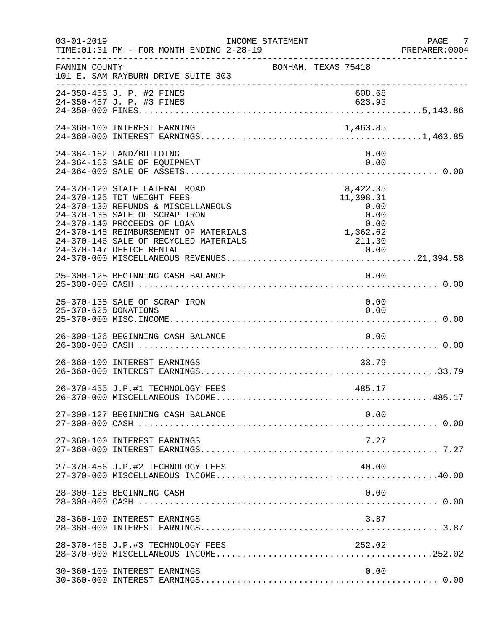| $03 - 01 - 2019$     | TIME: 01:31 PM - FOR MONTH ENDING 2-28-19<br>_____________________________________                                                                                                                                                                                              | INCOME STATEMENT                                                            | PAGE 7<br>PREPARER:0004 |
|----------------------|---------------------------------------------------------------------------------------------------------------------------------------------------------------------------------------------------------------------------------------------------------------------------------|-----------------------------------------------------------------------------|-------------------------|
| FANNIN COUNTY        | 101 E. SAM RAYBURN DRIVE SUITE 303                                                                                                                                                                                                                                              | BONHAM, TEXAS 75418                                                         |                         |
|                      | 24-350-456 J. P. #2 FINES                                                                                                                                                                                                                                                       | 608.68                                                                      |                         |
|                      | 24-360-100 INTEREST EARNING                                                                                                                                                                                                                                                     | 1,463.85                                                                    |                         |
|                      | 24-364-162 LAND/BUILDING<br>24-364-163 SALE OF EQUIPMENT                                                                                                                                                                                                                        | 0.00<br>0.00                                                                |                         |
|                      | 24-370-120 STATE LATERAL ROAD<br>24-370-125 TDT WEIGHT FEES<br>24-370-130 REFUNDS & MISCELLANEOUS<br>24-370-138 SALE OF SCRAP IRON<br>24-370-140 PROCEEDS OF LOAN<br>24-370-145 REIMBURSEMENT OF MATERIALS<br>24-370-146 SALE OF RECYCLED MATERIALS<br>24-370-147 OFFICE RENTAL | 8,422.35<br>11,398.31<br>0.00<br>0.00<br>0.00<br>0.00<br>1,362.62<br>211.30 |                         |
|                      | 25-300-125 BEGINNING CASH BALANCE                                                                                                                                                                                                                                               | 0.00                                                                        |                         |
| 25-370-625 DONATIONS | 25-370-138 SALE OF SCRAP IRON                                                                                                                                                                                                                                                   | 0.00<br>0.00                                                                |                         |
|                      | 26-300-126 BEGINNING CASH BALANCE                                                                                                                                                                                                                                               | 0.00                                                                        |                         |
|                      | 26-360-100 INTEREST EARNINGS                                                                                                                                                                                                                                                    | 33.79                                                                       |                         |
|                      | 26-370-455 J.P.#1 TECHNOLOGY FEES                                                                                                                                                                                                                                               | 485.17                                                                      |                         |
|                      | 27-300-127 BEGINNING CASH BALANCE                                                                                                                                                                                                                                               | 0.00                                                                        |                         |
|                      | 27-360-100 INTEREST EARNINGS                                                                                                                                                                                                                                                    | 7.27                                                                        |                         |
|                      | 27-370-456 J.P.#2 TECHNOLOGY FEES                                                                                                                                                                                                                                               | 40.00                                                                       |                         |
|                      | 28-300-128 BEGINNING CASH                                                                                                                                                                                                                                                       | 0.00                                                                        |                         |
|                      | 28-360-100 INTEREST EARNINGS                                                                                                                                                                                                                                                    | 3.87                                                                        |                         |
|                      | 28-370-456 J.P.#3 TECHNOLOGY FEES                                                                                                                                                                                                                                               | 252.02                                                                      |                         |
|                      | 30-360-100 INTEREST EARNINGS                                                                                                                                                                                                                                                    | 0.00                                                                        |                         |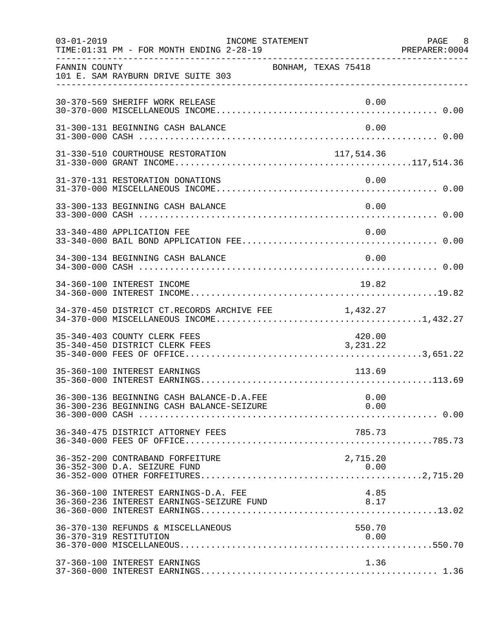| $03 - 01 - 2019$ | TIME: 01:31 PM - FOR MONTH ENDING 2-28-19                                              | INCOME STATEMENT    |                      | PAGE 8<br>PREPARER: 0004 |
|------------------|----------------------------------------------------------------------------------------|---------------------|----------------------|--------------------------|
| FANNIN COUNTY    | 101 E. SAM RAYBURN DRIVE SUITE 303                                                     | BONHAM, TEXAS 75418 |                      |                          |
|                  | 30-370-569 SHERIFF WORK RELEASE                                                        |                     | 0.00                 |                          |
|                  | 31-300-131 BEGINNING CASH BALANCE                                                      |                     | 0.00                 |                          |
|                  | 31-330-510 COURTHOUSE RESTORATION                                                      | 117,514.36          |                      |                          |
|                  | 31-370-131 RESTORATION DONATIONS                                                       |                     | 0.00                 |                          |
|                  | 33-300-133 BEGINNING CASH BALANCE                                                      |                     | 0.00                 |                          |
|                  | 33-340-480 APPLICATION FEE                                                             |                     | 0.00                 |                          |
|                  | 34-300-134 BEGINNING CASH BALANCE                                                      |                     | 0.00                 |                          |
|                  | 34-360-100 INTEREST INCOME                                                             |                     | 19.82                |                          |
|                  | 34-370-450 DISTRICT CT.RECORDS ARCHIVE FEE                                             |                     | 1,432.27             |                          |
|                  | 35-340-403 COUNTY CLERK FEES<br>35-340-450 DISTRICT CLERK FEES                         |                     | 420.00<br>3, 231. 22 |                          |
|                  | 35-360-100 INTEREST EARNINGS                                                           |                     | 113.69               |                          |
|                  | 36-300-136 BEGINNING CASH BALANCE-D.A.FEE<br>36-300-236 BEGINNING CASH BALANCE-SEIZURE |                     | 0.00<br>0.00         |                          |
|                  | 36-340-475 DISTRICT ATTORNEY FEES                                                      |                     | 785.73               |                          |
|                  | 36-352-200 CONTRABAND FORFEITURE<br>36-352-300 D.A. SEIZURE FUND                       |                     | 2,715.20<br>0.00     |                          |
|                  | 36-360-100 INTEREST EARNINGS-D.A. FEE                                                  |                     | 4.85                 |                          |
|                  | 36-370-130 REFUNDS & MISCELLANEOUS<br>36-370-319 RESTITUTION                           |                     | 550.70<br>0.00       |                          |
|                  | 37-360-100 INTEREST EARNINGS                                                           |                     | 1.36                 |                          |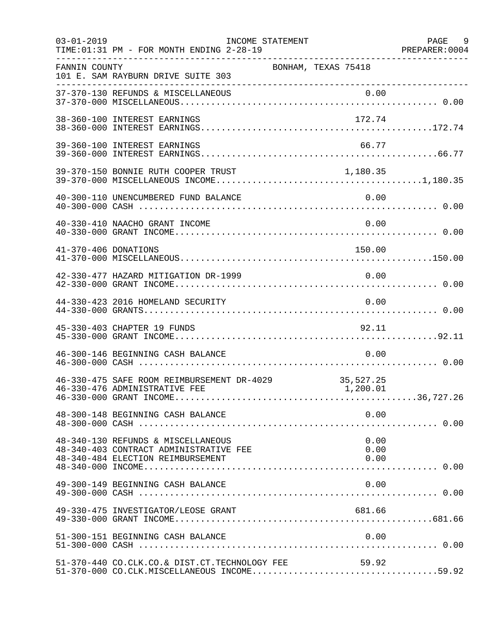| $03 - 01 - 2019$     | TIME: 01:31 PM - FOR MONTH ENDING 2-28-19                                                                         | INCOME STATEMENT    |                       | PAGE 9<br>PREPARER: 0004 |
|----------------------|-------------------------------------------------------------------------------------------------------------------|---------------------|-----------------------|--------------------------|
| FANNIN COUNTY        | 101 E. SAM RAYBURN DRIVE SUITE 303                                                                                | BONHAM, TEXAS 75418 |                       |                          |
|                      |                                                                                                                   |                     |                       |                          |
|                      | 38-360-100 INTEREST EARNINGS                                                                                      |                     | 172.74                |                          |
|                      | 39-360-100 INTEREST EARNINGS                                                                                      |                     | 66.77                 |                          |
|                      | 39-370-150 BONNIE RUTH COOPER TRUST                                                                               |                     | 1,180.35              |                          |
|                      | 40-300-110 UNENCUMBERED FUND BALANCE                                                                              |                     | 0.00                  |                          |
|                      | 40-330-410 NAACHO GRANT INCOME                                                                                    |                     | 0.00                  |                          |
| 41-370-406 DONATIONS |                                                                                                                   |                     | 150.00                |                          |
|                      | 42-330-477 HAZARD MITIGATION DR-1999                                                                              |                     | 0.00                  |                          |
|                      | 44-330-423 2016 HOMELAND SECURITY                                                                                 |                     | 0.00                  |                          |
|                      | 45-330-403 CHAPTER 19 FUNDS                                                                                       |                     | 92.11                 |                          |
|                      | 46-300-146 BEGINNING CASH BALANCE                                                                                 |                     | 0.00                  |                          |
|                      | 46-330-475 SAFE ROOM REIMBURSEMENT DR-4029<br>46-330-476 ADMINISTRATIVE FEE                                       |                     | 35,527.25<br>1,200.01 |                          |
|                      | 48-300-148 BEGINNING CASH BALANCE                                                                                 |                     | 0.00                  |                          |
|                      | 48-340-130 REFUNDS & MISCELLANEOUS<br>48-340-403 CONTRACT ADMINISTRATIVE FEE<br>48-340-484 ELECTION REIMBURSEMENT |                     | 0.00<br>0.00<br>0.00  |                          |
|                      | 49-300-149 BEGINNING CASH BALANCE                                                                                 |                     | 0.00                  |                          |
|                      | 49-330-475 INVESTIGATOR/LEOSE GRANT                                                                               |                     | 681.66                |                          |
|                      | 51-300-151 BEGINNING CASH BALANCE                                                                                 |                     | 0.00                  |                          |
|                      | 51-370-440 CO.CLK.CO.& DIST.CT.TECHNOLOGY FEE                                                                     |                     | 59.92                 |                          |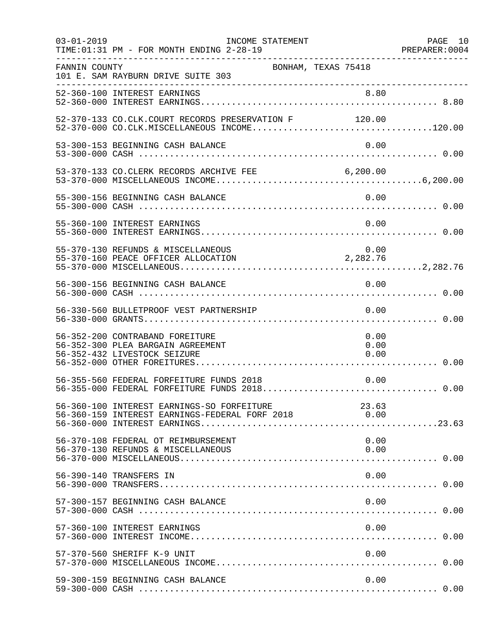| $03 - 01 - 2019$ | INCOME STATEMENT<br>TIME: 01:31 PM - FOR MONTH ENDING 2-28-19                                        |                            | PAGE 10 |
|------------------|------------------------------------------------------------------------------------------------------|----------------------------|---------|
| FANNIN COUNTY    | BONHAM, TEXAS 75418<br>101 E. SAM RAYBURN DRIVE SUITE 303                                            |                            |         |
|                  |                                                                                                      |                            |         |
|                  | 52-370-133 CO.CLK.COURT RECORDS PRESERVATION F 120.00                                                |                            |         |
|                  | 53-300-153 BEGINNING CASH BALANCE                                                                    | 0.00                       |         |
|                  | 53-370-133 CO.CLERK RECORDS ARCHIVE FEE 6,200.00                                                     |                            |         |
|                  | 55-300-156 BEGINNING CASH BALANCE                                                                    | 0.00                       |         |
|                  | 55-360-100 INTEREST EARNINGS                                                                         | 0.00                       |         |
|                  | 55-370-130 REFUNDS & MISCELLANEOUS<br>55-370-160 PEACE OFFICER ALLOCATION                            | 0.00<br>2,282.76           |         |
|                  | 56-300-156 BEGINNING CASH BALANCE                                                                    | 0.00                       |         |
|                  | 56-330-560 BULLETPROOF VEST PARTNERSHIP                                                              | 0.00                       |         |
|                  | 56-352-200 CONTRABAND FOREITURE<br>56-352-300 PLEA BARGAIN AGREEMENT<br>56-352-432 LIVESTOCK SEIZURE | 0.00<br>0.00<br>0.00       |         |
|                  | 56-355-560 FEDERAL FORFEITURE FUNDS 2018                                                             | 0.00                       |         |
|                  | 56-360-100 INTEREST EARNINGS-SO FORFEITURE<br>56-360-159 INTEREST EARNINGS-FEDERAL FORF 2018         | 23.63<br>$\overline{0.00}$ |         |
|                  | 56-370-108 FEDERAL OT REIMBURSEMENT<br>56-370-130 REFUNDS & MISCELLANEOUS                            | 0.00<br>0.00               |         |
|                  | 56-390-140 TRANSFERS IN                                                                              | 0.00                       |         |
|                  | 57-300-157 BEGINNING CASH BALANCE                                                                    | 0.00                       |         |
|                  | 57-360-100 INTEREST EARNINGS                                                                         | 0.00                       |         |
|                  | 57-370-560 SHERIFF K-9 UNIT                                                                          | 0.00                       |         |
|                  | 59-300-159 BEGINNING CASH BALANCE                                                                    | 0.00                       |         |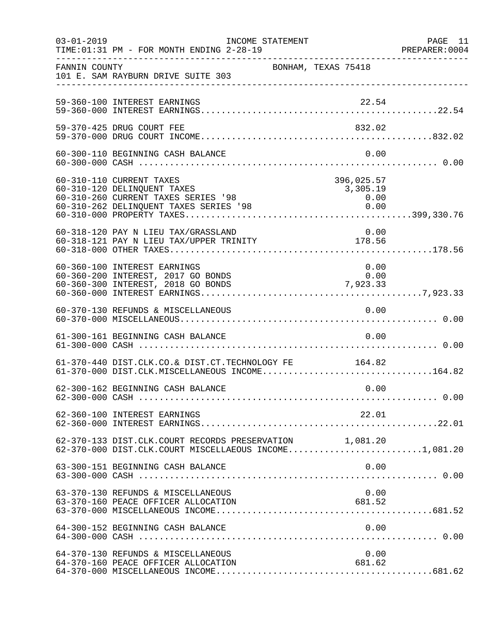| $03 - 01 - 2019$ | INCOME STATEMENT<br>TIME: 01:31 PM - FOR MONTH ENDING 2-28-19                                                                |                     |                                | PAGE 11<br>PREPARER: 0004 |
|------------------|------------------------------------------------------------------------------------------------------------------------------|---------------------|--------------------------------|---------------------------|
| FANNIN COUNTY    | 101 E. SAM RAYBURN DRIVE SUITE 303                                                                                           | BONHAM, TEXAS 75418 |                                |                           |
|                  | 59-360-100 INTEREST EARNINGS                                                                                                 |                     |                                |                           |
|                  | 59-370-425 DRUG COURT FEE                                                                                                    |                     | 832.02                         |                           |
|                  | 60-300-110 BEGINNING CASH BALANCE                                                                                            |                     | 0.00                           |                           |
|                  | 60-310-110 CURRENT TAXES<br>60-310-120 DELINQUENT TAXES<br>60-310-260 CURRENT TAXES SERIES '98                               |                     | 396,025.57<br>3,305.19<br>0.00 |                           |
|                  | 60-318-120 PAY N LIEU TAX/GRASSLAND<br>00-316-120 PAI N LIEU TAA/GRASSLAND<br>60-318-121 PAY N LIEU TAX/UPPER TRINITY 178.56 |                     | 0.00                           |                           |
|                  | 60-360-100 INTEREST EARNINGS<br>60-360-200 INTEREST, 2017 GO BONDS<br>60-360-300 INTEREST, 2018 GO BONDS                     | $0.00$<br>7,923.33  | 0.00                           |                           |
|                  | 60-370-130 REFUNDS & MISCELLANEOUS                                                                                           |                     | 0.00                           |                           |
|                  | 61-300-161 BEGINNING CASH BALANCE                                                                                            |                     | 0.00                           |                           |
|                  | 61-370-440 DIST.CLK.CO.& DIST.CT.TECHNOLOGY FE 164.82<br>61-370-000 DIST.CLK.MISCELLANEOUS INCOME164.82                      |                     |                                |                           |
|                  | 62-300-162 BEGINNING CASH BALANCE                                                                                            |                     | 0.00                           |                           |
|                  | 62-360-100 INTEREST EARNINGS                                                                                                 |                     | 22.01                          |                           |
|                  | 62-370-133 DIST.CLK.COURT RECORDS PRESERVATION 1,081.20<br>62-370-000 DIST.CLK.COURT MISCELLAEOUS INCOME1,081.20             |                     |                                |                           |
|                  | 63-300-151 BEGINNING CASH BALANCE                                                                                            |                     | 0.00                           |                           |
|                  | 63-370-130 REFUNDS & MISCELLANEOUS<br>63-370-160 PEACE OFFICER ALLOCATION                                                    |                     | 0.00<br>681.52                 |                           |
|                  | 64-300-152 BEGINNING CASH BALANCE                                                                                            |                     | 0.00                           |                           |
|                  | 64-370-130 REFUNDS & MISCELLANEOUS<br>64-370-160 PEACE OFFICER ALLOCATION                                                    |                     | 0.00<br>681.62                 |                           |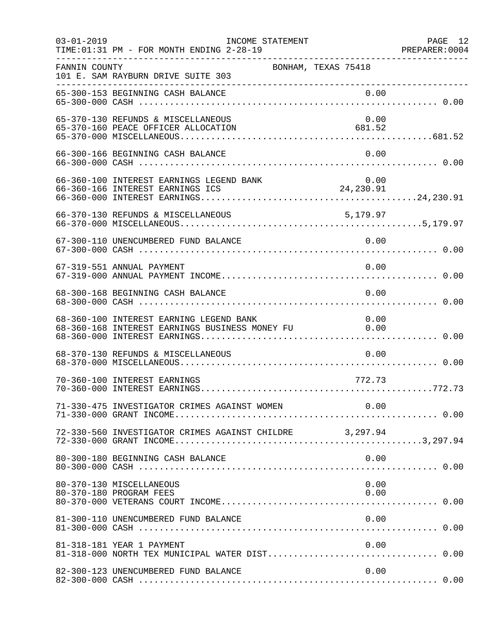| $03 - 01 - 2019$ | INCOME STATEMENT<br>TIME: 01:31 PM - FOR MONTH ENDING 2-28-19                                  |                | PAGE 12 |
|------------------|------------------------------------------------------------------------------------------------|----------------|---------|
| FANNIN COUNTY    | BONHAM, TEXAS 75418<br>101 E. SAM RAYBURN DRIVE SUITE 303                                      |                |         |
|                  |                                                                                                |                |         |
|                  | 65-370-130 REFUNDS & MISCELLANEOUS<br>65-370-160 PEACE OFFICER ALLOCATION                      | 0.00<br>681.52 |         |
|                  | 66-300-166 BEGINNING CASH BALANCE                                                              | 0.00           |         |
|                  |                                                                                                |                |         |
|                  | 66-370-130 REFUNDS & MISCELLANEOUS                                                             | 5,179.97       |         |
|                  | 67-300-110 UNENCUMBERED FUND BALANCE                                                           | 0.00           |         |
|                  | 67-319-551 ANNUAL PAYMENT                                                                      | 0.00           |         |
|                  | 68-300-168 BEGINNING CASH BALANCE                                                              | 0.00           |         |
|                  | 68-360-100 INTEREST EARNING LEGEND BANK<br>68-360-168 INTEREST EARNINGS BUSINESS MONEY FU 0.00 | 0.00           |         |
|                  | 68-370-130 REFUNDS & MISCELLANEOUS                                                             | 0.00           |         |
|                  | 70-360-100 INTEREST EARNINGS                                                                   | 772.73         |         |
|                  | 71-330-475 INVESTIGATOR CRIMES AGAINST WOMEN                                                   | 0.00           |         |
|                  | 72-330-560 INVESTIGATOR CRIMES AGAINST CHILDRE 3,297.94                                        |                |         |
|                  | 80-300-180 BEGINNING CASH BALANCE                                                              | 0.00           |         |
|                  | 80-370-130 MISCELLANEOUS<br>80-370-180 PROGRAM FEES                                            | 0.00<br>0.00   |         |
|                  | 81-300-110 UNENCUMBERED FUND BALANCE                                                           | 0.00           |         |
|                  | 81-318-181 YEAR 1 PAYMENT                                                                      | 0.00           |         |
|                  | 82-300-123 UNENCUMBERED FUND BALANCE                                                           | 0.00           |         |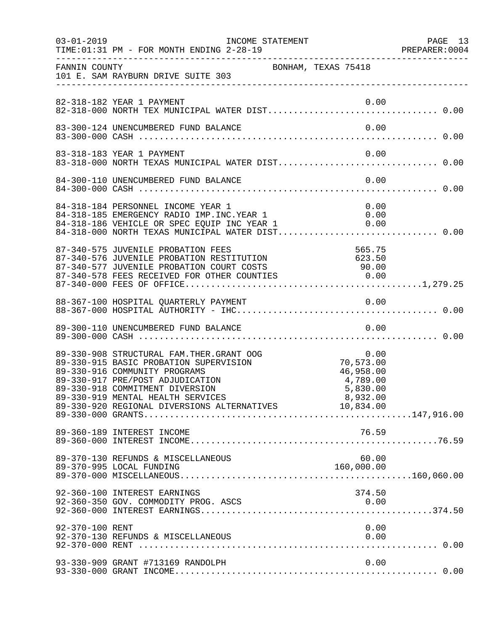| $03 - 01 - 2019$ | INCOME STATEMENT<br>TIME: 01:31 PM - FOR MONTH ENDING 2-28-19                                                                                                                                                                                                                              |                                                                             | PAGE 13<br>PREPARER:0004 |
|------------------|--------------------------------------------------------------------------------------------------------------------------------------------------------------------------------------------------------------------------------------------------------------------------------------------|-----------------------------------------------------------------------------|--------------------------|
| FANNIN COUNTY    | BONHAM, TEXAS 75418<br>101 E. SAM RAYBURN DRIVE SUITE 303                                                                                                                                                                                                                                  |                                                                             |                          |
|                  |                                                                                                                                                                                                                                                                                            |                                                                             |                          |
|                  | 83-300-124 UNENCUMBERED FUND BALANCE                                                                                                                                                                                                                                                       | 0.00                                                                        |                          |
|                  | 83-318-183 YEAR 1 PAYMENT<br>83-318-000 NORTH TEXAS MUNICIPAL WATER DIST 0.00                                                                                                                                                                                                              | 0.00                                                                        |                          |
|                  | 84-300-110 UNENCUMBERED FUND BALANCE                                                                                                                                                                                                                                                       | 0.00                                                                        |                          |
|                  | 84-318-184 PERSONNEL INCOME YEAR 1<br>84-318-185 EMERGENCY RADIO IMP. INC. YEAR 1<br>84-318-186 VEHICLE OR SPEC EQUIP INC YEAR 1                                                                                                                                                           | 0.00<br>$\begin{array}{ccc} & & & 0.00 \\ 1 & & & 0.00 \end{array}$<br>0.00 |                          |
|                  | 87-340-575 JUVENILE PROBATION FEES<br>87-340-576 JUVENILE PROBATION RESTITUTION 623.50                                                                                                                                                                                                     |                                                                             |                          |
|                  |                                                                                                                                                                                                                                                                                            |                                                                             |                          |
|                  |                                                                                                                                                                                                                                                                                            |                                                                             |                          |
|                  | 89-330-908 STRUCTURAL FAM. THER. GRANT OOG<br>89-330-915 BASIC PROBATION SUPERVISION<br>89-330-916 COMMUNITY PROGRAMS<br>89-330-917 PRE/POST ADJUDICATION<br>89-330-918 COMMITMENT DIVERSION<br>89-330-919 MENTAL HEALTH SERVICES<br>89-330-920 REGIONAL DIVERSIONS ALTERNATIVES 10,834.00 | $0.00$<br>70,573.00<br>46,958.00<br>4,789.00<br>5,830.00<br>8,932.00        |                          |
|                  | 89-360-189 INTEREST INCOME                                                                                                                                                                                                                                                                 | 76.59                                                                       |                          |
|                  | 89-370-130 REFUNDS & MISCELLANEOUS<br>89-370-995 LOCAL FUNDING                                                                                                                                                                                                                             | 60.00<br>160,000.00                                                         |                          |
|                  | 92-360-100 INTEREST EARNINGS<br>92-360-350 GOV. COMMODITY PROG. ASCS                                                                                                                                                                                                                       | 374.50<br>0.00                                                              |                          |
| 92-370-100 RENT  |                                                                                                                                                                                                                                                                                            | 0.00                                                                        |                          |
|                  | 93-330-909 GRANT #713169 RANDOLPH                                                                                                                                                                                                                                                          | 0.00                                                                        |                          |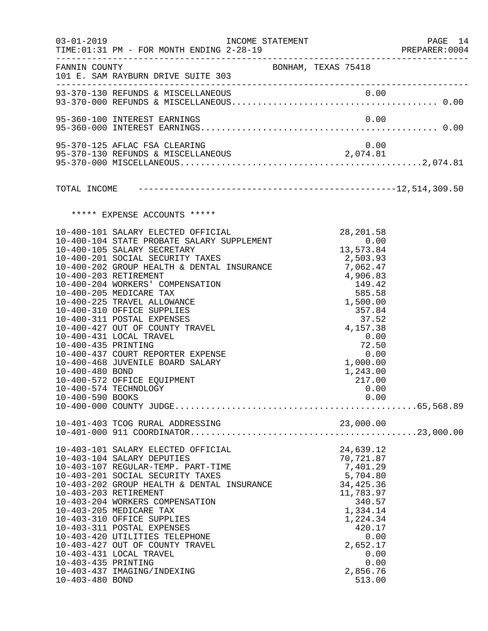|                                                            | 03-01-2019    INCOME STATEMENT<br>TIME: 01:31 PM - FOR MONTH ENDING 2-28-19                                                                                                                                                                                                                                                                                                                                                                                                                                                                                                                                                                                                                                                                                                                                                                                                    |                                                                                                                                                                                 | PAGE 14<br>PREPARER:0004 |
|------------------------------------------------------------|--------------------------------------------------------------------------------------------------------------------------------------------------------------------------------------------------------------------------------------------------------------------------------------------------------------------------------------------------------------------------------------------------------------------------------------------------------------------------------------------------------------------------------------------------------------------------------------------------------------------------------------------------------------------------------------------------------------------------------------------------------------------------------------------------------------------------------------------------------------------------------|---------------------------------------------------------------------------------------------------------------------------------------------------------------------------------|--------------------------|
|                                                            | FANNIN COUNTY SAN BONHAM, TEXAS 75418<br>101 E. SAM RAYBURN DRIVE SUITE 303                                                                                                                                                                                                                                                                                                                                                                                                                                                                                                                                                                                                                                                                                                                                                                                                    |                                                                                                                                                                                 |                          |
|                                                            |                                                                                                                                                                                                                                                                                                                                                                                                                                                                                                                                                                                                                                                                                                                                                                                                                                                                                |                                                                                                                                                                                 |                          |
|                                                            | 95-360-100 INTEREST EARNINGS                                                                                                                                                                                                                                                                                                                                                                                                                                                                                                                                                                                                                                                                                                                                                                                                                                                   | 0.00                                                                                                                                                                            |                          |
|                                                            | 95-370-125 AFLAC FSA CLEARING                                                                                                                                                                                                                                                                                                                                                                                                                                                                                                                                                                                                                                                                                                                                                                                                                                                  | 0.00                                                                                                                                                                            |                          |
|                                                            |                                                                                                                                                                                                                                                                                                                                                                                                                                                                                                                                                                                                                                                                                                                                                                                                                                                                                |                                                                                                                                                                                 |                          |
|                                                            | ***** EXPENSE ACCOUNTS *****                                                                                                                                                                                                                                                                                                                                                                                                                                                                                                                                                                                                                                                                                                                                                                                                                                                   |                                                                                                                                                                                 |                          |
| 10-400-435 PRINTING<br>10-400-480 BOND<br>10-400-590 BOOKS | $\begin{tabular}{lllllllll} $\textsc{--0.01}$ & \textsc{SALARY} & \textsc{ELECTED} & \textsc{OFFICIAL} & & & & 28,201.58 \\ 10-400-104 & \textsc{STATE} & \textsc{PROBATE} & \textsc{SALARY} & \textsc{SUPPLEMENT} & & & 0.00 \\ 10-400-105 & \textsc{SALARY} & \textsc{SCRETARY} & & & 13,573.84 \\ 10-400-201 & \textsc{SOCIAL} & \textsc{SCURTY} & \textsc{TAEES} & & & 25,50,00 \\ 10-400-20$<br>-- 100 201 SOCIAL SECURITY TAXES<br>10-400-202 GROUP HEALTH & DENTAL INSURANCE 7,062.47<br>10-400-203 RETIREMENT<br>10-400-204 WORKERS' COMPENSATION<br>10-400-205 MEDICARE TAX<br>10-400-225 TRAVEL ALLOWANCE<br>10-400-310 OFFICE SUPPLIES<br>10-400-311 POSTAL EXPENSES<br>10-400-427 OUT OF COUNTY TRAVEL<br>10-400-431 LOCAL TRAVEL<br>10-400-437 COURT REPORTER EXPENSE<br>10-400-468 JUVENILE BOARD SALARY<br>10-400-572 OFFICE EQUIPMENT<br>10-400-574 TECHNOLOGY | $4,906.83$<br>$149.42$<br>$585.58$<br>$1,500.09$<br>1,500.00<br>357.84<br>37.52<br>4,157.38<br>0.00<br>72.50<br>0.00<br>1,000.00<br>1,243.00<br>217.00<br>0.00<br>0.00          |                          |
|                                                            | 10-401-403 TCOG RURAL ADDRESSING                                                                                                                                                                                                                                                                                                                                                                                                                                                                                                                                                                                                                                                                                                                                                                                                                                               | 23,000.00                                                                                                                                                                       |                          |
| 10-403-435 PRINTING<br>10-403-480 BOND                     | 10-403-101 SALARY ELECTED OFFICIAL<br>10-403-104 SALARY DEPUTIES<br>10-403-107 REGULAR-TEMP. PART-TIME<br>10-403-201 SOCIAL SECURITY TAXES<br>10-403-202 GROUP HEALTH & DENTAL INSURANCE<br>10-403-203 RETIREMENT<br>10-403-204 WORKERS COMPENSATION<br>10-403-205 MEDICARE TAX<br>10-403-310 OFFICE SUPPLIES<br>10-403-311 POSTAL EXPENSES<br>10-403-420 UTILITIES TELEPHONE<br>10-403-427 OUT OF COUNTY TRAVEL<br>10-403-431 LOCAL TRAVEL<br>10-403-437 IMAGING/INDEXING                                                                                                                                                                                                                                                                                                                                                                                                     | 24,639.12<br>70,721.87<br>7,401.29<br>5,704.80<br>34, 425.36<br>11,783.97<br>340.57<br>1,334.14<br>1,224.34<br>420.17<br>0.00<br>2,652.17<br>0.00<br>0.00<br>2,856.76<br>513.00 |                          |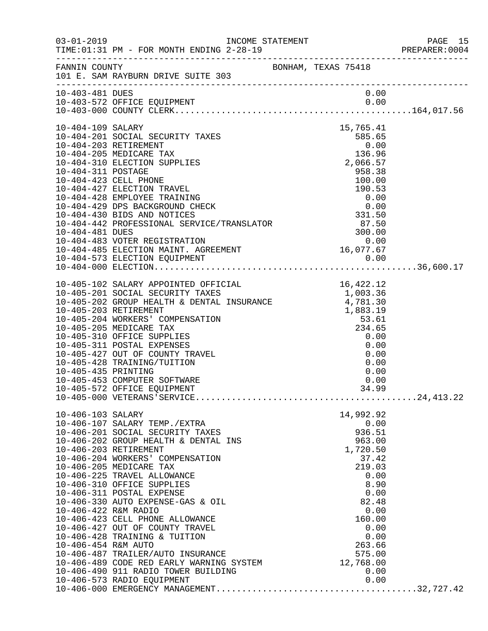|                                                                  |                                                                                                                                                                                                                                                                                                                                                                                                                                                                                                                                                                                                                                              |                                                                                                                                                                             | PAGE 15<br>PREPARER:0004 |
|------------------------------------------------------------------|----------------------------------------------------------------------------------------------------------------------------------------------------------------------------------------------------------------------------------------------------------------------------------------------------------------------------------------------------------------------------------------------------------------------------------------------------------------------------------------------------------------------------------------------------------------------------------------------------------------------------------------------|-----------------------------------------------------------------------------------------------------------------------------------------------------------------------------|--------------------------|
|                                                                  | FANNIN COUNTY<br>101 E. SAM RAYBURN DRIVE SUITE 303                                                                                                                                                                                                                                                                                                                                                                                                                                                                                                                                                                                          |                                                                                                                                                                             |                          |
| 10-403-481 DUES                                                  |                                                                                                                                                                                                                                                                                                                                                                                                                                                                                                                                                                                                                                              | 0.00                                                                                                                                                                        |                          |
| 10-404-311 POSTAGE                                               | 10-404-109 SALARY<br>10-404-201 SOCIAL SECURITY TAXES<br>10-404-203 RETIREMENT<br>10-404-205 MEDICARE TAX<br>10-404-310 ELECTION SUPPLIES                                                                                                                                                                                                                                                                                                                                                                                                                                                                                                    | 15,765.41<br>$\begin{array}{r} 585.65 \\ 0.00 \\ 136.96 \end{array}$<br>$\frac{136.96}{2,066.57}$<br>958.38                                                                 |                          |
| 10-405-435 PRINTING                                              | 10-405-102 SALARY APPOINTED OFFICIAL 10-405-201 SOCIAL SECURITY TAXES 1,003.36<br>10-405-202 GROUP HEALTH & DENTAL INSURANCE 4,781.30<br>10-405-203 RETIREMENT 10-405-204 WORKERS' COMPENSATION 53.61<br>10-405-205 MEDICARE TAX 234.65<br>10-405-310 OFFICE SUPPLIES<br>10-405-311 POSTAL EXPENSES<br>10-405-427 OUT OF COUNTY TRAVEL<br>10-405-428 TRAINING/TUITION<br>10-405-453 COMPUTER SOFTWARE<br>10-405-572 OFFICE EQUIPMENT                                                                                                                                                                                                         | 0.00<br>0.00<br>0.00<br>0.00<br>0.00<br>0.00<br>34.99                                                                                                                       |                          |
| 10-406-103 SALARY<br>10-406-422 R&M RADIO<br>10-406-454 R&M AUTO | 10-406-107 SALARY TEMP./EXTRA<br>10-406-201 SOCIAL SECURITY TAXES<br>10-406-202 GROUP HEALTH & DENTAL INS<br>10-406-203 RETIREMENT<br>10-406-204 WORKERS' COMPENSATION<br>10-406-205 MEDICARE TAX<br>10-406-225 TRAVEL ALLOWANCE<br>10-406-310 OFFICE SUPPLIES<br>10-406-311 POSTAL EXPENSE<br>10-406-330 AUTO EXPENSE-GAS & OIL<br>10-406-423 CELL PHONE ALLOWANCE<br>10-406-427 OUT OF COUNTY TRAVEL<br>10-406-428 TRAINING & TUITION<br>10-406-487 TRAILER/AUTO INSURANCE<br>10-406-487 TRAILER/AUTO INSURANCE<br>10-406-489 CODE RED EARLY WARNING SYSTEM 12,768.00<br>10-406-490 911 RADIO TOWER BUILDING<br>10-406-573 RADIO EQUIPMENT | 14,992.92<br>0.00<br>936.51<br>963.00<br>1,720.50<br>37.42<br>219.03<br>0.00<br>8.90<br>0.00<br>82.48<br>0.00<br>160.00<br>0.00<br>0.00<br>263.66<br>575.00<br>0.00<br>0.00 |                          |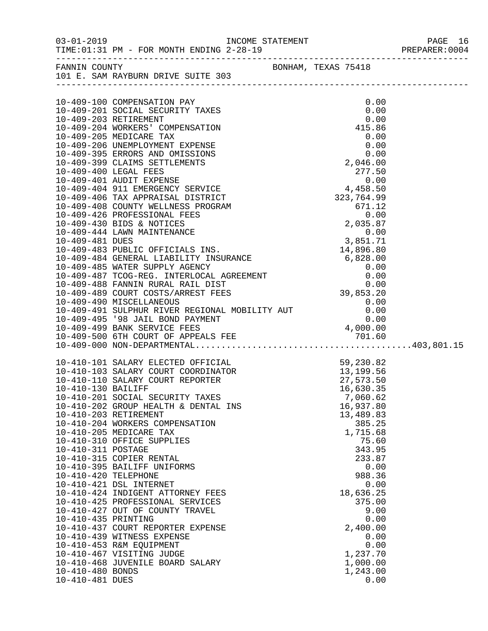|                       |                                                                                                                                                                                                                                                                      |                   | PREPARER: 0004 |
|-----------------------|----------------------------------------------------------------------------------------------------------------------------------------------------------------------------------------------------------------------------------------------------------------------|-------------------|----------------|
|                       | FANNIN COUNTY BONHAM, TEXAS 75418<br>101 E. SAM RAYBURN DRIVE SUITE 303                                                                                                                                                                                              |                   |                |
|                       |                                                                                                                                                                                                                                                                      |                   |                |
|                       | 10-409-100 COMPENSATION PAY                                                                                                                                                                                                                                          | 0.00              |                |
|                       | 10-409-201 SOCIAL SECURITY TAXES                                                                                                                                                                                                                                     | 0.00              |                |
| 10-409-203 RETIREMENT |                                                                                                                                                                                                                                                                      | 0.00              |                |
|                       | 10-409-204 WORKERS' COMPENSATION                                                                                                                                                                                                                                     | 415.86            |                |
|                       | 10-409-205 MEDICARE TAX<br>0.00<br>10-409-206 UNEMPLOYMENT EXPENSE 0.00<br>10-409-395 ERRORS AND OMISSIONS 0.00<br>10-409-399 CLAIMS SETTLEMENTS 2,046.00<br>10-409-400 LEGAL FEES 277.50<br>10-409-401 AUDIT EXPENSE 0.00<br>10-409-404 911 EMERGENCY SERVICE 4,458 | 0.00              |                |
|                       |                                                                                                                                                                                                                                                                      |                   |                |
|                       |                                                                                                                                                                                                                                                                      |                   |                |
|                       |                                                                                                                                                                                                                                                                      |                   |                |
|                       |                                                                                                                                                                                                                                                                      |                   |                |
|                       |                                                                                                                                                                                                                                                                      |                   |                |
|                       |                                                                                                                                                                                                                                                                      |                   |                |
|                       |                                                                                                                                                                                                                                                                      |                   |                |
|                       |                                                                                                                                                                                                                                                                      |                   |                |
|                       |                                                                                                                                                                                                                                                                      |                   |                |
|                       |                                                                                                                                                                                                                                                                      |                   |                |
|                       |                                                                                                                                                                                                                                                                      |                   |                |
|                       |                                                                                                                                                                                                                                                                      |                   |                |
|                       |                                                                                                                                                                                                                                                                      |                   |                |
|                       |                                                                                                                                                                                                                                                                      |                   |                |
|                       |                                                                                                                                                                                                                                                                      |                   |                |
|                       |                                                                                                                                                                                                                                                                      |                   |                |
|                       | 10-409-489 COURT COSTS/ARREST FEED<br>10-409-490 MISCELLANEOUS 0.00<br>10-409-491 SULPHUR RIVER REGIONAL MOBILITY AUT 0.00<br>10-409-491 SULPHUR RIVER REGIONAL MOBILITY AUT 0.00                                                                                    |                   |                |
|                       |                                                                                                                                                                                                                                                                      |                   |                |
|                       |                                                                                                                                                                                                                                                                      |                   |                |
|                       |                                                                                                                                                                                                                                                                      |                   |                |
|                       |                                                                                                                                                                                                                                                                      |                   |                |
|                       |                                                                                                                                                                                                                                                                      |                   |                |
|                       |                                                                                                                                                                                                                                                                      |                   |                |
|                       | 10-410-101 SALARY ELECTED OFFICIAL 59, 230.82<br>10-410-103 SALARY COURT COORDINATOR 13, 199.56<br>10-410-110 SALARY COURT REPORTER 27, 573.50<br>10-410-130 BAILIFF                                                                                                 |                   |                |
| 10-410-130 BAILIFF    |                                                                                                                                                                                                                                                                      | 16,630.35         |                |
|                       | 10-410-201 SOCIAL SECURITY TAXES                                                                                                                                                                                                                                     | 7,060.62          |                |
|                       | 10-410-202 GROUP HEALTH & DENTAL INS                                                                                                                                                                                                                                 | 16,937.80         |                |
| 10-410-203 RETIREMENT |                                                                                                                                                                                                                                                                      | 13,489.83         |                |
|                       | 10-410-204 WORKERS COMPENSATION                                                                                                                                                                                                                                      | 385.25            |                |
|                       | 10-410-205 MEDICARE TAX<br>10-410-310 OFFICE SUPPLIES                                                                                                                                                                                                                | 1,715.68<br>75.60 |                |
| 10-410-311 POSTAGE    |                                                                                                                                                                                                                                                                      | 343.95            |                |
|                       | 10-410-315 COPIER RENTAL                                                                                                                                                                                                                                             | 233.87            |                |
|                       | 10-410-395 BAILIFF UNIFORMS                                                                                                                                                                                                                                          | 0.00              |                |
| 10-410-420 TELEPHONE  |                                                                                                                                                                                                                                                                      | 988.36            |                |
|                       | 10-410-421 DSL INTERNET                                                                                                                                                                                                                                              | 0.00              |                |
|                       | 10-410-424 INDIGENT ATTORNEY FEES                                                                                                                                                                                                                                    | 18,636.25         |                |
|                       | 10-410-425 PROFESSIONAL SERVICES                                                                                                                                                                                                                                     | 375.00            |                |
|                       | 10-410-427 OUT OF COUNTY TRAVEL                                                                                                                                                                                                                                      | 9.00              |                |
| 10-410-435 PRINTING   |                                                                                                                                                                                                                                                                      | 0.00<br>2,400.00  |                |
|                       | 10-410-437 COURT REPORTER EXPENSE<br>10-410-439 WITNESS EXPENSE                                                                                                                                                                                                      | 0.00              |                |
|                       | 10-410-453 R&M EQUIPMENT                                                                                                                                                                                                                                             | 0.00              |                |
|                       | 10-410-467 VISITING JUDGE                                                                                                                                                                                                                                            | 1,237.70          |                |
|                       | 10-410-468 JUVENILE BOARD SALARY                                                                                                                                                                                                                                     | 1,000.00          |                |
| 10-410-480 BONDS      |                                                                                                                                                                                                                                                                      | 1,243.00          |                |
| 10-410-481 DUES       |                                                                                                                                                                                                                                                                      | 0.00              |                |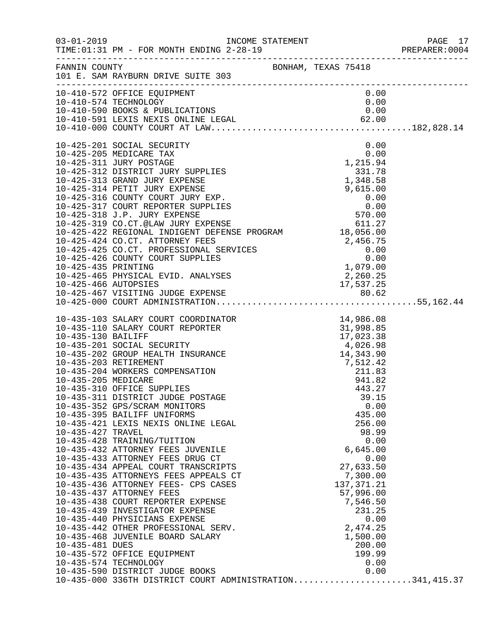|                                                             |                                                                                                                                                                                                                                                                                                                                                                                                                                                                                                                                                                                                                                                                                                                                                                                                                                                                                                                                                                                                                             |  |                                                                                                                                                                                           |                                              | PAGE 17<br>PREPARER: 0004 |
|-------------------------------------------------------------|-----------------------------------------------------------------------------------------------------------------------------------------------------------------------------------------------------------------------------------------------------------------------------------------------------------------------------------------------------------------------------------------------------------------------------------------------------------------------------------------------------------------------------------------------------------------------------------------------------------------------------------------------------------------------------------------------------------------------------------------------------------------------------------------------------------------------------------------------------------------------------------------------------------------------------------------------------------------------------------------------------------------------------|--|-------------------------------------------------------------------------------------------------------------------------------------------------------------------------------------------|----------------------------------------------|---------------------------|
|                                                             | FANNIN COUNTY BONHAM, TEXAS 75418<br>101 E. SAM RAYBURN DRIVE SUITE 303                                                                                                                                                                                                                                                                                                                                                                                                                                                                                                                                                                                                                                                                                                                                                                                                                                                                                                                                                     |  |                                                                                                                                                                                           |                                              |                           |
|                                                             | 10-410-572 OFFICE EQUIPMENT<br>10-410-574 TECHNOLOGY                                                                                                                                                                                                                                                                                                                                                                                                                                                                                                                                                                                                                                                                                                                                                                                                                                                                                                                                                                        |  | 0.00<br>0.00                                                                                                                                                                              |                                              |                           |
|                                                             | 10-425-201 SOCIAL SECURITY                                                                                                                                                                                                                                                                                                                                                                                                                                                                                                                                                                                                                                                                                                                                                                                                                                                                                                                                                                                                  |  |                                                                                                                                                                                           | 0.00                                         |                           |
| 10-435-205 MEDICARE<br>10-435-427 TRAVEL<br>10-435-481 DUES | 10-435-103 SALARY COURT COORDINATOR<br>10-435-110 SALARY COURT REPORTER<br>10-435-130 BAILIFF<br>10-435-201 SOCIAL SECURITY<br>10-435-202 GROUP HEALTH INSURANCE<br>10-435-202 GROUP HEALTH INSURANCE<br>10-435-203 RETIREMENT<br>10-435-204<br>10-435-310 OFFICE SUPPLIES<br>10-435-311 DISTRICT JUDGE POSTAGE<br>10-435-352 GPS/SCRAM MONITORS<br>10-435-395 BAILIFF UNIFORMS<br>10-435-421 LEXIS NEXIS ONLINE LEGAL<br>10-435-428 TRAINING/TUITION<br>10-435-432 ATTORNEY FEES JUVENILE<br>10-435-433 ATTORNEY FEES DRUG CT<br>10-435-434 APPEAL COURT TRANSCRIPTS<br>10-435-435 ATTORNEYS FEES APPEALS CT<br>10-435-436 ATTORNEY FEES- CPS CASES<br>10-435-437 ATTORNEY FEES<br>10-435-438 COURT REPORTER EXPENSE<br>10-435-439 INVESTIGATOR EXPENSE<br>10-435-440 PHYSICIANS EXPENSE<br>10-435-442 OTHER PROFESSIONAL SERV.<br>10-435-468 JUVENILE BOARD SALARY<br>10-435-572 OFFICE EQUIPMENT<br>10-435-574 TECHNOLOGY<br>10-435-590 DISTRICT JUDGE BOOKS<br>10-435-000 336TH DISTRICT COURT ADMINISTRATION341,415.37 |  | 941.82<br>443.27<br>39.15<br>435.00<br>256.00<br>98.99<br>6,645.00<br>27,633.50<br>7,300.00<br>137, 371.21<br>57,996.00<br>7,546.50<br>231.25<br>2,474.25<br>1,500.00<br>200.00<br>199.99 | 0.00<br>0.00<br>0.00<br>0.00<br>0.00<br>0.00 |                           |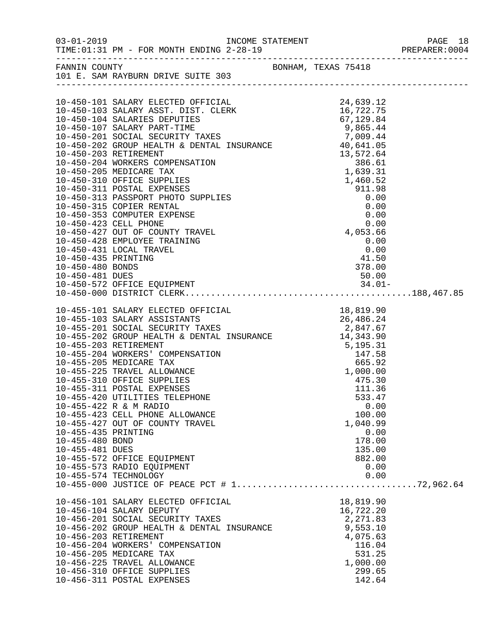|                     |                                                                                                          |  |                     | PAGE 18<br>PREPARER:0004<br>PAGE 18 |
|---------------------|----------------------------------------------------------------------------------------------------------|--|---------------------|-------------------------------------|
|                     | FANNIN COUNTY                                                                                            |  | BONHAM, TEXAS 75418 |                                     |
|                     | 101 E. SAM RAYBURN DRIVE SUITE 303                                                                       |  |                     |                                     |
|                     |                                                                                                          |  |                     |                                     |
|                     |                                                                                                          |  |                     |                                     |
|                     |                                                                                                          |  |                     |                                     |
|                     |                                                                                                          |  |                     |                                     |
|                     |                                                                                                          |  |                     |                                     |
|                     |                                                                                                          |  |                     |                                     |
|                     |                                                                                                          |  |                     |                                     |
|                     |                                                                                                          |  |                     |                                     |
|                     |                                                                                                          |  |                     |                                     |
|                     |                                                                                                          |  |                     |                                     |
|                     |                                                                                                          |  |                     |                                     |
|                     |                                                                                                          |  |                     |                                     |
|                     |                                                                                                          |  |                     |                                     |
|                     |                                                                                                          |  |                     |                                     |
|                     |                                                                                                          |  |                     |                                     |
|                     |                                                                                                          |  |                     |                                     |
|                     |                                                                                                          |  |                     |                                     |
|                     |                                                                                                          |  |                     |                                     |
|                     |                                                                                                          |  |                     |                                     |
|                     |                                                                                                          |  |                     |                                     |
|                     |                                                                                                          |  |                     |                                     |
|                     |                                                                                                          |  |                     |                                     |
|                     |                                                                                                          |  |                     |                                     |
|                     |                                                                                                          |  |                     |                                     |
|                     |                                                                                                          |  |                     |                                     |
|                     |                                                                                                          |  |                     |                                     |
|                     |                                                                                                          |  |                     |                                     |
|                     |                                                                                                          |  |                     |                                     |
|                     |                                                                                                          |  |                     |                                     |
|                     |                                                                                                          |  |                     |                                     |
|                     |                                                                                                          |  |                     |                                     |
|                     |                                                                                                          |  |                     |                                     |
|                     |                                                                                                          |  | 533.47              |                                     |
|                     | 10-455-420 UTILITIES TELEPHONE<br>10-455-422 R & M RADIO                                                 |  | 0.00                |                                     |
|                     | 10-455-423 CELL PHONE ALLOWANCE                                                                          |  | 100.00              |                                     |
|                     | 10-455-427 OUT OF COUNTY TRAVEL                                                                          |  | 1,040.99            |                                     |
| 10-455-435 PRINTING |                                                                                                          |  | 0.00                |                                     |
| 10-455-480 BOND     |                                                                                                          |  | 178.00              |                                     |
| 10-455-481 DUES     |                                                                                                          |  | 135.00              |                                     |
|                     | 10-455-572 OFFICE EQUIPMENT                                                                              |  | 882.00              |                                     |
|                     | 10-455-573 RADIO EQUIPMENT                                                                               |  | 0.00                |                                     |
|                     | 10-455-574 TECHNOLOGY                                                                                    |  | 0.00                |                                     |
|                     |                                                                                                          |  |                     |                                     |
|                     | 10-456-101 SALARY ELECTED OFFICIAL                                                                       |  | 18,819.90           |                                     |
|                     | 10-456-104 SALARY DEPUTY                                                                                 |  | 16,722.20           |                                     |
|                     |                                                                                                          |  |                     |                                     |
|                     | 10-456-202 GROUP HEALTH & DENTAL INSURANCE 2,271.83<br>10-456-203 RETIREMENT & DENTAL INSURANCE 9,553.10 |  |                     |                                     |
|                     | 10-456-203 RETIREMENT                                                                                    |  | 4,075.63            |                                     |
|                     | 10-456-204 WORKERS' COMPENSATION                                                                         |  | 116.04              |                                     |
|                     | 10-456-205 MEDICARE TAX                                                                                  |  | 531.25              |                                     |
|                     | 10-456-225 TRAVEL ALLOWANCE                                                                              |  | 1,000.00            |                                     |
|                     | 10-456-310 OFFICE SUPPLIES                                                                               |  | 299.65              |                                     |
|                     | 10-456-311 POSTAL EXPENSES                                                                               |  | 142.64              |                                     |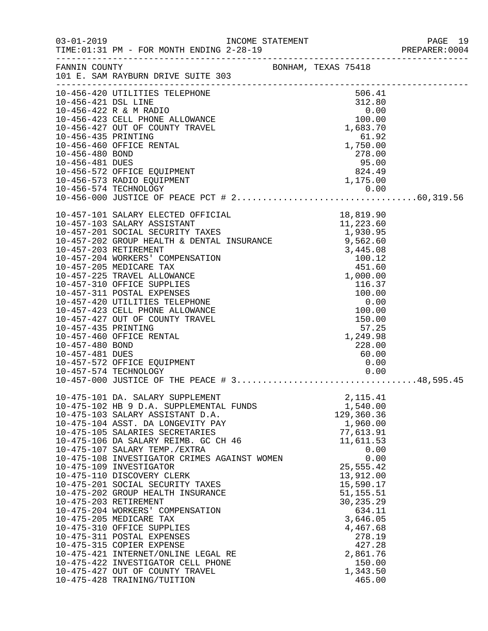|                                                           |                                                                                                                                                                                                                                                                                                                                                                                                                                                                                                                                                                                                                                                                                                                                                                                    |                                                                                                   |                     |                                                                                                                                                                                                                                              |              | PREPARER: 0004 |
|-----------------------------------------------------------|------------------------------------------------------------------------------------------------------------------------------------------------------------------------------------------------------------------------------------------------------------------------------------------------------------------------------------------------------------------------------------------------------------------------------------------------------------------------------------------------------------------------------------------------------------------------------------------------------------------------------------------------------------------------------------------------------------------------------------------------------------------------------------|---------------------------------------------------------------------------------------------------|---------------------|----------------------------------------------------------------------------------------------------------------------------------------------------------------------------------------------------------------------------------------------|--------------|----------------|
|                                                           | FANNIN COUNTY<br>101 E. SAM RAYBURN DRIVE SUITE 303                                                                                                                                                                                                                                                                                                                                                                                                                                                                                                                                                                                                                                                                                                                                |                                                                                                   | BONHAM, TEXAS 75418 |                                                                                                                                                                                                                                              |              |                |
| 10-456-435 PRINTING<br>10-456-480 BOND<br>10-456-481 DUES | 10-456-420 UTILITIES TELEPHONE<br>10-456-421 DSL LINE 312.80<br>10-456-422 R & M RADIO 0.00<br>10-456-423 CELL PHONE ALLOWANCE 100.00<br>10-456-427 OUT OF COUNTY TRAVEL 1,683.70<br>10-456-435 PRINTING<br>10-456-460 OFFICE RENTAL<br>10-456-572 OFFICE EQUIPMENT<br>10-456-573 RADIO EQUIPMENT                                                                                                                                                                                                                                                                                                                                                                                                                                                                                  | $\begin{array}{r} 61.92 \\ 1,750.00 \\ 278.00 \\ 95.00 \\ 824.49 \\ 1,175.00 \\ 0.00 \end{array}$ |                     | 506.41                                                                                                                                                                                                                                       |              |                |
| 10-457-435 PRINTING<br>10-457-480 BOND<br>10-457-481 DUES | 10-457-460 OFFICE RENTAL<br>10-457-572 OFFICE EQUIPMENT<br>10-457-574 TECHNOLOGY<br>$10-457-000$ JUSTICE OF THE PEACE # 348,595.45                                                                                                                                                                                                                                                                                                                                                                                                                                                                                                                                                                                                                                                 |                                                                                                   |                     | 57.25<br>1,249.98<br>228.00<br>60.00<br>0.00<br>0.00                                                                                                                                                                                         |              |                |
|                                                           | 10-475-101 DA. SALARY SUPPLEMENT<br>10-475-102 HB 9 D.A. SUPPLEMENTAL FUNDS<br>10-475-103 SALARY ASSISTANT D.A.<br>10-475-104 ASST. DA LONGEVITY PAY<br>10-475-105 SALARIES SECRETARIES<br>10-475-106 DA SALARY REIMB. GC CH 46<br>10-475-107 SALARY TEMP./EXTRA<br>10-475-108 INVESTIGATOR CRIMES AGAINST WOMEN<br>10-475-109 INVESTIGATOR<br>10-475-110 DISCOVERY CLERK<br>10-475-201 SOCIAL SECURITY TAXES<br>10-475-202 GROUP HEALTH INSURANCE<br>10-475-203 RETIREMENT<br>10-475-204 WORKERS' COMPENSATION<br>10-475-205 MEDICARE TAX<br>10-475-310 OFFICE SUPPLIES<br>10-475-311 POSTAL EXPENSES<br>10-475-315 COPIER EXPENSE<br>10-475-421 INTERNET/ONLINE LEGAL RE<br>10-475-422 INVESTIGATOR CELL PHONE<br>10-475-427 OUT OF COUNTY TRAVEL<br>10-475-428 TRAINING/TUITION |                                                                                                   |                     | 2,115.41<br>1,540.00<br>129,360.36<br>1,960.00<br>77,613.91<br>11,611.53<br>25,555.42<br>13,912.00<br>15,590.17<br>51, 155.51<br>30,235.29<br>634.11<br>3,646.05<br>4,467.68<br>278.19<br>427.28<br>2,861.76<br>150.00<br>1,343.50<br>465.00 | 0.00<br>0.00 |                |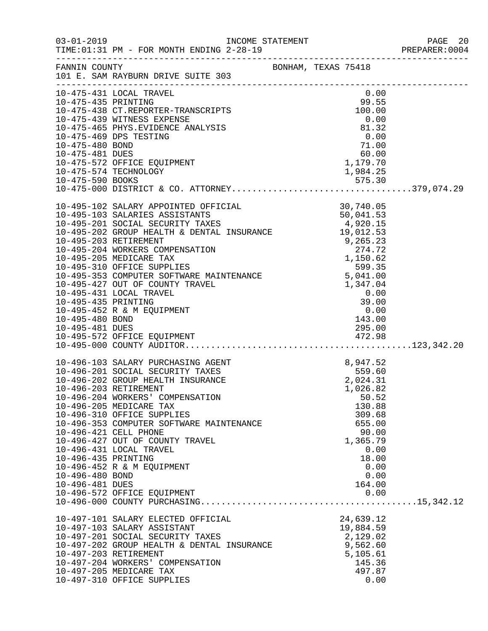|                                                           |                                                                                                                                                                                                                                                                                                                                                                                                                                                                                                   |                                                                                                                         | PREPARER: 0004 |
|-----------------------------------------------------------|---------------------------------------------------------------------------------------------------------------------------------------------------------------------------------------------------------------------------------------------------------------------------------------------------------------------------------------------------------------------------------------------------------------------------------------------------------------------------------------------------|-------------------------------------------------------------------------------------------------------------------------|----------------|
|                                                           | FANNIN COUNTY BONHAM, TEXAS 75418<br>101 E. SAM RAYBURN DRIVE SUITE 303                                                                                                                                                                                                                                                                                                                                                                                                                           |                                                                                                                         |                |
| 10-475-435 PRINTING                                       | 10-475-431 LOCAL TRAVEL<br>10-475-438 CT.REPORTER-TRANSCRIPTS<br>10-475-439 WITNESS EXPENSE<br>10-475-465 PHYS.EVIDENCE ANALYSIS 81.32<br>10-475-469 DPS TESTING 0.00<br>10-475-480 BOND 71.00<br>10-475-480 BOND 71.00<br>1179.70<br>10-475-572 OFFICE EQUIPMENT<br>10-475-574 TECHNOLOGY                                                                                                                                                                                                        | 0.00<br>$99.55$<br>100.00<br>$1,179.70$<br>1,984.25<br>1,984.25                                                         |                |
| 10-495-435 PRINTING<br>10-495-480 BOND<br>10-495-481 DUES | $\begin{tabular}{lllllllllllllllllllllll} 10-495-102 & \text{SALARY APOINTED OFFICIAL} & & & & 30\,,740\,.05 \\ 10-495-103 & \text{SALARIES ASSISTANTS} & & & 50\,,041\,.53 \\ 10-495-201 & \text{SOCIAL SECURITY TAXES} & & & 4\,,920\,.15 \\ 10-495-202 & \text{GROUP HEALTH & \& DENTAL INSURANCE} & & 19\,,012\,.53 \\ 10-495-203 & \text{RETIREMENT} & & & 9\,,265$<br>10-495-431 LOCAL TRAVEL<br>10-495-452 R & M EQUIPMENT                                                                 | 0.00<br>$39.00$<br>0.00<br>143.00<br>295.00                                                                             |                |
| 10-496-435 PRINTING<br>10-496-480 BOND<br>10-496-481 DUES | $10-496-103$ SALARY PURCHASING AGENT $8,947.52$<br>$10-496-201$ SOCIAL SECURITY TAXES $559.60$<br>$10-496-202$ GROUP HEALTH INSURANCE $2,024.31$<br>$10.496-203$ PETIPEMENT<br>10-496-203 RETIREMENT<br>10-496-204 WORKERS' COMPENSATION<br>10-496-205 MEDICARE TAX<br>10-496-310 OFFICE SUPPLIES<br>10-496-353 COMPUTER SOFTWARE MAINTENANCE<br>10-496-421 CELL PHONE<br>10-496-427 OUT OF COUNTY TRAVEL<br>10-496-431 LOCAL TRAVEL<br>10-496-452 R & M EQUIPMENT<br>10-496-572 OFFICE EQUIPMENT | 1,026.82<br>50.52<br>130.88<br>309.68<br>655.00<br>90.00<br>1,365.79<br>0.00<br>18.00<br>0.00<br>0.00<br>164.00<br>0.00 |                |
|                                                           | 10-497-101 SALARY ELECTED OFFICIAL<br>10-497-103 SALARY ASSISTANT<br>10-497-201 SOCIAL SECURITY TAXES<br>10-497-202 GROUP HEALTH & DENTAL INSURANCE<br>10-497-203 RETIREMENT<br>10-497-204 WORKERS' COMPENSATION<br>10-497-205 MEDICARE TAX<br>10-497-310 OFFICE SUPPLIES                                                                                                                                                                                                                         | 24,639.12<br>19,884.59<br>2,129.02<br>9,562.60<br>5,105.61<br>145.36<br>497.87<br>0.00                                  |                |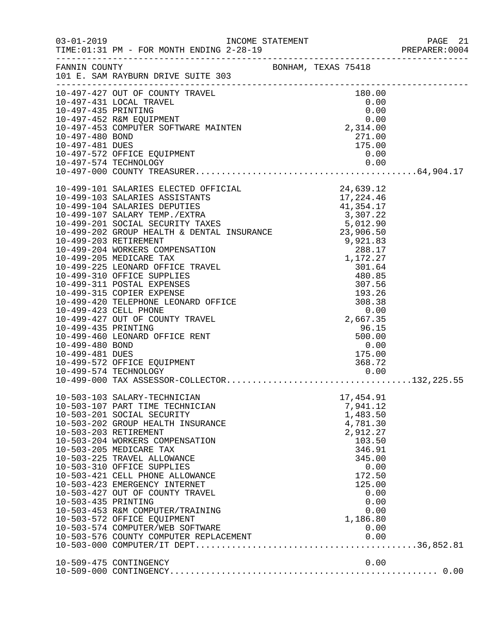|                     |                                                                                                                                      |                                                                 | PREPARER: 0004 |
|---------------------|--------------------------------------------------------------------------------------------------------------------------------------|-----------------------------------------------------------------|----------------|
|                     | FANNIN COUNTY<br>101 E. SAM RAYBURN DRIVE SUITE 303                                                                                  |                                                                 |                |
|                     | 10-497-427 OUT OF COUNTY TRAVEL                                                                                                      | 180.00                                                          |                |
|                     |                                                                                                                                      |                                                                 |                |
|                     |                                                                                                                                      |                                                                 |                |
|                     |                                                                                                                                      |                                                                 |                |
| 10-497-480 BOND     |                                                                                                                                      | 271.00                                                          |                |
| 10-497-481 DUES     |                                                                                                                                      | 175.00                                                          |                |
|                     | 10-497-572 OFFICE EQUIPMENT                                                                                                          |                                                                 |                |
|                     | 10-497-574 TECHNOLOGY                                                                                                                | 0.00<br>0.00                                                    |                |
|                     |                                                                                                                                      |                                                                 |                |
|                     |                                                                                                                                      |                                                                 |                |
|                     | 10-499-101 SALARIES ELECTED OFFICIAL 24,639.12<br>10-499-103 SALARIES ASSISTANTS 17,224.46<br>10-499-104 SALARIES DEPUTIES 41,354.17 |                                                                 |                |
|                     |                                                                                                                                      |                                                                 |                |
|                     |                                                                                                                                      |                                                                 |                |
|                     |                                                                                                                                      |                                                                 |                |
|                     |                                                                                                                                      |                                                                 |                |
|                     |                                                                                                                                      |                                                                 |                |
|                     |                                                                                                                                      |                                                                 |                |
|                     |                                                                                                                                      |                                                                 |                |
|                     |                                                                                                                                      |                                                                 |                |
|                     |                                                                                                                                      |                                                                 |                |
|                     |                                                                                                                                      |                                                                 |                |
|                     |                                                                                                                                      |                                                                 |                |
|                     |                                                                                                                                      |                                                                 |                |
|                     |                                                                                                                                      |                                                                 |                |
|                     |                                                                                                                                      | 2,667.35                                                        |                |
| 10-499-435 PRINTING |                                                                                                                                      | 96.15                                                           |                |
|                     | 10-499-460 LEONARD OFFICE RENT                                                                                                       | 500.00                                                          |                |
| 10-499-480 BOND     |                                                                                                                                      |                                                                 |                |
| 10-499-481 DUES     |                                                                                                                                      | $\begin{array}{r} 0.00 \\ 175.00 \\ 368.72 \\ 0.00 \end{array}$ |                |
|                     | 10-499-572 OFFICE EQUIPMENT                                                                                                          |                                                                 |                |
|                     | PMENT                                                                                                                                |                                                                 |                |
|                     |                                                                                                                                      |                                                                 |                |
|                     | 10-503-103 SALARY-TECHNICIAN                                                                                                         | 17,454.91                                                       |                |
|                     | 10-503-107 PART TIME TECHNICIAN                                                                                                      | 7,941.12                                                        |                |
|                     | 10-503-201 SOCIAL SECURITY                                                                                                           | 1,483.50                                                        |                |
|                     | 10-503-202 GROUP HEALTH INSURANCE                                                                                                    | 4,781.30                                                        |                |
|                     | 10-503-203 RETIREMENT                                                                                                                | 2,912.27                                                        |                |
|                     | 10-503-204 WORKERS COMPENSATION                                                                                                      | 103.50                                                          |                |
|                     | 10-503-205 MEDICARE TAX                                                                                                              | 346.91                                                          |                |
|                     | 10-503-225 TRAVEL ALLOWANCE                                                                                                          | 345.00                                                          |                |
|                     | 10-503-310 OFFICE SUPPLIES                                                                                                           | 0.00                                                            |                |
|                     | 10-503-421 CELL PHONE ALLOWANCE                                                                                                      | 172.50                                                          |                |
|                     | 10-503-423 EMERGENCY INTERNET                                                                                                        | 125.00                                                          |                |
|                     | 10-503-427 OUT OF COUNTY TRAVEL                                                                                                      | 0.00                                                            |                |
| 10-503-435 PRINTING |                                                                                                                                      | 0.00                                                            |                |
|                     | 10-503-453 R&M COMPUTER/TRAINING                                                                                                     | 0.00<br>1,186.80                                                |                |
|                     | 10-503-572 OFFICE EQUIPMENT                                                                                                          |                                                                 |                |
|                     | 10-503-574 COMPUTER/WEB SOFTWARE                                                                                                     | 0.00                                                            |                |
|                     |                                                                                                                                      |                                                                 |                |
|                     |                                                                                                                                      |                                                                 |                |
|                     | 10-509-475 CONTINGENCY                                                                                                               | 0.00                                                            |                |
|                     |                                                                                                                                      |                                                                 |                |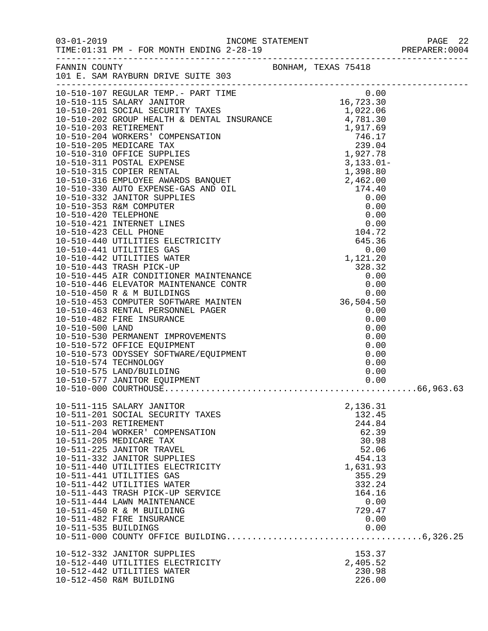|                      |                                                          |  |                 | PREPARER: 0004 |
|----------------------|----------------------------------------------------------|--|-----------------|----------------|
|                      |                                                          |  |                 |                |
|                      |                                                          |  |                 |                |
|                      |                                                          |  |                 |                |
|                      |                                                          |  |                 |                |
|                      |                                                          |  |                 |                |
|                      |                                                          |  |                 |                |
|                      |                                                          |  |                 |                |
|                      |                                                          |  |                 |                |
|                      |                                                          |  |                 |                |
|                      |                                                          |  |                 |                |
|                      |                                                          |  |                 |                |
|                      |                                                          |  |                 |                |
|                      |                                                          |  |                 |                |
|                      |                                                          |  |                 |                |
|                      |                                                          |  |                 |                |
|                      |                                                          |  |                 |                |
|                      |                                                          |  |                 |                |
|                      |                                                          |  |                 |                |
|                      |                                                          |  |                 |                |
|                      |                                                          |  |                 |                |
|                      |                                                          |  |                 |                |
|                      |                                                          |  |                 |                |
|                      |                                                          |  |                 |                |
|                      |                                                          |  |                 |                |
|                      |                                                          |  |                 |                |
|                      |                                                          |  |                 |                |
|                      |                                                          |  |                 |                |
|                      |                                                          |  |                 |                |
|                      |                                                          |  |                 |                |
|                      |                                                          |  |                 |                |
|                      |                                                          |  |                 |                |
|                      |                                                          |  |                 |                |
|                      |                                                          |  |                 |                |
|                      | 10-511-115 SALARY JANITOR                                |  | 2,136.31        |                |
|                      | 10-511-201 SOCIAL SECURITY TAXES                         |  | 132.45          |                |
|                      | 10-511-203 RETIREMENT<br>10-511-204 WORKER' COMPENSATION |  | 244.84<br>62.39 |                |
|                      | 10-511-205 MEDICARE TAX                                  |  | 30.98           |                |
|                      | 10-511-225 JANITOR TRAVEL                                |  | 52.06           |                |
|                      | 10-511-332 JANITOR SUPPLIES                              |  | 454.13          |                |
|                      | 10-511-440 UTILITIES ELECTRICITY                         |  | 1,631.93        |                |
|                      | 10-511-441 UTILITIES GAS                                 |  | 355.29          |                |
|                      | 10-511-442 UTILITIES WATER                               |  | 332.24          |                |
|                      | 10-511-443 TRASH PICK-UP SERVICE                         |  | 164.16          |                |
|                      | 10-511-444 LAWN MAINTENANCE                              |  | 0.00            |                |
|                      | 10-511-450 R & M BUILDING<br>10-511-482 FIRE INSURANCE   |  | 729.47<br>0.00  |                |
| 10-511-535 BUILDINGS |                                                          |  | 0.00            |                |
|                      |                                                          |  |                 |                |
|                      | 10-512-332 JANITOR SUPPLIES                              |  | 153.37          |                |
|                      | 10-512-440 UTILITIES ELECTRICITY                         |  | 2,405.52        |                |
|                      | 10-512-442 UTILITIES WATER                               |  | 230.98          |                |
|                      | 10-512-450 R&M BUILDING                                  |  | 226.00          |                |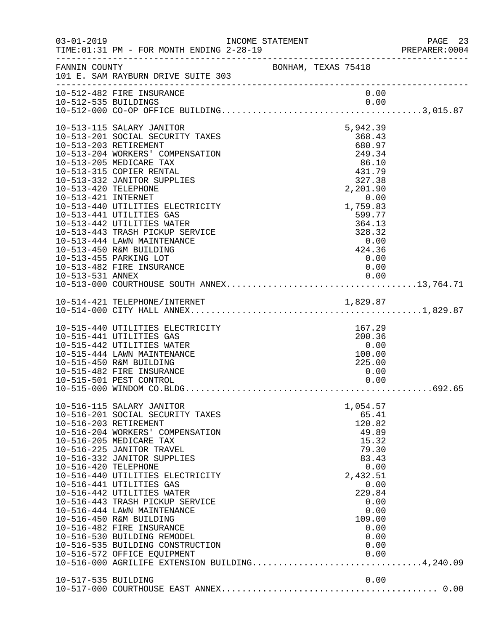| FANNIN COUNTY BONHAM, TEXAS 75418<br>101 E. SAM RAYBURN DRIVE SUITE 303<br>10-512-482 FIRE INSURANCE<br>0.00<br>10-513-115 SALARY JANITOR<br>5,942.39<br>10-513-201 SOCIAL SECURITY TAXES<br>368.43<br>10-513-203 RETIREMENT<br>680.97<br>249.34<br>10-513-204 WORKERS' COMPENSATION<br>10-513-205 MEDICARE TAX<br>$\begin{array}{r} 86.10 \\ 431.79 \\ 327.38 \\ 2,201.90 \end{array}$<br>10-513-315 COPIER RENTAL<br>10-513-332 JANITOR SUPPLIES<br>2,201.90<br>10-513-420 TELEPHONE<br>10-513-421 INTERNET<br>0.00<br>1,759.83<br>10-513-440 UTILITIES ELECTRICITY<br>10-513-441 UTILITIES GAS<br>599.77<br>364.13<br>10-513-442 UTILITIES WATER<br>328.32<br>10-513-443 TRASH PICKUP SERVICE<br>10-513-444 LAWN MAINTENANCE<br>0.00<br>10-513-450 R&M BUILDING<br>424.36<br>10-513-455 PARKING LOT<br>0.00<br>10-513-482 FIRE INSURANCE<br>0.00<br>10-513-531 ANNEX<br>0.00<br>167.29<br>10-515-440 UTILITIES ELECTRICITY<br>10-515-441 UTILITIES GAS<br>200.36<br>10-515-442 UTILITIES WATER<br>0.00<br>10-515-444 LAWN MAINTENANCE<br>100.00<br>10-515-450 R&M BUILDING<br>225.00<br>10-515-482 FIRE INSURANCE<br>0.00<br>10-515-501 PEST CONTROL<br>0.00<br>10-516-115 SALARY JANITOR<br>1,054.57<br>10-516-201 SOCIAL SECURITY TAXES<br>65.41<br>120.82<br>10-516-203 RETIREMENT<br>49.89<br>10-516-204 WORKERS' COMPENSATION<br>15.32<br>10-516-205 MEDICARE TAX<br>79.30<br>10-516-225 JANITOR TRAVEL<br>83.43<br>10-516-332 JANITOR SUPPLIES<br>0.00<br>10-516-420 TELEPHONE<br>2,432.51<br>10-516-440 UTILITIES ELECTRICITY<br>10-516-441 UTILITIES GAS<br>0.00<br>10-516-442 UTILITIES WATER<br>229.84<br>10-516-443 TRASH PICKUP SERVICE<br>0.00<br>10-516-444 LAWN MAINTENANCE<br>0.00<br>10-516-450 R&M BUILDING<br>109.00<br>10-516-482 FIRE INSURANCE<br>0.00<br>10-516-530 BUILDING REMODEL<br>0.00<br>10-516-535 BUILDING CONSTRUCTION<br>0.00<br>0.00<br>10-516-572 OFFICE EQUIPMENT<br>10-516-572 OFFICE EQUIPMENT 0.00<br>10-516-000 AGRILIFE EXTENSION BUILDING4,240.09<br>0.00<br>10-517-535 BUILDING | 03-01-2019 INCOME STATEMENT<br>TIME: 01:31 PM - FOR MONTH ENDING 2-28-19 |  |  | PAGE 23<br>PREPARER: 0004 |
|--------------------------------------------------------------------------------------------------------------------------------------------------------------------------------------------------------------------------------------------------------------------------------------------------------------------------------------------------------------------------------------------------------------------------------------------------------------------------------------------------------------------------------------------------------------------------------------------------------------------------------------------------------------------------------------------------------------------------------------------------------------------------------------------------------------------------------------------------------------------------------------------------------------------------------------------------------------------------------------------------------------------------------------------------------------------------------------------------------------------------------------------------------------------------------------------------------------------------------------------------------------------------------------------------------------------------------------------------------------------------------------------------------------------------------------------------------------------------------------------------------------------------------------------------------------------------------------------------------------------------------------------------------------------------------------------------------------------------------------------------------------------------------------------------------------------------------------------------------------------------------------------------------------------------------------------------------------------------------------------------------------------------------|--------------------------------------------------------------------------|--|--|---------------------------|
|                                                                                                                                                                                                                                                                                                                                                                                                                                                                                                                                                                                                                                                                                                                                                                                                                                                                                                                                                                                                                                                                                                                                                                                                                                                                                                                                                                                                                                                                                                                                                                                                                                                                                                                                                                                                                                                                                                                                                                                                                                |                                                                          |  |  |                           |
|                                                                                                                                                                                                                                                                                                                                                                                                                                                                                                                                                                                                                                                                                                                                                                                                                                                                                                                                                                                                                                                                                                                                                                                                                                                                                                                                                                                                                                                                                                                                                                                                                                                                                                                                                                                                                                                                                                                                                                                                                                |                                                                          |  |  |                           |
|                                                                                                                                                                                                                                                                                                                                                                                                                                                                                                                                                                                                                                                                                                                                                                                                                                                                                                                                                                                                                                                                                                                                                                                                                                                                                                                                                                                                                                                                                                                                                                                                                                                                                                                                                                                                                                                                                                                                                                                                                                |                                                                          |  |  |                           |
|                                                                                                                                                                                                                                                                                                                                                                                                                                                                                                                                                                                                                                                                                                                                                                                                                                                                                                                                                                                                                                                                                                                                                                                                                                                                                                                                                                                                                                                                                                                                                                                                                                                                                                                                                                                                                                                                                                                                                                                                                                |                                                                          |  |  |                           |
|                                                                                                                                                                                                                                                                                                                                                                                                                                                                                                                                                                                                                                                                                                                                                                                                                                                                                                                                                                                                                                                                                                                                                                                                                                                                                                                                                                                                                                                                                                                                                                                                                                                                                                                                                                                                                                                                                                                                                                                                                                |                                                                          |  |  |                           |
|                                                                                                                                                                                                                                                                                                                                                                                                                                                                                                                                                                                                                                                                                                                                                                                                                                                                                                                                                                                                                                                                                                                                                                                                                                                                                                                                                                                                                                                                                                                                                                                                                                                                                                                                                                                                                                                                                                                                                                                                                                |                                                                          |  |  |                           |
|                                                                                                                                                                                                                                                                                                                                                                                                                                                                                                                                                                                                                                                                                                                                                                                                                                                                                                                                                                                                                                                                                                                                                                                                                                                                                                                                                                                                                                                                                                                                                                                                                                                                                                                                                                                                                                                                                                                                                                                                                                |                                                                          |  |  |                           |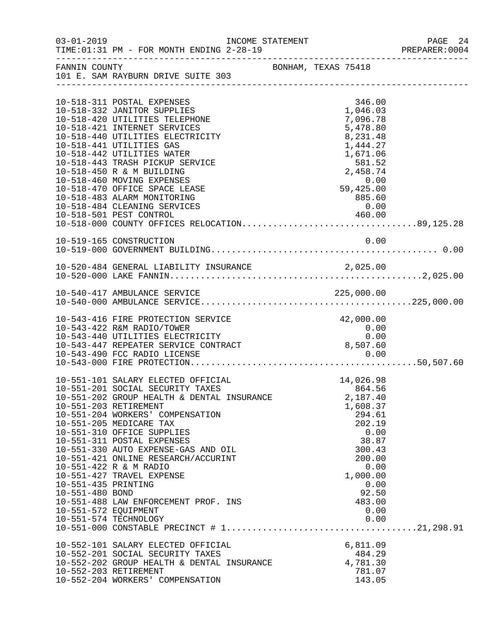|                                        | $03 - 01 - 2019$<br>TIME: 01:31 PM - FOR MONTH ENDING 2-28-19                                                                                  | INCOME STATEMENT    |                                             |                                  |              | PAGE 24<br>PREPARER: 0004 |
|----------------------------------------|------------------------------------------------------------------------------------------------------------------------------------------------|---------------------|---------------------------------------------|----------------------------------|--------------|---------------------------|
| FANNIN COUNTY                          | 101 E. SAM RAYBURN DRIVE SUITE 303                                                                                                             | BONHAM, TEXAS 75418 |                                             |                                  |              |                           |
|                                        | 10-518-311 POSTAL EXPENSES<br>10-518-332 JANITOR SUPPLIES                                                                                      |                     |                                             | 346.00<br>1,046.03               |              |                           |
|                                        | 10-518-420 UTILITIES TELEPHONE<br>10-518-421 INTERNET SERVICES<br>10-518-440 UTILITIES ELECTRICITY                                             |                     |                                             | 7,096.78<br>5,478.80<br>8,231.48 |              |                           |
|                                        | 10-518-441 UTILITIES GAS<br>10-518-442 UTILITIES WATER<br>10-518-443 TRASH PICKUP SERVICE                                                      |                     |                                             | 1,444.27<br>1,671.06             |              |                           |
|                                        | 10-518-450 R & M BUILDING<br>10-518-460 MOVING EXPENSES<br>10-518-470 OFFICE SPACE LEASE                                                       |                     | $581.52$<br>2,458.74<br>$0.00$<br>59,425.00 |                                  |              |                           |
|                                        | 10-518-483 ALARM MONITORING<br>10-518-484 CLEANING SERVICES<br>10-518-501 PEST CONTROL 460.00<br>10-518-000 COUNTY OFFICES RELOCATION89,125.28 |                     |                                             | 885.60<br>0.00                   |              |                           |
|                                        | 10-519-165 CONSTRUCTION                                                                                                                        |                     |                                             |                                  | 0.00         |                           |
|                                        |                                                                                                                                                |                     |                                             |                                  |              |                           |
|                                        |                                                                                                                                                |                     |                                             |                                  |              |                           |
|                                        |                                                                                                                                                |                     |                                             |                                  |              |                           |
|                                        | 10-543-416 FIRE PROTECTION SERVICE<br>10-543-422 R&M RADIO/TOWER<br>10-543-440 UTILITIES ELECTRICITY                                           |                     |                                             | 42,000.00<br>0.00                | 0.00         |                           |
|                                        | 10-543-447 REPEATER SERVICE CONTRACT<br>10-543-490 FCC RADIO LICENSE                                                                           |                     | 8,507.60                                    | 0.00                             |              |                           |
|                                        | 10-551-101 SALARY ELECTED OFFICIAL<br>10-551-201 SOCIAL SECURITY TAXES                                                                         |                     |                                             | 14,026.98<br>864.56              |              |                           |
|                                        | 10-551-202 GROUP HEALTH & DENTAL INSURANCE<br>10-551-203 RETIREMENT<br>10-551-204 WORKERS' COMPENSATION                                        |                     |                                             | 2,187.40<br>1,608.37<br>294.61   |              |                           |
|                                        | 10-551-205 MEDICARE TAX<br>10-551-310 OFFICE SUPPLIES<br>10-551-311 POSTAL EXPENSES                                                            |                     |                                             | 202.19<br>38.87                  | 0.00         |                           |
|                                        | 10-551-330 AUTO EXPENSE-GAS AND OIL<br>10-551-421 ONLINE RESEARCH/ACCURINT<br>10-551-422 R & M RADIO                                           |                     |                                             | 300.43<br>200.00                 | 0.00         |                           |
| 10-551-435 PRINTING<br>10-551-480 BOND | 10-551-427 TRAVEL EXPENSE                                                                                                                      |                     |                                             | 1,000.00<br>92.50                | 0.00         |                           |
| 10-551-572 EQUIPMENT                   | 10-551-488 LAW ENFORCEMENT PROF. INS<br>10-551-574 TECHNOLOGY                                                                                  |                     |                                             | 483.00                           | 0.00<br>0.00 |                           |
|                                        |                                                                                                                                                |                     |                                             |                                  |              |                           |
|                                        | 10-552-101 SALARY ELECTED OFFICIAL<br>10-552-201 SOCIAL SECURITY TAXES<br>10-552-202 GROUP HEALTH & DENTAL INSURANCE                           |                     |                                             | 6,811.09<br>484.29<br>4,781.30   |              |                           |
|                                        | 10-552-203 RETIREMENT<br>10-552-204 WORKERS' COMPENSATION                                                                                      |                     |                                             | 781.07<br>143.05                 |              |                           |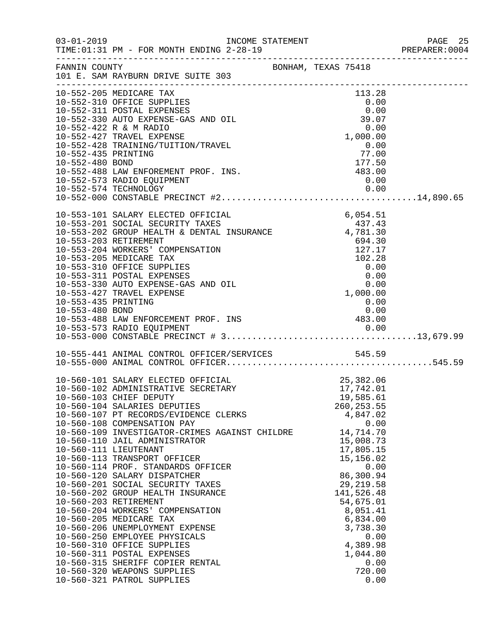|                     |                                                                                                          |                         |                          | PREPARER: 0004 |
|---------------------|----------------------------------------------------------------------------------------------------------|-------------------------|--------------------------|----------------|
|                     | FANNIN COUNTY<br>101 E. SAM RAYBURN DRIVE SUITE 303                                                      |                         |                          |                |
|                     |                                                                                                          |                         |                          |                |
|                     | 10-552-205 MEDICARE TAX                                                                                  |                         | 113.28                   |                |
|                     | 10-552-310 OFFICE SUPPLIES                                                                               |                         | 0.00                     |                |
|                     | 10-552-311 POSTAL EXPENSES<br>10-552-330 AUTO EXPENSE-GAS AND OIL                                        |                         | 0.00<br>39.07            |                |
|                     | 10-552-422 R & M RADIO                                                                                   |                         | 0.00                     |                |
|                     | 10-552-427 TRAVEL EXPENSE                                                                                |                         | 1,000.00                 |                |
|                     | 10-552-428 TRAINING/TUITION/TRAVEL                                                                       |                         | 0.00                     |                |
| 10-552-435 PRINTING |                                                                                                          |                         | 77.00                    |                |
| 10-552-480 BOND     |                                                                                                          | $\frac{177.50}{483.00}$ |                          |                |
|                     | 10-552-488 LAW ENFOREMENT PROF. INS.                                                                     |                         |                          |                |
|                     | 10-552-573 RADIO EQUIPMENT                                                                               |                         | 0.00                     |                |
|                     |                                                                                                          |                         |                          |                |
|                     |                                                                                                          |                         |                          |                |
|                     | 10-553-101 SALARY ELECTED OFFICIAL                                                                       |                         | 6,054.51                 |                |
|                     | 10-553-201 SOCIAL SECURITY TAXES                                                                         |                         | 437.43                   |                |
|                     | 10-553-202 GROUP HEALTH & DENTAL INSURANCE 437.43<br>10-553-202 GROUP HEALTH & DENTAL INSURANCE 4,781.30 |                         |                          |                |
|                     | 10-553-203 RETIREMENT                                                                                    |                         | 694.30                   |                |
|                     | 10-553-204 WORKERS' COMPENSATION                                                                         |                         | 127.17                   |                |
|                     | 10-553-205 MEDICARE TAX                                                                                  |                         | 102.28                   |                |
|                     | 10-553-310 OFFICE SUPPLIES                                                                               |                         | 0.00                     |                |
|                     | 10-553-311 POSTAL EXPENSES<br>10-553-330 AUTO EXPENSE-GAS AND OIL                                        |                         | 0.00<br>0.00             |                |
|                     | 10-553-427 TRAVEL EXPENSE                                                                                |                         | 1,000.00                 |                |
| 10-553-435 PRINTING |                                                                                                          |                         | 0.00                     |                |
| 10-553-480 BOND     |                                                                                                          |                         | 0.00                     |                |
|                     | 10-553-488 LAW ENFORCEMENT PROF. INS<br>10-553-573 RADIO EQUIPMENT<br>10-553-573 RADIO EQUIPMENT         |                         |                          |                |
|                     |                                                                                                          |                         |                          |                |
|                     |                                                                                                          |                         |                          |                |
|                     |                                                                                                          |                         |                          |                |
|                     |                                                                                                          |                         |                          |                |
|                     |                                                                                                          |                         |                          |                |
|                     | 10-560-101 SALARY ELECTED OFFICIAL<br>10-560-102 ADMINISTRATIVE SECRETARY                                |                         | 25,382.06                |                |
|                     | 10-560-103 CHIEF DEPUTY                                                                                  |                         | 17,742.01<br>19,585.61   |                |
|                     | 10-560-104 SALARIES DEPUTIES                                                                             |                         | 260, 253.55              |                |
|                     | 10-560-107 PT RECORDS/EVIDENCE CLERKS                                                                    |                         | 4,847.02                 |                |
|                     | 10-560-108 COMPENSATION PAY                                                                              |                         | 0.00                     |                |
|                     | 10-560-109 INVESTIGATOR-CRIMES AGAINST CHILDRE                                                           |                         | 14,714.70                |                |
|                     | 10-560-110 JAIL ADMINISTRATOR                                                                            |                         | 15,008.73                |                |
|                     | 10-560-111 LIEUTENANT                                                                                    |                         | 17,805.15                |                |
|                     | 10-560-113 TRANSPORT OFFICER                                                                             |                         | 15,156.02                |                |
|                     | 10-560-114 PROF. STANDARDS OFFICER                                                                       |                         | 0.00                     |                |
|                     | 10-560-120 SALARY DISPATCHER<br>10-560-201 SOCIAL SECURITY TAXES                                         |                         | 86,300.94                |                |
|                     | 10-560-202 GROUP HEALTH INSURANCE                                                                        |                         | 29, 219.58<br>141,526.48 |                |
|                     | 10-560-203 RETIREMENT                                                                                    |                         | 54,675.01                |                |
|                     | 10-560-204 WORKERS' COMPENSATION                                                                         |                         | 8,051.41                 |                |
|                     | 10-560-205 MEDICARE TAX                                                                                  |                         | 6,834.00                 |                |
|                     | 10-560-206 UNEMPLOYMENT EXPENSE                                                                          |                         | 3,738.30                 |                |
|                     | 10-560-250 EMPLOYEE PHYSICALS                                                                            |                         | 0.00                     |                |
|                     | 10-560-310 OFFICE SUPPLIES                                                                               |                         | 4,389.98                 |                |
|                     | 10-560-311 POSTAL EXPENSES                                                                               |                         | 1,044.80                 |                |
|                     | 10-560-315 SHERIFF COPIER RENTAL                                                                         |                         | 0.00                     |                |
|                     | 10-560-320 WEAPONS SUPPLIES<br>10-560-321 PATROL SUPPLIES                                                |                         | 720.00<br>0.00           |                |
|                     |                                                                                                          |                         |                          |                |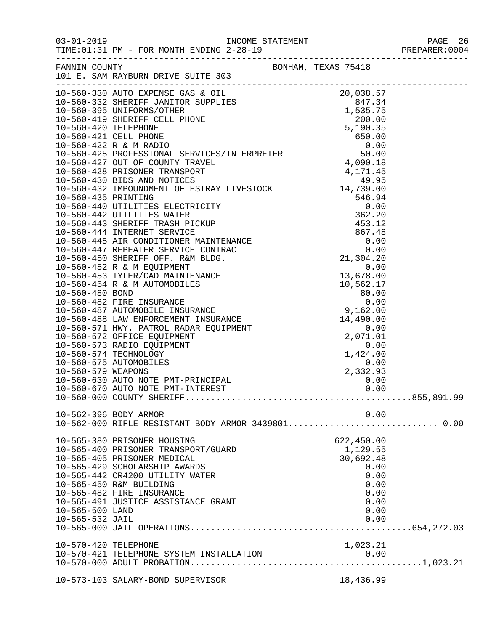|                 | 03-01-2019   INCOME STATEMENT<br>TIME:01:31 PM - FOR MONTH ENDING 2-28-19 |            | PAGE 26<br>PREPARER: 0004 |
|-----------------|---------------------------------------------------------------------------|------------|---------------------------|
|                 | FANNIN COUNTY                                                             |            |                           |
|                 |                                                                           |            |                           |
|                 |                                                                           |            |                           |
|                 |                                                                           |            |                           |
|                 |                                                                           |            |                           |
|                 |                                                                           |            |                           |
|                 |                                                                           |            |                           |
|                 |                                                                           |            |                           |
|                 |                                                                           |            |                           |
|                 |                                                                           |            |                           |
|                 |                                                                           |            |                           |
|                 |                                                                           |            |                           |
|                 |                                                                           |            |                           |
|                 |                                                                           |            |                           |
|                 |                                                                           |            |                           |
|                 |                                                                           |            |                           |
|                 |                                                                           |            |                           |
|                 |                                                                           |            |                           |
|                 |                                                                           |            |                           |
|                 |                                                                           |            |                           |
|                 |                                                                           |            |                           |
|                 |                                                                           |            |                           |
|                 |                                                                           |            |                           |
|                 |                                                                           |            |                           |
|                 |                                                                           |            |                           |
|                 |                                                                           |            |                           |
|                 |                                                                           |            |                           |
|                 |                                                                           |            |                           |
|                 |                                                                           |            |                           |
|                 |                                                                           |            |                           |
|                 |                                                                           |            |                           |
|                 |                                                                           |            |                           |
|                 |                                                                           |            |                           |
|                 |                                                                           |            |                           |
|                 |                                                                           |            |                           |
|                 | 10-562-396 BODY ARMOR                                                     | 0.00       |                           |
|                 |                                                                           |            |                           |
|                 | 10-565-380 PRISONER HOUSING                                               | 622,450.00 |                           |
|                 | 10-565-400 PRISONER TRANSPORT/GUARD                                       | 1,129.55   |                           |
|                 | 10-565-405 PRISONER MEDICAL                                               | 30,692.48  |                           |
|                 | 10-565-429 SCHOLARSHIP AWARDS                                             | 0.00       |                           |
|                 | 10-565-442 CR4200 UTILITY WATER                                           | 0.00       |                           |
|                 | 10-565-450 R&M BUILDING                                                   | 0.00       |                           |
|                 | 10-565-482 FIRE INSURANCE                                                 | 0.00       |                           |
|                 | 10-565-491 JUSTICE ASSISTANCE GRANT                                       | 0.00       |                           |
| 10-565-500 LAND |                                                                           | 0.00       |                           |
| 10-565-532 JAIL |                                                                           | 0.00       |                           |
|                 |                                                                           |            |                           |
|                 |                                                                           |            |                           |
|                 |                                                                           |            |                           |
|                 |                                                                           |            |                           |
|                 | 10-573-103 SALARY-BOND SUPERVISOR                                         | 18,436.99  |                           |
|                 |                                                                           |            |                           |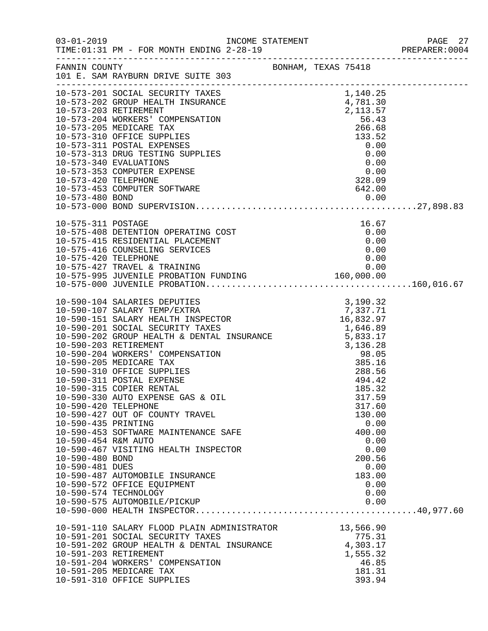|                      |                                                                                                                                                                                                                                                                                                                                                                        |  |                 | PREPARER: 0004 |
|----------------------|------------------------------------------------------------------------------------------------------------------------------------------------------------------------------------------------------------------------------------------------------------------------------------------------------------------------------------------------------------------------|--|-----------------|----------------|
|                      | FANNIN COUNTY BONHAM, TEXAS 75418<br>101 E. SAM RAYBURN DRIVE SUITE 303                                                                                                                                                                                                                                                                                                |  |                 |                |
|                      | 10-573-201 SOCIAL SECURITY TAXES<br>10-573-201 SOCIAL SECURITY TAXES<br>10-573-202 GROUP HEALTH INSURANCE<br>10-573-203 RETIREMENT<br>10-573-203 RETIREMENT<br>2,113.57<br>10-573-205 MEDICARE TAX<br>10-573-310 OFFICE SUPPLIES<br>10-573-311                                                                                                                         |  |                 |                |
|                      |                                                                                                                                                                                                                                                                                                                                                                        |  |                 |                |
|                      |                                                                                                                                                                                                                                                                                                                                                                        |  |                 |                |
|                      |                                                                                                                                                                                                                                                                                                                                                                        |  |                 |                |
|                      |                                                                                                                                                                                                                                                                                                                                                                        |  |                 |                |
|                      |                                                                                                                                                                                                                                                                                                                                                                        |  |                 |                |
|                      |                                                                                                                                                                                                                                                                                                                                                                        |  |                 |                |
|                      | 10-573-340 EVALUATIONS                                                                                                                                                                                                                                                                                                                                                 |  |                 |                |
|                      | FEINSE<br>FTWARE<br>FTWARE<br>228.09<br>10-573-353 COMPUTER EXPENSE                                                                                                                                                                                                                                                                                                    |  |                 |                |
| 10-573-420 TELEPHONE |                                                                                                                                                                                                                                                                                                                                                                        |  |                 |                |
|                      | 10-573-453 COMPUTER SOFTWARE                                                                                                                                                                                                                                                                                                                                           |  |                 |                |
|                      |                                                                                                                                                                                                                                                                                                                                                                        |  |                 |                |
|                      |                                                                                                                                                                                                                                                                                                                                                                        |  |                 |                |
| 10-575-311 POSTAGE   |                                                                                                                                                                                                                                                                                                                                                                        |  | 16.67           |                |
|                      | 10-575-408 DETENTION OPERATING COST<br>10-575-415 RESIDENTIAL PLACEMENT<br>10-575-415 RESIDENTIAL PLACEMENT<br>10-575-416 COUNSELING SERVICES<br>10-575-420 TELEPHONE                                                                                                                                                                                                  |  | $16.67$<br>0.00 |                |
|                      |                                                                                                                                                                                                                                                                                                                                                                        |  | 0.00            |                |
|                      |                                                                                                                                                                                                                                                                                                                                                                        |  | 0.00            |                |
|                      |                                                                                                                                                                                                                                                                                                                                                                        |  |                 |                |
|                      |                                                                                                                                                                                                                                                                                                                                                                        |  |                 |                |
|                      | 10-575-427 TRAVEL & TRAINING<br>10-575-995 JUVENILE PROBATION FUNDING 10-575-995 JUVENILE PROBATION FUNDING 160,000.00                                                                                                                                                                                                                                                 |  |                 |                |
|                      |                                                                                                                                                                                                                                                                                                                                                                        |  |                 |                |
|                      | $\begin{tabular}{lllllllllllllllllllllllllllllllllllll} 10-590-104 & \text{SALARIES DEPUTIES} & 3,190.32 \\ 10-590-107 & \text{SALARY TEMP/EXTRA} & 7,337.71 \\ 10-590-151 & \text{SALARY HEADITH INSDECTOR} & 16,832.97 \\ 10-590-201 & \text{SOCIAL SECURITY TAXES} & 1,646.89 \\ 10-590-202 & \text{GROUP HEADITH & \text{DENTAL INSURANCE} & 5,833.17 \\ 10-590-2$ |  |                 |                |
|                      |                                                                                                                                                                                                                                                                                                                                                                        |  |                 |                |
|                      |                                                                                                                                                                                                                                                                                                                                                                        |  |                 |                |
|                      |                                                                                                                                                                                                                                                                                                                                                                        |  |                 |                |
|                      |                                                                                                                                                                                                                                                                                                                                                                        |  |                 |                |
|                      |                                                                                                                                                                                                                                                                                                                                                                        |  |                 |                |
|                      |                                                                                                                                                                                                                                                                                                                                                                        |  |                 |                |
|                      | 10-590-311 POSTAL EXPENSE                                                                                                                                                                                                                                                                                                                                              |  | 494.42          |                |
|                      | 10-590-315 COPIER RENTAL                                                                                                                                                                                                                                                                                                                                               |  | 185.32          |                |
|                      | 10-590-330 AUTO EXPENSE GAS & OIL                                                                                                                                                                                                                                                                                                                                      |  | 317.59          |                |
| 10-590-420 TELEPHONE |                                                                                                                                                                                                                                                                                                                                                                        |  | 317.60          |                |
|                      | 10-590-427 OUT OF COUNTY TRAVEL                                                                                                                                                                                                                                                                                                                                        |  | 130.00          |                |
| 10-590-435 PRINTING  |                                                                                                                                                                                                                                                                                                                                                                        |  | 0.00            |                |
| 10-590-454 R&M AUTO  | 10-590-453 SOFTWARE MAINTENANCE SAFE                                                                                                                                                                                                                                                                                                                                   |  | 400.00<br>0.00  |                |
|                      | 10-590-467 VISITING HEALTH INSPECTOR                                                                                                                                                                                                                                                                                                                                   |  | 0.00            |                |
| 10-590-480 BOND      |                                                                                                                                                                                                                                                                                                                                                                        |  | 200.56          |                |
| 10-590-481 DUES      |                                                                                                                                                                                                                                                                                                                                                                        |  | 0.00            |                |
|                      | 10-590-487 AUTOMOBILE INSURANCE                                                                                                                                                                                                                                                                                                                                        |  | 183.00          |                |
|                      | 10-590-572 OFFICE EQUIPMENT                                                                                                                                                                                                                                                                                                                                            |  | 0.00            |                |
|                      | 10-590-574 TECHNOLOGY                                                                                                                                                                                                                                                                                                                                                  |  | 0.00            |                |
|                      |                                                                                                                                                                                                                                                                                                                                                                        |  |                 |                |
|                      |                                                                                                                                                                                                                                                                                                                                                                        |  |                 |                |
|                      | 10-591-110 SALARY FLOOD PLAIN ADMINISTRATOR 13,566.90<br>10-591-201 SOCIAL SECURITY TAXES 775.31                                                                                                                                                                                                                                                                       |  |                 |                |
|                      | 10-591-201 SOCIAL SECURITY TAXES<br>10-591-202 GROUP HEALTH & DENTAL INSURANCE 4,303.17                                                                                                                                                                                                                                                                                |  | 775.31          |                |
|                      | 10-591-203 RETIREMENT                                                                                                                                                                                                                                                                                                                                                  |  | 1,555.32        |                |
|                      | 10-591-204 WORKERS' COMPENSATION                                                                                                                                                                                                                                                                                                                                       |  | 46.85           |                |
|                      | 10-591-205 MEDICARE TAX                                                                                                                                                                                                                                                                                                                                                |  | 181.31          |                |
|                      | 10-591-310 OFFICE SUPPLIES                                                                                                                                                                                                                                                                                                                                             |  | 393.94          |                |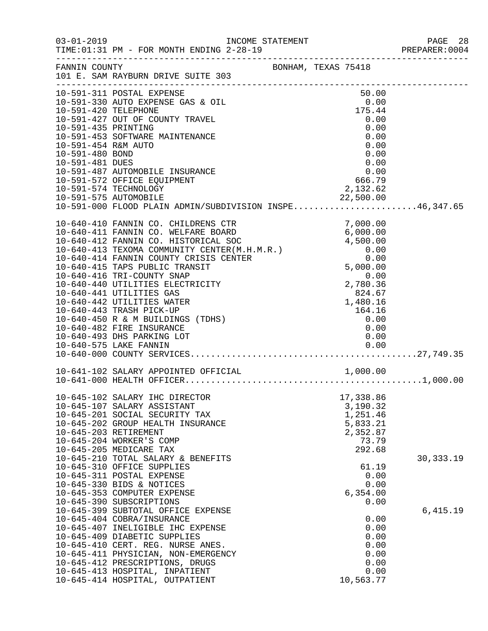|                                                                                                          | 03-01-2019 INCOME STATEMENT<br>TIME: 01:31 PM - FOR MONTH ENDING 2-28-19                                                                                                                                                                                                                                                                                                                                                                                                                                                   |  |                                                                                                                            | PAGE 28<br>PREPARER: 0004 |
|----------------------------------------------------------------------------------------------------------|----------------------------------------------------------------------------------------------------------------------------------------------------------------------------------------------------------------------------------------------------------------------------------------------------------------------------------------------------------------------------------------------------------------------------------------------------------------------------------------------------------------------------|--|----------------------------------------------------------------------------------------------------------------------------|---------------------------|
|                                                                                                          | FANNIN COUNTY<br>BONHAM, TEXAS 75418<br>101 E. SAM RAYBURN DRIVE SUITE 303                                                                                                                                                                                                                                                                                                                                                                                                                                                 |  |                                                                                                                            |                           |
| 10-591-420 TELEPHONE<br>10-591-435 PRINTING<br>10-591-454 R&M AUTO<br>10-591-480 BOND<br>10-591-481 DUES | 10-591-311 POSTAL EXPENSE<br>10-591-330 AUTO EXPENSE GAS & OIL<br>10-591-427 OUT OF COUNTY TRAVEL<br>10-591-453 SOFTWARE MAINTENANCE<br>10-591-487 AUTOMOBILE INSURANCE<br>10-591-572 OFFICE EQUIPMENT                                                                                                                                                                                                                                                                                                                     |  | 50.00<br>$0.00$<br>175.44<br>0.00<br>0.00<br>0.00<br>0.00<br>0.00<br>0.00<br>$\begin{array}{c} 0.00 \\ 666.79 \end{array}$ |                           |
|                                                                                                          | 10-591-574 TECHNOLOGY                                                                                                                                                                                                                                                                                                                                                                                                                                                                                                      |  | 2,132.62                                                                                                                   |                           |
|                                                                                                          | 10-591-575 AUTOMOBILE<br>10-591-000 FLOOD PLAIN ADMIN/SUBDIVISION INSPE46,347.65                                                                                                                                                                                                                                                                                                                                                                                                                                           |  |                                                                                                                            |                           |
|                                                                                                          | 10-591-000 FLOOD PLAIN ADMINIC.<br>10-640-410 FANNIN CO. CHILDRENS CTR<br>10-640-411 FANNIN CO. WELFARE BOARD<br>10-640-412 FANNIN CO. HISTORICAL SOC<br>10-640-413 TEXOMA COMMUNITY CENTER(M.H.M.R.)<br>10-640-413 TEXOMA COMMUNITY CEN<br>10-640-416 TRI-COUNTY SNAP<br>10-640-440 UTILITIES ELECTRICITY<br>10-640-441 UTILITIES GAS<br>10-640-442 UTILITIES WATER<br>10-640-443 TRASH PICK-UP<br>10-640-450 R & M BUILDINGS (TDHS)<br>10-640-482 FIRE INSURANCE<br>10-640-493 DHS PARKING LOT<br>10-640-575 LAKE FANNIN |  | $\begin{array}{r} 0.00 \\ 2,780.36 \\ 824.67 \\ 1,480.16 \end{array}$<br>164.16<br>0.00<br>0.00<br>0.00<br>0.00            |                           |
|                                                                                                          |                                                                                                                                                                                                                                                                                                                                                                                                                                                                                                                            |  |                                                                                                                            |                           |
|                                                                                                          |                                                                                                                                                                                                                                                                                                                                                                                                                                                                                                                            |  |                                                                                                                            |                           |
|                                                                                                          | 10-645-102 SALARY IHC DIRECTOR<br>10-645-107 SALARY ASSISTANT<br>10-645-201 SOCIAL SECURITY TAX<br>10-645-202 GROUP HEALTH INSURANCE<br>10-645-203 RETIREMENT<br>10-645-204 WORKER'S COMP<br>10-645-205 MEDICARE TAX<br>10-645-210 TOTAL SALARY & BENEFITS                                                                                                                                                                                                                                                                 |  | 17,338.86<br>3,190.32<br>1,251.46<br>5,833.21<br>2,352.87<br>73.79<br>292.68                                               | 30, 333. 19               |
|                                                                                                          | 10-645-310 OFFICE SUPPLIES<br>10-645-311 POSTAL EXPENSE<br>10-645-330 BIDS & NOTICES<br>10-645-353 COMPUTER EXPENSE<br>10-645-390 SUBSCRIPTIONS                                                                                                                                                                                                                                                                                                                                                                            |  | 61.19<br>0.00<br>0.00<br>6,354.00<br>0.00                                                                                  |                           |
|                                                                                                          | 10-645-399 SUBTOTAL OFFICE EXPENSE<br>10-645-404 COBRA/INSURANCE<br>10-645-407 INELIGIBLE IHC EXPENSE<br>10-645-409 DIABETIC SUPPLIES<br>10-645-410 CERT. REG. NURSE ANES.<br>10-645-411 PHYSICIAN, NON-EMERGENCY<br>10-645-412 PRESCRIPTIONS, DRUGS<br>10-645-413 HOSPITAL, INPATIENT<br>10-645-414 HOSPITAL, OUTPATIENT                                                                                                                                                                                                  |  | 0.00<br>0.00<br>0.00<br>0.00<br>0.00<br>0.00<br>0.00<br>10,563.77                                                          | 6,415.19                  |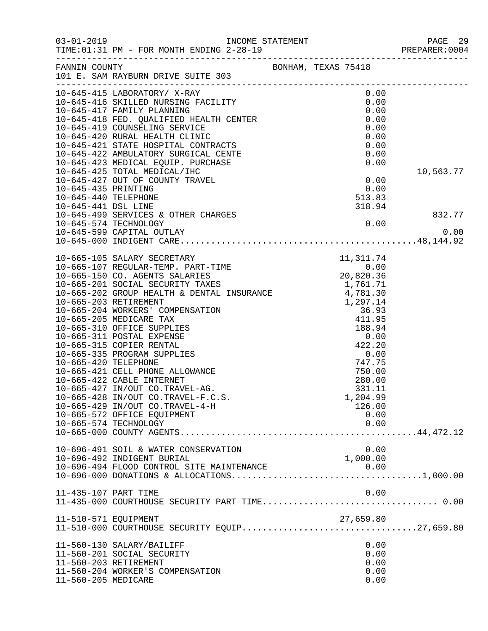| $03 - 01 - 2019$     |                                                                                           |                     | PAGE 29<br>PREPARER:0004<br>PAGE 29 |
|----------------------|-------------------------------------------------------------------------------------------|---------------------|-------------------------------------|
|                      | TIME: 01:31 PM - FOR MONTH ENDING 2-28-19                                                 |                     |                                     |
| FANNIN COUNTY        |                                                                                           | BONHAM, TEXAS 75418 |                                     |
|                      | 101 E. SAM RAYBURN DRIVE SUITE 303                                                        |                     |                                     |
|                      |                                                                                           | 0.00                |                                     |
|                      |                                                                                           | 0.00                |                                     |
|                      |                                                                                           | 0.00                |                                     |
|                      |                                                                                           | 0.00                |                                     |
|                      |                                                                                           | 0.00                |                                     |
|                      |                                                                                           | 0.00                |                                     |
|                      |                                                                                           | 0.00                |                                     |
|                      |                                                                                           | 0.00                |                                     |
|                      |                                                                                           | 0.00                |                                     |
|                      | 10-645-425 TOTAL MEDICAL/IHC                                                              |                     | 10,563.77                           |
|                      | 10-645-427 OUT OF COUNTY TRAVEL                                                           | 0.00                |                                     |
| 10-645-435 PRINTING  |                                                                                           | 0.00                |                                     |
| 10-645-440 TELEPHONE |                                                                                           | 513.83              |                                     |
| 10-645-441 DSL LINE  |                                                                                           | 318.94              |                                     |
|                      | 10-645-499 SERVICES & OTHER CHARGES<br>10-645-574 TECHNOLOGY<br>10-645-500 GARITAL OUTLAY |                     | 832.77                              |
|                      |                                                                                           | 0.00                |                                     |
|                      | 10-645-599 CAPITAL OUTLAY                                                                 |                     | 0.00                                |
|                      |                                                                                           |                     |                                     |
|                      |                                                                                           |                     |                                     |
|                      |                                                                                           |                     |                                     |
|                      |                                                                                           |                     |                                     |
|                      |                                                                                           |                     |                                     |
|                      |                                                                                           |                     |                                     |
|                      |                                                                                           |                     |                                     |
|                      |                                                                                           |                     |                                     |
|                      |                                                                                           |                     |                                     |
|                      |                                                                                           |                     |                                     |
|                      |                                                                                           |                     |                                     |
|                      |                                                                                           |                     |                                     |
|                      |                                                                                           |                     |                                     |
|                      |                                                                                           |                     |                                     |
|                      |                                                                                           |                     |                                     |
|                      |                                                                                           |                     |                                     |
|                      |                                                                                           |                     |                                     |
|                      | 10-665-428 IN/OUT CO.TRAVEL-F.C.S.                                                        | 1,204.99            |                                     |
|                      | 10-665-429 IN/OUT CO.TRAVEL-4-H                                                           | 126.00              |                                     |
|                      | 10-665-572 OFFICE EQUIPMENT                                                               | 0.00<br>0.00        |                                     |
|                      | 10-665-574 TECHNOLOGY                                                                     |                     |                                     |
|                      |                                                                                           |                     |                                     |
|                      | 10-696-491 SOIL & WATER CONSERVATION                                                      | 0.00                |                                     |
|                      | 10-696-492 INDIGENT BURIAL                                                                | 1,000.00            |                                     |
|                      |                                                                                           |                     |                                     |
|                      |                                                                                           |                     |                                     |
| 11-435-107 PART TIME |                                                                                           | 0.00                |                                     |
|                      | 11-435-000 COURTHOUSE SECURITY PART TIME 0.00                                             |                     |                                     |
|                      |                                                                                           |                     |                                     |
| 11-510-571 EQUIPMENT |                                                                                           | 27,659.80           |                                     |
|                      |                                                                                           |                     |                                     |
|                      | 11-560-130 SALARY/BAILIFF                                                                 | 0.00                |                                     |
|                      | 11-560-201 SOCIAL SECURITY                                                                | 0.00                |                                     |
|                      | 11-560-203 RETIREMENT                                                                     | 0.00                |                                     |
|                      | 11-560-204 WORKER'S COMPENSATION                                                          | 0.00                |                                     |
| 11-560-205 MEDICARE  |                                                                                           | 0.00                |                                     |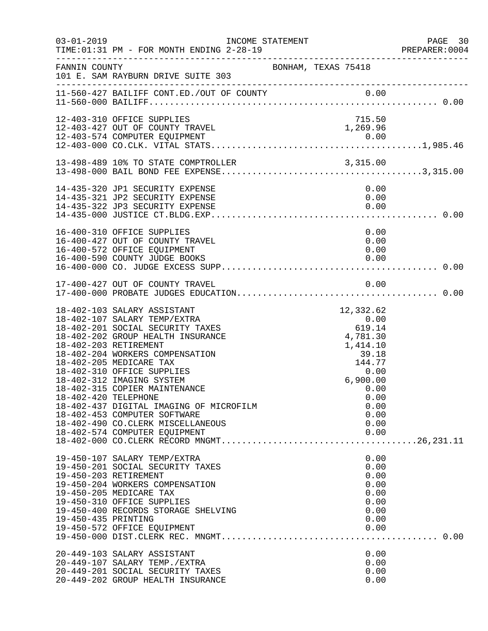| $03 - 01 - 2019$     | TIME: 01:31 PM - FOR MONTH ENDING 2-28-19                                                                                                                                                                                                                                                                                                                                                                                                                                | INCOME STATEMENT    |                                                                                                                                            | PAGE 30<br>PREPARER:0004 |
|----------------------|--------------------------------------------------------------------------------------------------------------------------------------------------------------------------------------------------------------------------------------------------------------------------------------------------------------------------------------------------------------------------------------------------------------------------------------------------------------------------|---------------------|--------------------------------------------------------------------------------------------------------------------------------------------|--------------------------|
| FANNIN COUNTY        | 101 E. SAM RAYBURN DRIVE SUITE 303                                                                                                                                                                                                                                                                                                                                                                                                                                       | BONHAM, TEXAS 75418 |                                                                                                                                            |                          |
|                      |                                                                                                                                                                                                                                                                                                                                                                                                                                                                          |                     |                                                                                                                                            |                          |
|                      | 12-403-310 OFFICE SUPPLIES<br>12-403-427 OUT OF COUNTY TRAVEL                                                                                                                                                                                                                                                                                                                                                                                                            |                     | 715.50<br>1,269.96                                                                                                                         |                          |
|                      |                                                                                                                                                                                                                                                                                                                                                                                                                                                                          |                     |                                                                                                                                            |                          |
|                      | 14-435-320 JP1 SECURITY EXPENSE<br>14-435-321 JP2 SECURITY EXPENSE<br>14-435-322 JP3 SECURITY EXPENSE                                                                                                                                                                                                                                                                                                                                                                    |                     | 0.00<br>0.00<br>0.00                                                                                                                       |                          |
|                      | 16-400-310 OFFICE SUPPLIES<br>16-400-427 OUT OF COUNTY TRAVEL<br>16-400-572 OFFICE EQUIPMENT<br>16-400-590 COUNTY JUDGE BOOKS                                                                                                                                                                                                                                                                                                                                            |                     | 0.00<br>0.00<br>0.00<br>0.00                                                                                                               |                          |
|                      |                                                                                                                                                                                                                                                                                                                                                                                                                                                                          |                     |                                                                                                                                            |                          |
| 18-402-420 TELEPHONE | 18-402-103 SALARY ASSISTANT<br>18-402-107 SALARY TEMP/EXTRA<br>18-402-201 SOCIAL SECURITY TAXES<br>18-402-202 GROUP HEALTH INSURANCE<br>18-402-203 RETIREMENT<br>18-402-204 WORKERS COMPENSATION<br>18-402-205 MEDICARE TAX<br>18-402-310 OFFICE SUPPLIES<br>18-402-312 IMAGING SYSTEM<br>18-402-315 COPIER MAINTENANCE<br>18-402-437 DIGITAL IMAGING OF MICROFILM<br>18-402-453 COMPUTER SOFTWARE<br>18-402-490 CO.CLERK MISCELLANEOUS<br>18-402-574 COMPUTER EQUIPMENT |                     | 12,332.62<br>0.00<br>619.14<br>4,781.30<br>1,414.10<br>39.18<br>144.77<br>0.00<br>6,900.00<br>0.00<br>0.00<br>0.00<br>0.00<br>0.00<br>0.00 |                          |
| 19-450-435 PRINTING  | 19-450-107 SALARY TEMP/EXTRA<br>19-450-201 SOCIAL SECURITY TAXES<br>19-450-203 RETIREMENT<br>19-450-204 WORKERS COMPENSATION<br>19-450-205 MEDICARE TAX<br>19-450-310 OFFICE SUPPLIES<br>19-450-400 RECORDS STORAGE SHELVING<br>19-450-572 OFFICE EQUIPMENT                                                                                                                                                                                                              |                     | 0.00<br>0.00<br>0.00<br>0.00<br>0.00<br>0.00<br>0.00<br>0.00<br>0.00                                                                       |                          |
|                      | 20-449-103 SALARY ASSISTANT<br>20-449-107 SALARY TEMP./EXTRA<br>20-449-201 SOCIAL SECURITY TAXES<br>20-449-202 GROUP HEALTH INSURANCE                                                                                                                                                                                                                                                                                                                                    |                     | 0.00<br>0.00<br>0.00<br>0.00                                                                                                               |                          |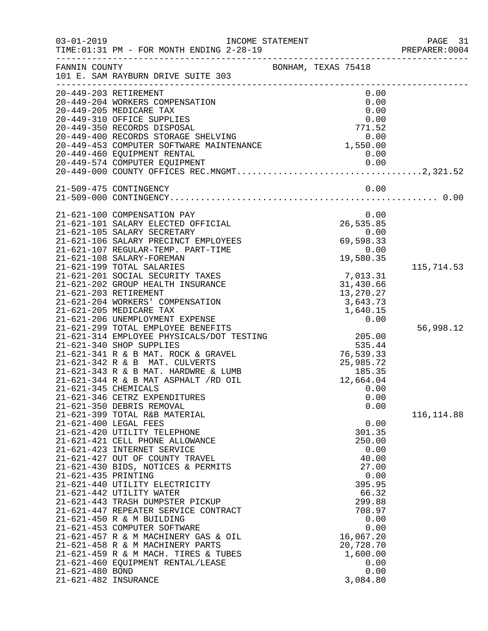| $03 - 01 - 2019$     | INCOME STATEMENT<br>TIME: 01:31 PM - FOR MONTH ENDING 2-28-19                                                            |                        | PAGE 31<br>PREPARER: 0004 |
|----------------------|--------------------------------------------------------------------------------------------------------------------------|------------------------|---------------------------|
| FANNIN COUNTY        | 101 E. SAM RAYBURN DRIVE SUITE 303                                                                                       | BONHAM, TEXAS 75418    |                           |
|                      | 20-449-203 RETIREMENT<br>20-449-204 WORKERS COMPENSATION                                                                 | 0.00<br>0.00           |                           |
|                      | 20-449-205 MEDICARE TAX                                                                                                  | 0.00                   |                           |
|                      | 20-449-310 OFFICE SUPPLIES                                                                                               | 0.00                   |                           |
|                      | 171.52<br>20-449-400 RECORDS STORAGE SHELVING<br>20-449-453 COMPUTER SOFTWARE MAINTENANCE<br>20-449-460 EQUIPMENT RENTAL |                        |                           |
|                      |                                                                                                                          |                        |                           |
|                      |                                                                                                                          |                        |                           |
|                      |                                                                                                                          |                        |                           |
|                      |                                                                                                                          |                        |                           |
|                      | 21-509-475 CONTINGENCY                                                                                                   | 0.00                   |                           |
|                      |                                                                                                                          |                        |                           |
|                      | 21-621-100 COMPENSATION PAY<br>21-621-101 SALARY ELECTED OFFICIAL                                                        | 0.00<br>26,535.85      |                           |
|                      | 21-621-105 SALARY SECRETARY                                                                                              | 0.00                   |                           |
|                      | 21-621-106 SALARY PRECINCT EMPLOYEES                                                                                     | 69,598.33              |                           |
|                      | 21-621-107 REGULAR-TEMP. PART-TIME                                                                                       | 0.00                   |                           |
|                      | 21-621-108 SALARY-FOREMAN                                                                                                | 19,580.35              |                           |
|                      | 21-621-199 TOTAL SALARIES                                                                                                |                        | 115,714.53                |
|                      | 21-621-201 SOCIAL SECURITY TAXES                                                                                         | 7,013.31               |                           |
|                      | 21-621-202 GROUP HEALTH INSURANCE<br>21-621-203 RETIREMENT                                                               | 31,430.66<br>13,270.27 |                           |
|                      | 21-621-204 WORKERS' COMPENSATION                                                                                         | 3,643.73               |                           |
|                      | 21-621-205 MEDICARE TAX                                                                                                  | 1,640.15               |                           |
|                      | 21-621-206 UNEMPLOYMENT EXPENSE                                                                                          | 0.00                   |                           |
|                      | 21-621-299 TOTAL EMPLOYEE BENEFITS                                                                                       |                        | 56,998.12                 |
|                      | 21-621-314 EMPLOYEE PHYSICALS/DOT TESTING                                                                                | 205.00                 |                           |
|                      | 21-621-340 SHOP SUPPLIES                                                                                                 | 535.44                 |                           |
|                      | 21-621-341 R & B MAT. ROCK & GRAVEL<br>21-621-342 R & B MAT. CULVERTS                                                    | 76,539.33<br>25,985.72 |                           |
|                      | 21-621-343 R & B MAT. HARDWRE & LUMB                                                                                     |                        |                           |
|                      | 21-621-344 R & B MAT ASPHALT /RD OIL                                                                                     | 185.35<br>12,664.04    |                           |
| 21-621-345 CHEMICALS |                                                                                                                          | 0.00                   |                           |
|                      | 21-621-346 CETRZ EXPENDITURES                                                                                            | 0.00                   |                           |
|                      | 21-621-350 DEBRIS REMOVAL                                                                                                | 0.00                   |                           |
|                      | 21-621-399 TOTAL R&B MATERIAL                                                                                            |                        | 116, 114.88               |
|                      | 21-621-400 LEGAL FEES<br>21-621-420 UTILITY TELEPHONE                                                                    | 0.00<br>301.35         |                           |
|                      | 21-621-421 CELL PHONE ALLOWANCE                                                                                          | 250.00                 |                           |
|                      | 21-621-423 INTERNET SERVICE                                                                                              | 0.00                   |                           |
|                      | 21-621-427 OUT OF COUNTY TRAVEL                                                                                          | 40.00                  |                           |
|                      | 21-621-430 BIDS, NOTICES & PERMITS                                                                                       | 27.00                  |                           |
| 21-621-435 PRINTING  |                                                                                                                          | 0.00                   |                           |
|                      | 21-621-440 UTILITY ELECTRICITY                                                                                           | 395.95                 |                           |
|                      | 21-621-442 UTILITY WATER<br>21-621-443 TRASH DUMPSTER PICKUP                                                             | 66.32<br>299.88        |                           |
|                      | 21-621-447 REPEATER SERVICE CONTRACT                                                                                     | 708.97                 |                           |
|                      | 21-621-450 R & M BUILDING                                                                                                | 0.00                   |                           |
|                      | 21-621-453 COMPUTER SOFTWARE                                                                                             | 0.00                   |                           |
|                      | 21-621-457 R & M MACHINERY GAS & OIL                                                                                     | 16,067.20              |                           |
|                      | 21-621-458 R & M MACHINERY PARTS                                                                                         | 20,728.70              |                           |
|                      | 21-621-459 R & M MACH. TIRES & TUBES                                                                                     | 1,600.00               |                           |
| 21-621-480 BOND      | 21-621-460 EQUIPMENT RENTAL/LEASE                                                                                        | 0.00<br>0.00           |                           |
| 21-621-482 INSURANCE |                                                                                                                          | 3,084.80               |                           |
|                      |                                                                                                                          |                        |                           |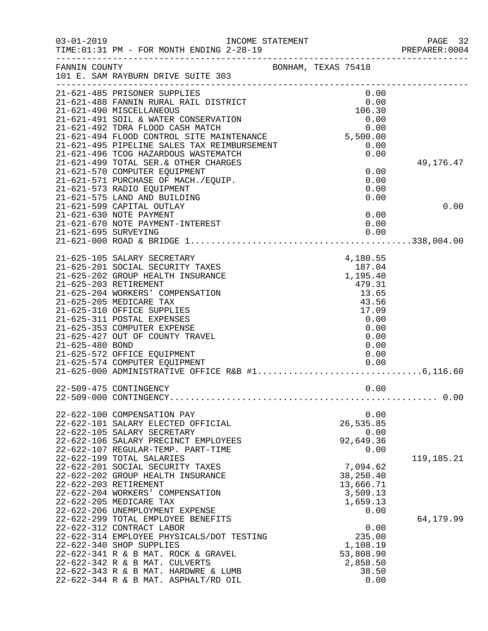| $03 - 01 - 2019$ | INCOME STATEMENT<br>TIME: 01:31 PM - FOR MONTH ENDING 2-28-19                                                                                                                                                                                                                                                              |                                                                                                     | PAGE 32<br>PREPARER:0004 |
|------------------|----------------------------------------------------------------------------------------------------------------------------------------------------------------------------------------------------------------------------------------------------------------------------------------------------------------------------|-----------------------------------------------------------------------------------------------------|--------------------------|
| FANNIN COUNTY    | 101 E. SAM RAYBURN DRIVE SUITE 303                                                                                                                                                                                                                                                                                         | BONHAM, TEXAS 75418                                                                                 |                          |
|                  | 21-621-485 PRISONER SUPPLIES<br>21-621-488 FANNIN RURAL RAIL DISTRICT<br>21-621-490 MISCELLANEOUS                                                                                                                                                                                                                          | 0.00<br>$0.00$<br>$0.00$<br>$106.30$                                                                |                          |
|                  | 21-621-491 SOIL & WATER CONSERVATION<br>21-621-492 TDRA FLOOD CASH MATCH<br>21-621-494 FLOOD CONTROL SITE MAINTENANCE<br>21-621-495 PIPELINE SALES TAX REIMBURSEMENT<br>21-621-496 TCOG HAZARDOUS WASTEMATCH                                                                                                               | 0.00<br>0.00<br>5,500.00<br>0.00<br>0.00                                                            |                          |
|                  | 21-621-499 TOTAL SER. & OTHER CHARGES<br>21-621-570 COMPUTER EQUIPMENT<br>21-621-571 PURCHASE OF MACH./EQUIP.<br>21-621-573 RADIO EQUIPMENT<br>21-621-575 LAND AND BUILDING                                                                                                                                                | 0.00<br>0.00<br>0.00<br>0.00                                                                        | 49,176.47                |
|                  | 21-621-599 CAPITAL OUTLAY<br>21-621-630 NOTE PAYMENT<br>21-621-670 NOTE PAYMENT-INTEREST                                                                                                                                                                                                                                   | 0.00<br>0.00                                                                                        | 0.00                     |
|                  |                                                                                                                                                                                                                                                                                                                            |                                                                                                     |                          |
| 21-625-480 BOND  | 21-625-105 SALARY SECRETARY<br>21-625-201 SOCIAL SECURITY TAXES<br>21-625-202 GROUP HEALTH INSURANCE<br>21-625-203 RETIREMENT<br>21-625-204 WORKERS' COMPENSATION<br>21-625-205 MEDICARE TAX<br>21-625-310 OFFICE SUPPLIES<br>21-625-311 POSTAL EXPENSES<br>21-625-353 COMPUTER EXPENSE<br>21-625-427 OUT OF COUNTY TRAVEL | 4,180.55<br>187.04<br>1,195.40<br>479.31<br>13.65<br>43.56<br>17.09<br>0.00<br>0.00<br>0.00<br>0.00 |                          |
|                  | 21-625-572 OFFICE EQUIPMENT<br>21-625-574 COMPUTER EQUIPMENT                                                                                                                                                                                                                                                               | 0.00<br>0.00                                                                                        |                          |
|                  | 22-509-475 CONTINGENCY                                                                                                                                                                                                                                                                                                     | 0.00                                                                                                |                          |
|                  | 22-622-100 COMPENSATION PAY<br>22-622-101 SALARY ELECTED OFFICIAL<br>22-622-105 SALARY SECRETARY<br>22-622-106 SALARY PRECINCT EMPLOYEES<br>22-622-107 REGULAR-TEMP. PART-TIME                                                                                                                                             | 0.00<br>26,535.85<br>0.00<br>92,649.36<br>0.00                                                      |                          |
|                  | 22-622-199 TOTAL SALARIES<br>22-622-201 SOCIAL SECURITY TAXES<br>22-622-202 GROUP HEALTH INSURANCE<br>22-622-203 RETIREMENT<br>22-622-204 WORKERS' COMPENSATION<br>22-622-205 MEDICARE TAX<br>22-622-206 UNEMPLOYMENT EXPENSE                                                                                              | 7,094.62<br>38,250.40<br>13,666.71<br>3,509.13<br>1,659.13<br>0.00                                  | 119, 185. 21             |
|                  | 22-622-299 TOTAL EMPLOYEE BENEFITS<br>22-622-312 CONTRACT LABOR<br>22-622-314 EMPLOYEE PHYSICALS/DOT TESTING<br>22-622-340 SHOP SUPPLIES<br>22-622-341 R & B MAT. ROCK & GRAVEL<br>22-622-342 R & B MAT. CULVERTS<br>22-622-343 R & B MAT. HARDWRE & LUMB<br>22-622-344 R & B MAT. ASPHALT/RD OIL                          | 0.00<br>235.00<br>1,108.19<br>53,808.90<br>2,858.50<br>38.50<br>0.00                                | 64,179.99                |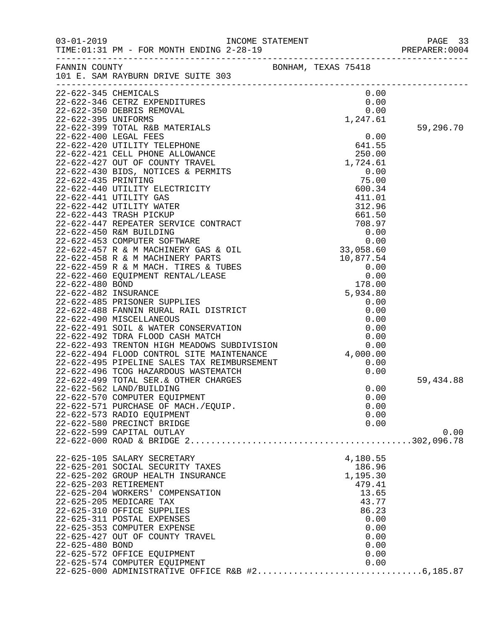|                       |                                                              |              | PREPARER: 0004 |
|-----------------------|--------------------------------------------------------------|--------------|----------------|
|                       | FANNIN COUNTY<br>101 E. SAM RAYBURN DRIVE SUITE 303          |              |                |
| 22-622-345 CHEMICALS  |                                                              | 0.00         |                |
|                       |                                                              |              |                |
|                       |                                                              |              |                |
|                       |                                                              |              |                |
|                       |                                                              |              | 59,296.70      |
|                       |                                                              |              |                |
|                       |                                                              |              |                |
|                       |                                                              |              |                |
|                       |                                                              |              |                |
|                       |                                                              |              |                |
|                       |                                                              |              |                |
|                       |                                                              |              |                |
|                       |                                                              |              |                |
|                       |                                                              |              |                |
|                       |                                                              |              |                |
|                       |                                                              |              |                |
|                       |                                                              |              |                |
|                       |                                                              |              |                |
|                       |                                                              |              |                |
|                       |                                                              |              |                |
|                       |                                                              |              |                |
|                       |                                                              |              |                |
|                       |                                                              |              |                |
|                       |                                                              |              |                |
|                       |                                                              |              |                |
|                       |                                                              |              |                |
|                       |                                                              |              |                |
|                       |                                                              |              |                |
|                       |                                                              |              |                |
|                       |                                                              |              |                |
|                       |                                                              |              |                |
|                       | 22-622-499 TOTAL SER. & OTHER CHARGES                        |              | 59,434.88      |
|                       | 22-622-562 LAND/BUILDING                                     | 0.00         |                |
|                       | 22-622-570 COMPUTER EQUIPMENT                                | 0.00         |                |
|                       | 22-622-571 PURCHASE OF MACH./EQUIP.                          | 0.00         |                |
|                       | 22-622-573 RADIO EQUIPMENT                                   | 0.00         |                |
|                       | 22-622-580 PRECINCT BRIDGE                                   | 0.00         |                |
|                       | 22-622-599 CAPITAL OUTLAY                                    |              | 0.00           |
|                       |                                                              |              |                |
|                       | 22-625-105 SALARY SECRETARY                                  | 4,180.55     |                |
|                       | 22-625-201 SOCIAL SECURITY TAXES                             | 186.96       |                |
|                       | 22-625-202 GROUP HEALTH INSURANCE                            | 1,195.30     |                |
| 22-625-203 RETIREMENT |                                                              | 479.41       |                |
|                       | 22-625-204 WORKERS' COMPENSATION                             | 13.65        |                |
|                       | 22-625-205 MEDICARE TAX                                      | 43.77        |                |
|                       | 22-625-310 OFFICE SUPPLIES                                   | 86.23        |                |
|                       | 22-625-311 POSTAL EXPENSES                                   | 0.00         |                |
|                       | 22-625-353 COMPUTER EXPENSE                                  | 0.00         |                |
|                       | 22-625-427 OUT OF COUNTY TRAVEL                              | 0.00         |                |
| 22-625-480 BOND       |                                                              | 0.00         |                |
|                       | 22-625-572 OFFICE EQUIPMENT<br>22-625-574 COMPUTER EQUIPMENT | 0.00<br>0.00 |                |
|                       |                                                              |              |                |
|                       |                                                              |              |                |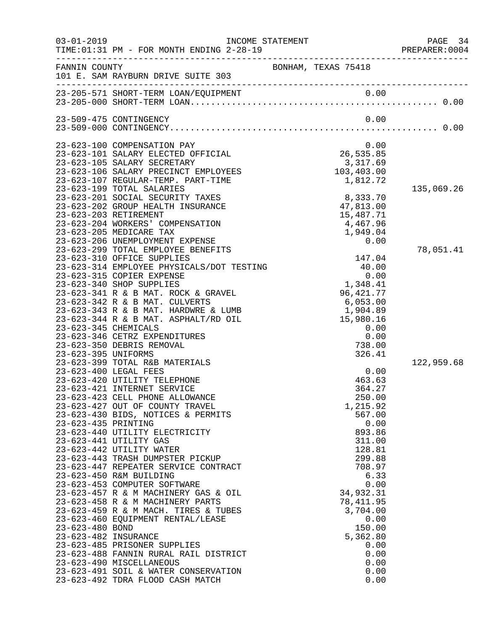| $03 - 01 - 2019$ | TIME: 01:31 PM - FOR MONTH ENDING 2-28-19                                | INCOME STATEMENT                                    | PAGE 34<br>PREPARER:0004 |
|------------------|--------------------------------------------------------------------------|-----------------------------------------------------|--------------------------|
| FANNIN COUNTY    | 101 E. SAM RAYBURN DRIVE SUITE 303                                       | BONHAM, TEXAS 75418                                 |                          |
|                  |                                                                          |                                                     |                          |
|                  | 23-509-475 CONTINGENCY                                                   | 0.00                                                |                          |
|                  |                                                                          |                                                     |                          |
|                  | 23-623-100 COMPENSATION PAY                                              | 0.00<br>0.00<br>26,535.85<br>3,317.69<br>103,403.00 |                          |
|                  | 23-623-101 SALARY ELECTED OFFICIAL<br>23-623-105 SALARY SECRETARY        |                                                     |                          |
|                  | 23-623-106 SALARY PRECINCT EMPLOYEES                                     |                                                     |                          |
|                  | 23-623-107 REGULAR-TEMP. PART-TIME                                       | 1,812.72                                            |                          |
|                  | 23-623-199 TOTAL SALARIES                                                |                                                     | 135,069.26               |
|                  | 23-623-201 SOCIAL SECURITY TAXES<br>23-623-202 GROUP HEALTH INSURANCE    | 8,333.70<br>47,813.00                               |                          |
|                  | 23-623-203 RETIREMENT                                                    | 15,487.71                                           |                          |
|                  | 23-623-204 WORKERS' COMPENSATION                                         | 4,467.96                                            |                          |
|                  | 23-623-205 MEDICARE TAX                                                  | 1,949.04                                            |                          |
|                  | 23-623-206 UNEMPLOYMENT EXPENSE<br>23-623-299 TOTAL EMPLOYEE BENEFITS    | 0.00                                                |                          |
|                  | 23-623-310 OFFICE SUPPLIES                                               | 147.04                                              | 78,051.41                |
|                  | 23-623-314 EMPLOYEE PHYSICALS/DOT TESTING                                | 40.00                                               |                          |
|                  | 23-623-315 COPIER EXPENSE                                                | 0.00                                                |                          |
|                  | 23-623-340 SHOP SUPPLIES                                                 | 1,348.41                                            |                          |
|                  | 23-623-341 R & B MAT. ROCK & GRAVEL<br>23-623-342 R & B MAT. CULVERTS    | 96, 421. 77<br>6,053.00                             |                          |
|                  | 23-623-343 R & B MAT. HARDWRE & LUMB                                     | 1,904.89                                            |                          |
|                  | 23-623-344 R & B MAT. ASPHALT/RD OIL                                     | 15,980.16                                           |                          |
|                  | 23-623-345 CHEMICALS                                                     | 0.00                                                |                          |
|                  | 23-623-346 CETRZ EXPENDITURES                                            | 0.00                                                |                          |
|                  | 23-623-350 DEBRIS REMOVAL<br>23-623-395 UNIFORMS                         | 738.00<br>326.41                                    |                          |
|                  | 23-623-399 TOTAL R&B MATERIALS                                           |                                                     | 122,959.68               |
|                  | 23-623-400 LEGAL FEES                                                    | 0.00                                                |                          |
|                  | 23-623-420 UTILITY TELEPHONE                                             | 463.63                                              |                          |
|                  | 23-623-421 INTERNET SERVICE<br>23-623-423 CELL PHONE ALLOWANCE           | 364.27<br>250.00                                    |                          |
|                  | 23-623-427 OUT OF COUNTY TRAVEL                                          | 1,215.92                                            |                          |
|                  | 23-623-430 BIDS, NOTICES & PERMITS                                       | 567.00                                              |                          |
|                  | 23-623-435 PRINTING                                                      | 0.00                                                |                          |
|                  | 23-623-440 UTILITY ELECTRICITY                                           | 893.86                                              |                          |
|                  | 23-623-441 UTILITY GAS<br>23-623-442 UTILITY WATER                       | 311.00<br>128.81                                    |                          |
|                  | 23-623-443 TRASH DUMPSTER PICKUP                                         | 299.88                                              |                          |
|                  | 23-623-447 REPEATER SERVICE CONTRACT                                     | 708.97                                              |                          |
|                  | 23-623-450 R&M BUILDING                                                  | 6.33                                                |                          |
|                  | 23-623-453 COMPUTER SOFTWARE                                             | 0.00                                                |                          |
|                  | 23-623-457 R & M MACHINERY GAS & OIL<br>23-623-458 R & M MACHINERY PARTS | 34,932.31<br>78, 411.95                             |                          |
|                  | 23-623-459 R & M MACH. TIRES & TUBES                                     | 3,704.00                                            |                          |
|                  | 23-623-460 EQUIPMENT RENTAL/LEASE                                        | 0.00                                                |                          |
| 23-623-480 BOND  |                                                                          | 150.00                                              |                          |
|                  | 23-623-482 INSURANCE<br>23-623-485 PRISONER SUPPLIES                     | 5,362.80<br>0.00                                    |                          |
|                  | 23-623-488 FANNIN RURAL RAIL DISTRICT                                    | 0.00                                                |                          |
|                  | 23-623-490 MISCELLANEOUS                                                 | 0.00                                                |                          |
|                  | 23-623-491 SOIL & WATER CONSERVATION                                     | 0.00                                                |                          |
|                  | 23-623-492 TDRA FLOOD CASH MATCH                                         | 0.00                                                |                          |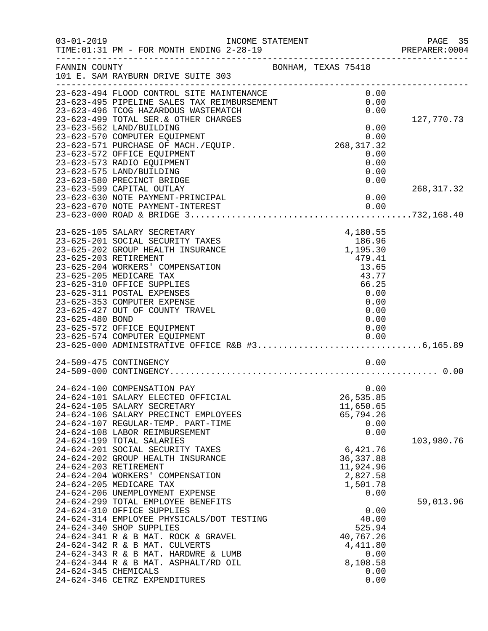| $03 - 01 - 2019$      | INCOME STATEMENT<br>TIME: 01:31 PM - FOR MONTH ENDING 2-28-19                                                                                                                                                                                                                                                                         |                                                                              | PAGE 35<br>PREPARER:0004 |
|-----------------------|---------------------------------------------------------------------------------------------------------------------------------------------------------------------------------------------------------------------------------------------------------------------------------------------------------------------------------------|------------------------------------------------------------------------------|--------------------------|
| FANNIN COUNTY         | 101 E. SAM RAYBURN DRIVE SUITE 303                                                                                                                                                                                                                                                                                                    | BONHAM, TEXAS 75418                                                          |                          |
|                       | ---------------------------<br>23-623-494 FLOOD CONTROL SITE MAINTENANCE<br>23-623-495 PIPELINE SALES TAX REIMBURSEMENT<br>23-623-495 PIPELINE SALES TAX REIMBURSEMENT                                                                                                                                                                | 0.00<br>0.00<br>0.00                                                         |                          |
|                       | 23-623-499 TOTAL SER. & OTHER CHARGES<br>23-623-562 LAND/BUILDING<br>23-623-570 COMPUTER EQUIPMENT<br>23-623-571 PURCHASE OF MACH./EQUIP.                                                                                                                                                                                             | $0.00$<br>0.00<br>268,317.32                                                 | 127,770.73               |
|                       | 23-623-572 OFFICE EQUIPMENT<br>23-623-573 RADIO EQUIPMENT<br>23-623-575 LAND/BUILDING<br>23-623-580 PRECINCT BRIDGE                                                                                                                                                                                                                   | 0.00<br>0.00<br>0.00<br>0.00                                                 |                          |
|                       | 23-623-599 CAPITAL OUTLAY<br>23-623-630 NOTE PAYMENT-PRINCIPAL                                                                                                                                                                                                                                                                        | 0.00                                                                         | 268, 317.32              |
|                       | 23-625-105 SALARY SECRETARY                                                                                                                                                                                                                                                                                                           | 4,180.55                                                                     |                          |
| 23-625-203 RETIREMENT | 23-625-201 SOCIAL SECURITY TAXES<br>23-625-202 GROUP HEALTH INSURANCE<br>23-625-204 WORKERS' COMPENSATION<br>23-625-205 MEDICARE TAX                                                                                                                                                                                                  | 186.96<br>1,195.30<br>479.41<br>13.65<br>43.77                               |                          |
| 23-625-480 BOND       | 23-625-310 OFFICE SUPPLIES<br>23-625-311 POSTAL EXPENSES<br>23-625-353 COMPUTER EXPENSE<br>23-625-427 OUT OF COUNTY TRAVEL                                                                                                                                                                                                            | 66.25<br>0.00<br>0.00<br>0.00<br>0.00                                        |                          |
|                       | 23-625-572 OFFICE EQUIPMENT<br>23-625-574 COMPUTER EQUIPMENT<br>23-625-574 COMPUTER EQUIPMENT<br>23-625-000 ADMINISTRATIVE OFFICE R&B #36,165.89                                                                                                                                                                                      | 0.00<br>0.00                                                                 |                          |
|                       | 24-509-475 CONTINGENCY                                                                                                                                                                                                                                                                                                                | 0.00                                                                         |                          |
|                       | 24-624-100 COMPENSATION PAY<br>24-624-101 SALARY ELECTED OFFICIAL<br>24-624-105 SALARY SECRETARY<br>24-624-106 SALARY PRECINCT EMPLOYEES<br>24-624-107 REGULAR-TEMP. PART-TIME<br>24-624-108 LABOR REIMBURSEMENT                                                                                                                      | 0.00<br>26,535.85<br>11,650.65<br>65,794.26<br>0.00<br>0.00                  |                          |
|                       | 24-624-199 TOTAL SALARIES<br>24-624-201 SOCIAL SECURITY TAXES<br>24-624-202 GROUP HEALTH INSURANCE<br>24-624-203 RETIREMENT<br>24-624-204 WORKERS' COMPENSATION<br>24-624-205 MEDICARE TAX                                                                                                                                            | 6,421.76<br>36, 337.88<br>11,924.96<br>2,827.58<br>1,501.78                  | 103,980.76               |
|                       | 24-624-206 UNEMPLOYMENT EXPENSE<br>24-624-299 TOTAL EMPLOYEE BENEFITS<br>24-624-310 OFFICE SUPPLIES<br>24-624-314 EMPLOYEE PHYSICALS/DOT TESTING<br>24-624-340 SHOP SUPPLIES<br>24-624-341 R & B MAT. ROCK & GRAVEL<br>24-624-342 R & B MAT. CULVERTS<br>24-624-343 R & B MAT. HARDWRE & LUMB<br>24-624-344 R & B MAT. ASPHALT/RD OIL | 0.00<br>0.00<br>40.00<br>525.94<br>40,767.26<br>4,411.80<br>0.00<br>8,108.58 | 59,013.96                |
| 24-624-345 CHEMICALS  | 24-624-346 CETRZ EXPENDITURES                                                                                                                                                                                                                                                                                                         | 0.00<br>0.00                                                                 |                          |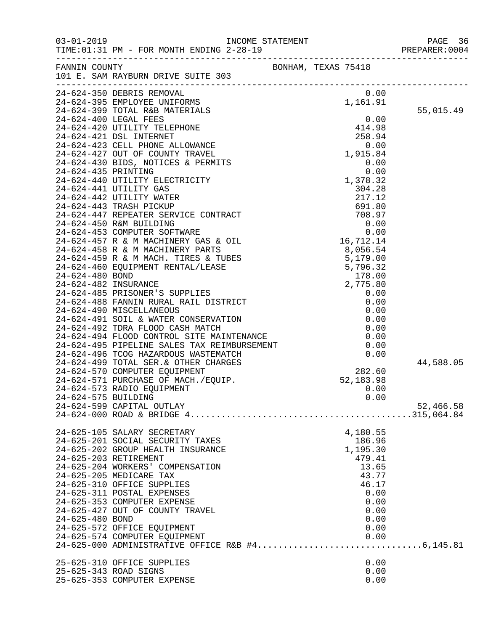|                     |                                                                                                                                                                                                                                                                                                                                                                    |                     |          |                                     |              | PREPARER: 0004 |
|---------------------|--------------------------------------------------------------------------------------------------------------------------------------------------------------------------------------------------------------------------------------------------------------------------------------------------------------------------------------------------------------------|---------------------|----------|-------------------------------------|--------------|----------------|
|                     | FANNIN COUNTY<br>101 E. SAM RAYBURN DRIVE SUITE 303                                                                                                                                                                                                                                                                                                                | BONHAM, TEXAS 75418 |          |                                     |              |                |
|                     | 24-624-350 DEBRIS REMOVAL<br>24-624-395 EMPLOYEE UNIFORMS<br>24-624-399 TOTAL R&B MATERIALS<br>24-624-400 LECAL FEEC                                                                                                                                                                                                                                               |                     | 1,161.91 | 0.00                                |              |                |
|                     | 24-624-400 LEGAL FEES                                                                                                                                                                                                                                                                                                                                              |                     |          | $\begin{array}{c} 0.00 \end{array}$ |              | 55,015.49      |
|                     | $\begin{tabular}{lllllllllllll} 24-624-400 & \text{LEGAL FEES} & 0.00 \\ 24-624-420 & \text{UTILITY TELEPHONE} & & 414.98 \\ 24-624-421 & \text{DSL INTERNET} & & 258.94 \\ 24-624-423 & \text{CELL PHONE ALLOWANCE} & & 0.00 \\ 24-624-427 & \text{OUT OF COUNTY TRAVEL} & & 0.00 \\ 24-624-430 & \text{BIDS, NOTICES & \text{PERMITS} & & 0.00 \\ \end{tabular}$ |                     |          |                                     |              |                |
|                     |                                                                                                                                                                                                                                                                                                                                                                    |                     |          |                                     |              |                |
|                     |                                                                                                                                                                                                                                                                                                                                                                    |                     |          |                                     |              |                |
|                     |                                                                                                                                                                                                                                                                                                                                                                    |                     |          |                                     |              |                |
|                     |                                                                                                                                                                                                                                                                                                                                                                    |                     |          |                                     |              |                |
|                     |                                                                                                                                                                                                                                                                                                                                                                    |                     |          |                                     |              |                |
|                     |                                                                                                                                                                                                                                                                                                                                                                    |                     |          |                                     |              |                |
|                     |                                                                                                                                                                                                                                                                                                                                                                    |                     |          |                                     |              |                |
|                     |                                                                                                                                                                                                                                                                                                                                                                    |                     |          |                                     |              |                |
|                     |                                                                                                                                                                                                                                                                                                                                                                    |                     |          |                                     |              |                |
|                     |                                                                                                                                                                                                                                                                                                                                                                    |                     |          |                                     |              |                |
|                     |                                                                                                                                                                                                                                                                                                                                                                    |                     |          |                                     |              |                |
|                     |                                                                                                                                                                                                                                                                                                                                                                    |                     |          |                                     |              |                |
|                     |                                                                                                                                                                                                                                                                                                                                                                    |                     |          |                                     |              |                |
|                     |                                                                                                                                                                                                                                                                                                                                                                    |                     |          |                                     |              |                |
|                     |                                                                                                                                                                                                                                                                                                                                                                    |                     |          |                                     |              |                |
|                     |                                                                                                                                                                                                                                                                                                                                                                    |                     |          |                                     |              |                |
|                     |                                                                                                                                                                                                                                                                                                                                                                    |                     |          |                                     |              |                |
|                     |                                                                                                                                                                                                                                                                                                                                                                    |                     |          |                                     |              |                |
|                     |                                                                                                                                                                                                                                                                                                                                                                    |                     |          |                                     |              |                |
|                     | 24-624-494 FLOOD CONTROL SITE MAINTENANCE<br>24-624-495 PIPELINE SALES TAX REIMBURSEMENT<br>24-624-496 TCOG HAZARDOUS WASTEMATCH<br>24-624-499 TOTAL SER & OTHER CHARGES                                                                                                                                                                                           |                     |          |                                     | 0.00         |                |
|                     |                                                                                                                                                                                                                                                                                                                                                                    |                     |          |                                     | 0.00         |                |
|                     |                                                                                                                                                                                                                                                                                                                                                                    |                     |          |                                     | 0.00         |                |
|                     | 24-624-499 TOTAL SER. & OTHER CHARGES<br>24-624-570 COMPUTER EQUIPMENT                                                                                                                                                                                                                                                                                             |                     |          | 282.60                              |              | 44,588.05      |
|                     | 24-624-571 PURCHASE OF MACH./EQUIP.                                                                                                                                                                                                                                                                                                                                |                     |          | 52,183.98                           |              |                |
|                     | 24-624-573 RADIO EQUIPMENT                                                                                                                                                                                                                                                                                                                                         |                     |          |                                     | 0.00         |                |
| 24-624-575 BUILDING |                                                                                                                                                                                                                                                                                                                                                                    |                     |          |                                     | 0.00         |                |
|                     | 24-624-599 CAPITAL OUTLAY                                                                                                                                                                                                                                                                                                                                          |                     |          |                                     |              | 52,466.58      |
|                     |                                                                                                                                                                                                                                                                                                                                                                    |                     |          |                                     |              |                |
|                     | 24-625-105 SALARY SECRETARY                                                                                                                                                                                                                                                                                                                                        |                     |          | 4,180.55                            |              |                |
|                     | 24-625-201 SOCIAL SECURITY TAXES                                                                                                                                                                                                                                                                                                                                   |                     |          | 186.96                              |              |                |
|                     | 24-625-202 GROUP HEALTH INSURANCE<br>24-625-203 RETIREMENT                                                                                                                                                                                                                                                                                                         |                     |          | 1,195.30<br>479.41                  |              |                |
|                     | 24-625-204 WORKERS' COMPENSATION                                                                                                                                                                                                                                                                                                                                   |                     |          | 13.65                               |              |                |
|                     | 24-625-205 MEDICARE TAX                                                                                                                                                                                                                                                                                                                                            |                     |          | 43.77                               |              |                |
|                     | 24-625-310 OFFICE SUPPLIES                                                                                                                                                                                                                                                                                                                                         |                     |          | 46.17                               |              |                |
|                     | 24-625-311 POSTAL EXPENSES                                                                                                                                                                                                                                                                                                                                         |                     |          |                                     | 0.00         |                |
|                     | 24-625-353 COMPUTER EXPENSE                                                                                                                                                                                                                                                                                                                                        |                     |          |                                     | 0.00         |                |
| 24-625-480 BOND     | 24-625-427 OUT OF COUNTY TRAVEL                                                                                                                                                                                                                                                                                                                                    |                     |          |                                     | 0.00<br>0.00 |                |
|                     | 24-625-572 OFFICE EQUIPMENT                                                                                                                                                                                                                                                                                                                                        |                     |          |                                     | 0.00         |                |
|                     | 24-625-574 COMPUTER EQUIPMENT                                                                                                                                                                                                                                                                                                                                      |                     |          |                                     | 0.00         |                |
|                     | 24-625-574 COMPUTER EQUIPMENT<br>24-625-000 ADMINISTRATIVE OFFICE R&B #46,145.81                                                                                                                                                                                                                                                                                   |                     |          |                                     |              |                |
|                     | 25-625-310 OFFICE SUPPLIES                                                                                                                                                                                                                                                                                                                                         |                     |          |                                     | 0.00         |                |
|                     | 25-625-343 ROAD SIGNS                                                                                                                                                                                                                                                                                                                                              |                     |          |                                     | 0.00         |                |
|                     | 25-625-353 COMPUTER EXPENSE                                                                                                                                                                                                                                                                                                                                        |                     |          |                                     | 0.00         |                |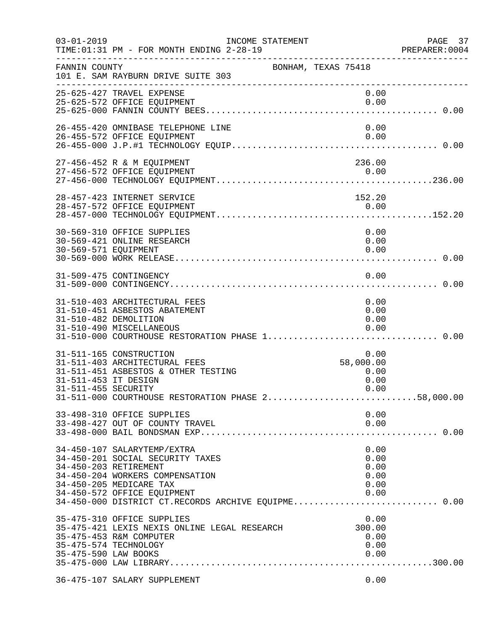| $03 - 01 - 2019$                            | TIME: 01:31 PM - FOR MONTH ENDING 2-28-19<br>____________________________________                                                                                                                                                            | INCOME STATEMENT |                     |                                              | PAGE 37<br>PREPARER: 0004 |
|---------------------------------------------|----------------------------------------------------------------------------------------------------------------------------------------------------------------------------------------------------------------------------------------------|------------------|---------------------|----------------------------------------------|---------------------------|
| FANNIN COUNTY                               | 101 E. SAM RAYBURN DRIVE SUITE 303                                                                                                                                                                                                           |                  | BONHAM, TEXAS 75418 |                                              |                           |
|                                             | 25-625-427 TRAVEL EXPENSE<br>25-625-572 OFFICE EQUIPMENT                                                                                                                                                                                     |                  |                     | 0.00<br>0.00                                 |                           |
|                                             | 26-455-420 OMNIBASE TELEPHONE LINE<br>26-455-572 OFFICE EQUIPMENT                                                                                                                                                                            |                  |                     | 0.00<br>0.00                                 |                           |
|                                             | 27-456-452 R & M EQUIPMENT                                                                                                                                                                                                                   |                  |                     | 236.00                                       |                           |
|                                             | 28-457-423 INTERNET SERVICE                                                                                                                                                                                                                  |                  |                     | 152.20                                       |                           |
| 30-569-571 EQUIPMENT                        | 30-569-310 OFFICE SUPPLIES<br>30-569-421 ONLINE RESEARCH                                                                                                                                                                                     |                  |                     | 0.00<br>0.00<br>0.00                         |                           |
|                                             | 31-509-475 CONTINGENCY                                                                                                                                                                                                                       |                  |                     | 0.00                                         |                           |
|                                             | 31-510-403 ARCHITECTURAL FEES<br>31-510-451 ASBESTOS ABATEMENT<br>31-510-482 DEMOLITION<br>31-510-490 MISCELLANEOUS                                                                                                                          |                  |                     | 0.00<br>0.00<br>0.00<br>0.00                 |                           |
| 31-511-453 IT DESIGN<br>31-511-455 SECURITY | 31-511-165 CONSTRUCTION<br>31-511-403 ARCHITECTURAL FEES<br>31-511-451 ASBESTOS & OTHER TESTING<br>31-511-000 COURTHOUSE RESTORATION PHASE 258,000.00                                                                                        |                  |                     | 0.00<br>58,000.00<br>0.00<br>0.00<br>0.00    |                           |
|                                             | 33-498-310 OFFICE SUPPLIES<br>33-498-427 OUT OF COUNTY TRAVEL                                                                                                                                                                                |                  |                     | 0.00<br>0.00                                 |                           |
|                                             | 34-450-107 SALARYTEMP/EXTRA<br>34-450-201 SOCIAL SECURITY TAXES<br>34-450-203 RETIREMENT<br>34-450-204 WORKERS COMPENSATION<br>34-450-205 MEDICARE TAX<br>34-450-572 OFFICE EQUIPMENT<br>34-450-000 DISTRICT CT.RECORDS ARCHIVE EQUIPME 0.00 |                  |                     | 0.00<br>0.00<br>0.00<br>0.00<br>0.00<br>0.00 |                           |
| 35-475-590 LAW BOOKS                        | 35-475-310 OFFICE SUPPLIES<br>35-475-421 LEXIS NEXIS ONLINE LEGAL RESEARCH<br>35-475-453 R&M COMPUTER<br>35-475-574 TECHNOLOGY                                                                                                               |                  |                     | 0.00<br>300.00<br>0.00<br>0.00<br>0.00       |                           |
|                                             | 36-475-107 SALARY SUPPLEMENT                                                                                                                                                                                                                 |                  |                     | 0.00                                         |                           |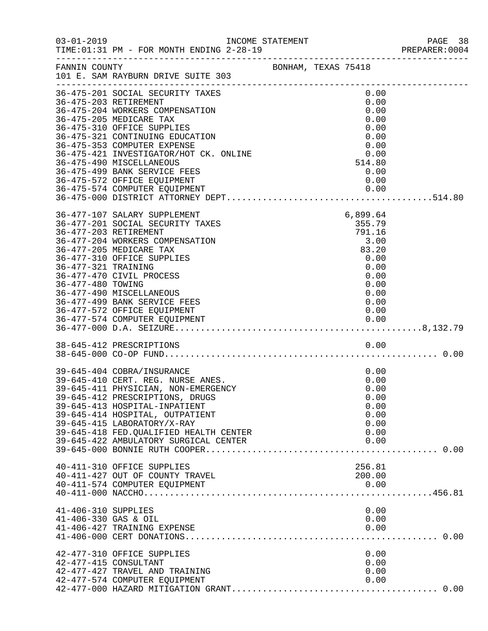| $03 - 01 - 2019$                            | INCOME STATEMENT<br>TIME: 01:31 PM - FOR MONTH ENDING 2-28-19                                                                                                                                                                                                                                                                                                                                                                                                                                                                                                                   |                     |                                                                                                       | PAGE 38<br>PREPARER: 0004 |
|---------------------------------------------|---------------------------------------------------------------------------------------------------------------------------------------------------------------------------------------------------------------------------------------------------------------------------------------------------------------------------------------------------------------------------------------------------------------------------------------------------------------------------------------------------------------------------------------------------------------------------------|---------------------|-------------------------------------------------------------------------------------------------------|---------------------------|
| FANNIN COUNTY                               | 101 E. SAM RAYBURN DRIVE SUITE 303                                                                                                                                                                                                                                                                                                                                                                                                                                                                                                                                              | BONHAM, TEXAS 75418 |                                                                                                       |                           |
|                                             | 36-475-201 SOCIAL SECURITY TAXES<br>36-475-203 RETIREMENT<br>36-475-204 WORKERS COMPENSATION<br>36-475-205 MEDICARE TAX<br>36-475-310 OFFICE SUPPLIES<br>36-475-321 CONTINUING EDUCATION<br>36-475-353 COMPUTER EXPENSE<br>36-475-421 INVESTIGATOR/HOT CK. ONLINE<br>36-475-490 MISCELLANEOUS<br>36-475-499 BANK SERVICE FEES<br>36-475-572 OFFICE EQUIPMENT                                                                                                                                                                                                                    |                     | 0.00<br>0.00<br>0.00<br>0.00<br>0.00<br>0.00<br>0.00<br>0.00<br>514.80<br>0.00<br>0.00                |                           |
| 36-477-321 TRAINING<br>36-477-480 TOWING    | 36-477-107 SALARY SUPPLEMENT<br>36-477-201 SOCIAL SECURITY TAXES<br>36-477-203 RETIREMENT<br>36-477-204 WORKERS COMPENSATION<br>36-477-205 MEDICARE TAX<br>36-477-310 OFFICE SUPPLIES<br>36-477-470 CIVIL PROCESS<br>36-477-490 MISCELLANEOUS<br>36-477-499 BANK SERVICE FEES<br>36-477-572 OFFICE EQUIPMENT<br>36-477-574 COMPUTER EQUIPMENT<br>0.00   0.00   0.00   0.00   0.00   0.00   0.00   0.00   0.00   0.00   0.00   0.00   0.00   0.00   0.00   0.00   0.00   0.00   0.00   0.00   0.00   0.00   0.00   0.00   0.00   0.00   0.00   0.00   0.00   0.00   0.000   0.00 |                     | 6,899.64<br>355.79<br>791.16<br>3.00<br>83.20<br>0.00<br>0.00<br>0.00<br>0.00<br>0.00<br>0.00<br>0.00 |                           |
|                                             | 38-645-412 PRESCRIPTIONS                                                                                                                                                                                                                                                                                                                                                                                                                                                                                                                                                        |                     | 0.00                                                                                                  |                           |
|                                             | 39-645-404 COBRA/INSURANCE<br>39-645-410 CERT. REG. NURSE ANES.<br>39-645-411 PHYSICIAN, NON-EMERGENCY<br>39-645-412 PRESCRIPTIONS, DRUGS<br>39-645-413 HOSPITAL-INPATIENT<br>39-645-414 HOSPITAL, OUTPATIENT<br>39-645-415 LABORATORY/X-RAY<br>39-645-418 FED. QUALIFIED HEALTH CENTER<br>39-645-422 AMBULATORY SURGICAL CENTER                                                                                                                                                                                                                                                |                     | 0.00<br>0.00<br>0.00<br>0.00<br>0.00<br>0.00<br>0.00<br>0.00<br>0.00                                  |                           |
|                                             | 40-411-310 OFFICE SUPPLIES<br>40-411-427 OUT OF COUNTY TRAVEL<br>40-411-574 COMPUTER EQUIPMENT                                                                                                                                                                                                                                                                                                                                                                                                                                                                                  |                     | 256.81<br>200.00<br>0.00                                                                              |                           |
| 41-406-310 SUPPLIES<br>41-406-330 GAS & OIL | 41-406-427 TRAINING EXPENSE                                                                                                                                                                                                                                                                                                                                                                                                                                                                                                                                                     |                     | 0.00<br>0.00<br>0.00                                                                                  |                           |
|                                             | 42-477-310 OFFICE SUPPLIES<br>42-477-415 CONSULTANT<br>42-477-427 TRAVEL AND TRAINING<br>42-477-574 COMPUTER EQUIPMENT                                                                                                                                                                                                                                                                                                                                                                                                                                                          |                     | 0.00<br>0.00<br>0.00<br>0.00                                                                          |                           |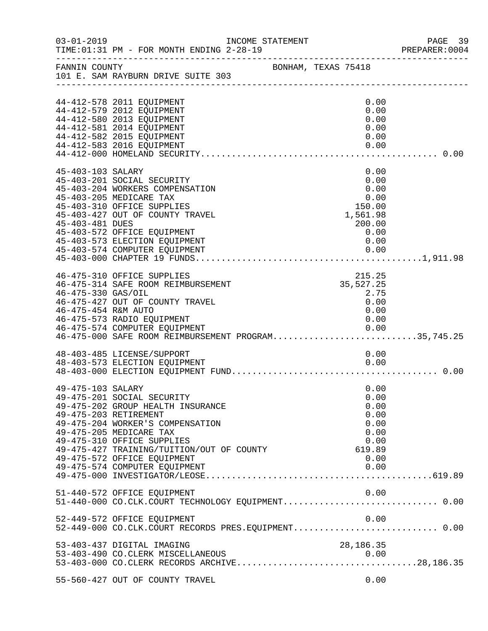| $03 - 01 - 2019$                          | INCOME STATEMENT<br>TIME: 01:31 PM - FOR MONTH ENDING 2-28-19                                                                                                                                                                                                                                      |                     |  |                                                                                      | PAGE 39<br>PREPARER: 0004 |
|-------------------------------------------|----------------------------------------------------------------------------------------------------------------------------------------------------------------------------------------------------------------------------------------------------------------------------------------------------|---------------------|--|--------------------------------------------------------------------------------------|---------------------------|
| FANNIN COUNTY                             | 101 E. SAM RAYBURN DRIVE SUITE 303                                                                                                                                                                                                                                                                 | BONHAM, TEXAS 75418 |  |                                                                                      |                           |
|                                           | 44-412-578 2011 EQUIPMENT<br>44-412-579 2012 EQUIPMENT<br>44-412-580 2013 EQUIPMENT<br>44-412-581 2014 EQUIPMENT<br>44-412-582 2015 EQUIPMENT<br>44-412-583 2016 EQUIPMENT                                                                                                                         |                     |  | 0.00<br>0.00<br>0.00<br>0.00<br>0.00<br>0.00                                         |                           |
| 45-403-103 SALARY<br>45-403-481 DUES      | 45-403-201 SOCIAL SECURITY<br>45-403-204 WORKERS COMPENSATION<br>45-403-205 MEDICARE TAX<br>45-403-310 OFFICE SUPPLIES<br>45-403-427 OUT OF COUNTY TRAVEL<br>45-403-572 OFFICE EQUIPMENT<br>45-403-573 ELECTION EQUIPMENT<br>45-403-574 COMPUTER EQUIPMENT                                         |                     |  | 0.00<br>0.00<br>0.00<br>0.00<br>150.00<br>1,561.98<br>200.00<br>0.00<br>0.00<br>0.00 |                           |
| 46-475-330 GAS/OIL<br>46-475-454 R&M AUTO | 46-475-310 OFFICE SUPPLIES<br>46-475-314 SAFE ROOM REIMBURSEMENT<br>46-475-427 OUT OF COUNTY TRAVEL<br>46-475-573 RADIO EQUIPMENT<br>46-475-574 COMPUTER EQUIPMENT<br>46-475-000 SAFE ROOM REIMBURSEMENT PROGRAM35,745.25                                                                          |                     |  | 215.25<br>35,527.25<br>2.75<br>0.00<br>0.00<br>0.00                                  |                           |
|                                           | 48-403-485 LICENSE/SUPPORT<br>48-403-573 ELECTION EQUIPMENT                                                                                                                                                                                                                                        |                     |  | 0.00<br>0.00                                                                         |                           |
| 49-475-103 SALARY                         | 49-475-201 SOCIAL SECURITY<br>49-475-202 GROUP HEALTH INSURANCE<br>49-475-203 RETIREMENT<br>49-475-204 WORKER'S COMPENSATION<br>49-475-205 MEDICARE TAX<br>49-475-310 OFFICE SUPPLIES<br>49-475-427 TRAINING/TUITION/OUT OF COUNTY<br>49-475-572 OFFICE EQUIPMENT<br>49-475-574 COMPUTER EQUIPMENT |                     |  | 0.00<br>0.00<br>0.00<br>0.00<br>0.00<br>0.00<br>0.00<br>619.89<br>0.00<br>0.00       |                           |
|                                           | 51-440-572 OFFICE EQUIPMENT<br>51-440-000 CO.CLK.COURT TECHNOLOGY EQUIPMENT 0.00                                                                                                                                                                                                                   |                     |  | 0.00                                                                                 |                           |
|                                           | 52-449-572 OFFICE EQUIPMENT<br>52-449-000 CO.CLK.COURT RECORDS PRES.EQUIPMENT 0.00                                                                                                                                                                                                                 |                     |  | 0.00                                                                                 |                           |
|                                           | 53-403-437 DIGITAL IMAGING                                                                                                                                                                                                                                                                         |                     |  | 28,186.35                                                                            |                           |
|                                           | 55-560-427 OUT OF COUNTY TRAVEL                                                                                                                                                                                                                                                                    |                     |  | 0.00                                                                                 |                           |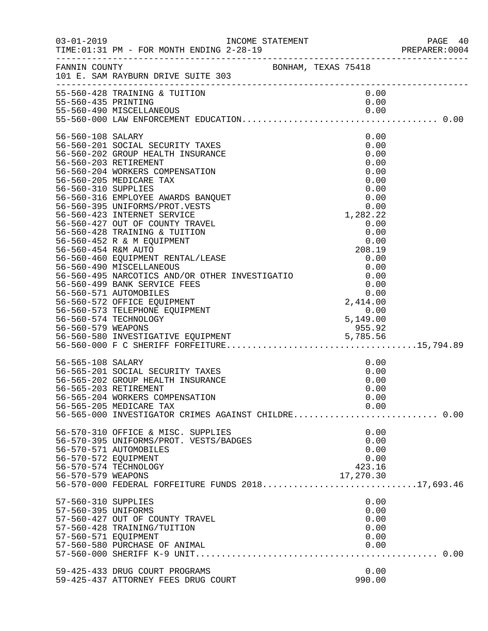| $03 - 01 - 2019$                                                                      | TIME: 01:31 PM - FOR MONTH ENDING 2-28-19                                                                                                                                                                                                                                                                                                                                                                                                                                                                                                                                                                                                                                                                                                                                |  |                                                                                                                                                                                                        | PAGE 40<br>PREPARER: 0004 |
|---------------------------------------------------------------------------------------|--------------------------------------------------------------------------------------------------------------------------------------------------------------------------------------------------------------------------------------------------------------------------------------------------------------------------------------------------------------------------------------------------------------------------------------------------------------------------------------------------------------------------------------------------------------------------------------------------------------------------------------------------------------------------------------------------------------------------------------------------------------------------|--|--------------------------------------------------------------------------------------------------------------------------------------------------------------------------------------------------------|---------------------------|
|                                                                                       | FANNIN COUNTY BONHAM, TEXAS 75418<br>101 E. SAM RAYBURN DRIVE SUITE 303                                                                                                                                                                                                                                                                                                                                                                                                                                                                                                                                                                                                                                                                                                  |  |                                                                                                                                                                                                        |                           |
| 55-560-435 PRINTING                                                                   | 55-560-428 TRAINING & TUITION                                                                                                                                                                                                                                                                                                                                                                                                                                                                                                                                                                                                                                                                                                                                            |  | 0.00<br>0.00                                                                                                                                                                                           |                           |
| 56-560-108 SALARY<br>56-560-310 SUPPLIES<br>56-560-454 R&M AUTO<br>56-560-579 WEAPONS | 56-560-201 SOCIAL SECURITY TAXES<br>56-560-202 GROUP HEALTH INSURANCE<br>56-560-203 RETIREMENT<br>56-560-204 WORKERS COMPENSATION<br>56-560-205 MEDICARE TAX<br>56-560-316 EMPLOYEE AWARDS BANQUET<br>56-560-395 UNIFORMS/PROT.VESTS<br>56-560-423 INTERNET SERVICE<br>56-560-427 OUT OF COUNTY TRAVEL<br>56-560-428 TRAINING & TUITION<br>56-560-452 R & M EQUIPMENT<br>56-560-460 EQUIPMENT RENTAL/LEASE<br>56-560-490 MISCELLANEOUS<br>56-560-495 NARCOTICS AND/OR OTHER INVESTIGATIO 6.00<br>56-560-499 BANK SERVICE FEES<br>56-560-571 AUTOMOBILES<br>56-560-572 OFFICE EQUIPMENT<br>56-560-573 TELEPHONE EQUIPMENT<br>56-560-574 TECHNOLOGY<br>95.92 .56-560-579 WEAPONS<br>56-560-580 INVESTIGATIVE EQUIPMENT 56-560-580 INVESTIGATIVE EQUIPMENT 56-560-560-580 . |  | 0.00<br>0.00<br>0.00<br>0.00<br>0.00<br>0.00<br>0.00<br>0.00<br>0.00<br>1,282.22<br>0.00<br>0.00<br>0.00<br>208.19<br>0.00<br>0.00<br>0.00<br>$0.00$<br>0.00<br>2,414.00<br>0.00<br>5,149.00<br>955.92 |                           |
| 56-565-108 SALARY                                                                     | 56-565-201 SOCIAL SECURITY TAXES<br>56-565-202 GROUP HEALTH INSURANCE<br>56-565-203 RETIREMENT<br>56-565-204 WORKERS COMPENSATION<br>56-565-205 MEDICARE TAX<br>56-565-000 INVESTIGATOR CRIMES AGAINST CHILDRE 0.00                                                                                                                                                                                                                                                                                                                                                                                                                                                                                                                                                      |  | 0.00<br>0.00<br>0.00<br>0.00<br>0.00<br>0.00                                                                                                                                                           |                           |
| 56-570-572 EQUIPMENT<br>56-570-579 WEAPONS                                            | 56-570-310 OFFICE & MISC. SUPPLIES<br>56-570-395 UNIFORMS/PROT. VESTS/BADGES<br>56-570-571 AUTOMOBILES<br>56-570-574 TECHNOLOGY<br>56-570-000 FEDERAL FORFEITURE FUNDS 201817,693.46                                                                                                                                                                                                                                                                                                                                                                                                                                                                                                                                                                                     |  | 0.00<br>0.00<br>0.00<br>0.00<br>423.16<br>17,270.30                                                                                                                                                    |                           |
| 57-560-310 SUPPLIES<br>57-560-395 UNIFORMS<br>57-560-571 EQUIPMENT                    | 57-560-427 OUT OF COUNTY TRAVEL<br>57-560-428 TRAINING/TUITION<br>57-560-580 PURCHASE OF ANIMAL                                                                                                                                                                                                                                                                                                                                                                                                                                                                                                                                                                                                                                                                          |  | 0.00<br>0.00<br>0.00<br>0.00<br>0.00<br>0.00                                                                                                                                                           |                           |
|                                                                                       | 59-425-433 DRUG COURT PROGRAMS<br>59-425-437 ATTORNEY FEES DRUG COURT                                                                                                                                                                                                                                                                                                                                                                                                                                                                                                                                                                                                                                                                                                    |  | 0.00<br>990.00                                                                                                                                                                                         |                           |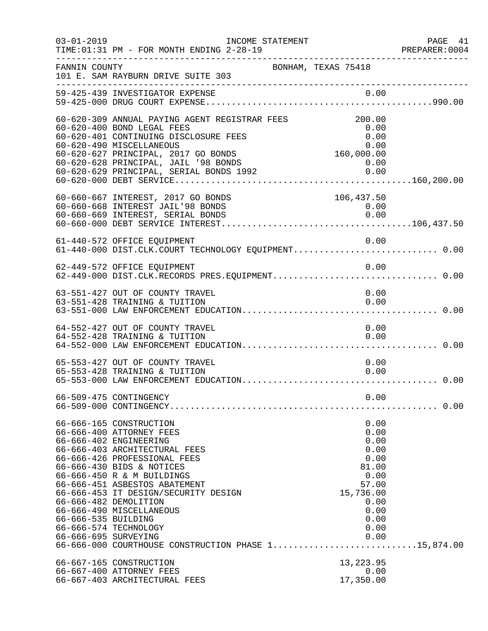|                                             | $03 - 01 - 2019$<br>INCOME STATEMENT<br>TIME: 01:31 PM - FOR MONTH ENDING 2-28-19                                                                                                                                                                                                                                                                                                                                       |                                                                                                                     | PAGE 41<br>PREPARER: 0004 |
|---------------------------------------------|-------------------------------------------------------------------------------------------------------------------------------------------------------------------------------------------------------------------------------------------------------------------------------------------------------------------------------------------------------------------------------------------------------------------------|---------------------------------------------------------------------------------------------------------------------|---------------------------|
| FANNIN COUNTY                               | 101 E. SAM RAYBURN DRIVE SUITE 303                                                                                                                                                                                                                                                                                                                                                                                      | BONHAM, TEXAS 75418                                                                                                 |                           |
|                                             | 59-425-439 INVESTIGATOR EXPENSE                                                                                                                                                                                                                                                                                                                                                                                         |                                                                                                                     |                           |
|                                             | 60-620-309 ANNUAL PAYING AGENT REGISTRAR FEES<br>60-620-400 BOND LEGAL FEES<br>60-620-401 CONTINUING DISCLOSURE FEES<br>60-620-401 CONTINUING DISCLOSURE FEES<br>60-620-490 MISCELLANEOUS<br>60-620-627 PRINCIPAL, 2017 GO BONDS<br>60-620-628 PRINCIPAL, JAIL '98 BONDS<br>60-620-629 PRINCIPAL, SERIAL BONDS 1992<br>60-620-000 DEBT SERVICE                                                                          | 200.00<br>0.00<br>0.00                                                                                              |                           |
|                                             | 60-660-667 INTEREST, 2017 GO BONDS<br>60-660-668 INTEREST JAIL'98 BONDS                                                                                                                                                                                                                                                                                                                                                 | 106,437.50<br>0.00                                                                                                  |                           |
|                                             | 61-440-572 OFFICE EQUIPMENT<br>61-440-000 DIST.CLK.COURT TECHNOLOGY EQUIPMENT 0.00                                                                                                                                                                                                                                                                                                                                      | 0.00                                                                                                                |                           |
|                                             | 62-449-572 OFFICE EQUIPMENT                                                                                                                                                                                                                                                                                                                                                                                             | 0.00                                                                                                                |                           |
|                                             | 63-551-427 OUT OF COUNTY TRAVEL<br>63-551-428 TRAINING & TUITION                                                                                                                                                                                                                                                                                                                                                        | 0.00<br>0.00                                                                                                        |                           |
|                                             | 64-552-427 OUT OF COUNTY TRAVEL<br>64-552-428 TRAINING & TUITION                                                                                                                                                                                                                                                                                                                                                        | 0.00<br>0.00                                                                                                        |                           |
|                                             | 65-553-427 OUT OF COUNTY TRAVEL<br>65-553-428 TRAINING & TUITION                                                                                                                                                                                                                                                                                                                                                        | 0.00<br>0.00                                                                                                        |                           |
|                                             | 66-509-475 CONTINGENCY                                                                                                                                                                                                                                                                                                                                                                                                  | 0.00                                                                                                                |                           |
| 66-666-535 BUILDING<br>66-666-695 SURVEYING | 66-666-165 CONSTRUCTION<br>66-666-400 ATTORNEY FEES<br>66-666-402 ENGINEERING<br>66-666-403 ARCHITECTURAL FEES<br>66-666-426 PROFESSIONAL FEES<br>66-666-430 BIDS & NOTICES<br>66-666-450 R & M BUILDINGS<br>66-666-451 ASBESTOS ABATEMENT<br>66-666-453 IT DESIGN/SECURITY DESIGN<br>66-666-482 DEMOLITION<br>66-666-490 MISCELLANEOUS<br>66-666-574 TECHNOLOGY<br>66-666-000 COURTHOUSE CONSTRUCTION PHASE 115,874.00 | 0.00<br>0.00<br>0.00<br>0.00<br>0.00<br>81.00<br>0.00<br>57.00<br>15,736.00<br>0.00<br>0.00<br>0.00<br>0.00<br>0.00 |                           |
|                                             | 66-667-165 CONSTRUCTION<br>66-667-400 ATTORNEY FEES<br>66-667-403 ARCHITECTURAL FEES                                                                                                                                                                                                                                                                                                                                    | 13, 223.95<br>0.00<br>17,350.00                                                                                     |                           |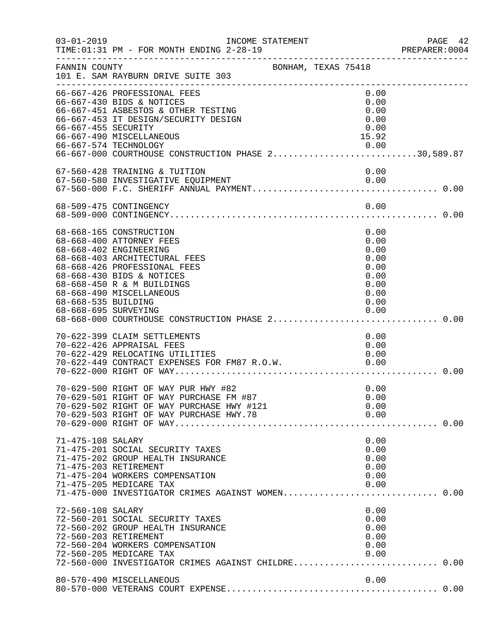| $03 - 01 - 2019$    | INCOME STATEMENT<br>TIME: 01:31 PM - FOR MONTH ENDING 2-28-19<br>---------------------------                                                                                                                                             |                                                                      | PAGE 42 |
|---------------------|------------------------------------------------------------------------------------------------------------------------------------------------------------------------------------------------------------------------------------------|----------------------------------------------------------------------|---------|
| FANNIN COUNTY       | 101 E. SAM RAYBURN DRIVE SUITE 303                                                                                                                                                                                                       | BONHAM, TEXAS 75418                                                  |         |
| 66-667-455 SECURITY | 66-667-426 PROFESSIONAL FEES<br>66-667-430 BIDS & NOTICES<br>66-667-451 ASBESTOS & OTHER TESTING<br>66-667-453 IT DESIGN/SECURITY DESIGN<br>66-667-490 MISCELLANEOUS<br>0.00 0.00<br>66-667-000 COURTHOUSE CONSTRUCTION PHASE 230,589.87 | 0.00<br>0.00<br>0.00<br>0.00<br>0.00<br>15.92                        |         |
|                     | 67-560-428 TRAINING & TUITION                                                                                                                                                                                                            | 0.00                                                                 |         |
|                     | 68-509-475 CONTINGENCY                                                                                                                                                                                                                   | 0.00                                                                 |         |
| 68-668-535 BUILDING | 68-668-165 CONSTRUCTION<br>68-668-400 ATTORNEY FEES<br>68-668-402 ENGINEERING<br>68-668-403 ARCHITECTURAL FEES<br>68-668-426 PROFESSIONAL FEES<br>68-668-430 BIDS & NOTICES<br>68-668-450 R & M BUILDINGS<br>68-668-490 MISCELLANEOUS    | 0.00<br>0.00<br>0.00<br>0.00<br>0.00<br>0.00<br>0.00<br>0.00<br>0.00 |         |
|                     | 70-622-399 CLAIM SETTLEMENTS<br>70-622-426 APPRAISAL FEES<br>70-622-429 RELOCATING UTILITIES<br>70-622-449 CONTRACT EXPENSES FOR FM87 R.O.W. 0.00                                                                                        | 0.00<br>0.00<br>0.00                                                 |         |
|                     | 70-629-500 RIGHT OF WAY PUR HWY #82<br>70-629-501 RIGHT OF WAY PURCHASE FM #87                                                                                                                                                           | 0.00<br>0.00                                                         |         |
| 71-475-108 SALARY   | 71-475-201 SOCIAL SECURITY TAXES<br>71-475-202 GROUP HEALTH INSURANCE<br>71-475-203 RETIREMENT<br>71-475-204 WORKERS COMPENSATION<br>71-475-205 MEDICARE TAX<br>71-475-000 INVESTIGATOR CRIMES AGAINST WOMEN 0.00                        | 0.00<br>0.00<br>0.00<br>0.00<br>0.00<br>0.00                         |         |
| 72-560-108 SALARY   | 72-560-201 SOCIAL SECURITY TAXES<br>72-560-202 GROUP HEALTH INSURANCE<br>72-560-203 RETIREMENT<br>72-560-204 WORKERS COMPENSATION<br>72-560-205 MEDICARE TAX<br>72-560-000 INVESTIGATOR CRIMES AGAINST CHILDRE 0.00                      | 0.00<br>0.00<br>0.00<br>0.00<br>0.00<br>0.00                         |         |
|                     | 80-570-490 MISCELLANEOUS                                                                                                                                                                                                                 | 0.00                                                                 |         |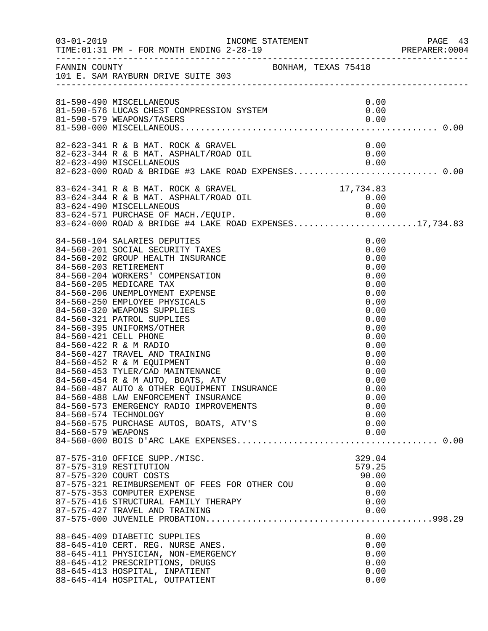|                    |                                                                                                                                                                                                                                                                                                                                                                                                                                                                  |                                                                                                                                                                                      | PAGE 43<br>PREPARER:0004 |
|--------------------|------------------------------------------------------------------------------------------------------------------------------------------------------------------------------------------------------------------------------------------------------------------------------------------------------------------------------------------------------------------------------------------------------------------------------------------------------------------|--------------------------------------------------------------------------------------------------------------------------------------------------------------------------------------|--------------------------|
|                    | FANNIN COUNTY<br>101 E. SAM RAYBURN DRIVE SUITE 303                                                                                                                                                                                                                                                                                                                                                                                                              |                                                                                                                                                                                      |                          |
|                    | 81-590-490 MISCELLANEOUS<br>81-590-490 MISCELLANEOUS<br>81-590-576 LUCAS CHEST COMPRESSION SYSTEM $0.00$<br>81-590-579 MEADONS/TASERS<br>81-590-579 WEAPONS/TASERS                                                                                                                                                                                                                                                                                               | 0.00<br>0.00                                                                                                                                                                         |                          |
|                    |                                                                                                                                                                                                                                                                                                                                                                                                                                                                  |                                                                                                                                                                                      |                          |
|                    | 83-624-341 R & B MAT. ROCK & GRAVEL 17,734.83<br>83-624-344 R & B MAT. ASPHALT/ROAD OIL 0.00<br>83-624-490 MISCELLANEOUS 0.00<br>0.00 0.00 PRACILE OF MACU (FOUTD 0.000 0.000 0.000<br>83-624-571 PURCHASE OF MACH./EQUIP.<br>83-624-571 PURCHASE OF MACH./EQUIP. 0.00<br>83-624-000 ROAD & BRIDGE #4 LAKE ROAD EXPENSES17,734.83                                                                                                                                |                                                                                                                                                                                      |                          |
| 84-560-579 WEAPONS | 84-560-104 SALARIES DEPUTIES<br>84-560-104 SALARIES DEPUTIES<br>84-560-201 SOCIAL SECURITY TAXES<br>84-560-202 GROUP HEALTH INSURANCE<br>84-560-202 GROUP HEALTH INSURANCE<br>84-560-204 WORKERS' COMPENSATION<br>84-560-206 UNEMPLOYMENT EXPENSE<br>84-560-250 EMPLOYEE<br>84-560-488 LAW ENFORCEMENT INSURANCE<br>84-560-573 EMERGENCY RADIO IMPROVEMENTS<br>84-560-574 TECHNOLOGY<br>84-560-575 PURCHASE AUTOS, BOATS, ATV'S                                  | 0.00<br>0.00<br>0.00<br>0.00<br>0.00<br>0.00<br>0.00<br>0.00<br>0.00<br>0.00<br>0.00<br>0.00<br>0.00<br>0.00<br>0.00<br>0.00<br>0.00<br>0.00<br>0.00<br>0.00<br>0.00<br>0.00<br>0.00 |                          |
|                    | 87-575-310 OFFICE SUPP./MISC.<br>87-575-319 RESTITUTION<br>87-575-320 COURT COSTS<br>87-575-321 REIMBURSEMENT OF FEES FOR OTHER COU<br>87-575-353 COMPUTER EXPENSE<br>87-575-416 STRUCTURAL FAMILY THERAPY<br>87-575-427 TRAVEL AND TRAINING<br>88-645-409 DIABETIC SUPPLIES<br>88-645-410 CERT. REG. NURSE ANES.<br>88-645-411 PHYSICIAN, NON-EMERGENCY<br>88-645-412 PRESCRIPTIONS, DRUGS<br>88-645-413 HOSPITAL, INPATIENT<br>88-645-414 HOSPITAL, OUTPATIENT | 329.04<br>579.25<br>90.00<br>0.00<br>0.00<br>0.00<br>0.00<br>0.00<br>0.00<br>0.00<br>0.00<br>0.00<br>0.00                                                                            |                          |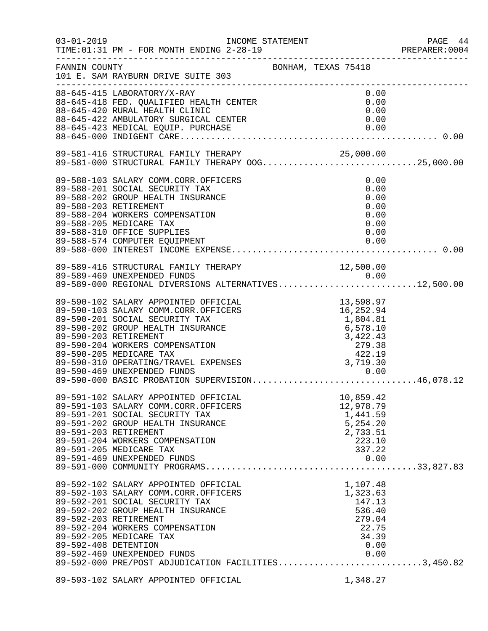| $03 - 01 - 2019$     | INCOME STATEMENT<br>TIME: 01:31 PM - FOR MONTH ENDING 2-28-19                                                                                  |                                                                                                                      |  |
|----------------------|------------------------------------------------------------------------------------------------------------------------------------------------|----------------------------------------------------------------------------------------------------------------------|--|
| FANNIN COUNTY        | 101 E. SAM RAYBURN DRIVE SUITE 303                                                                                                             | BONHAM, TEXAS 75418                                                                                                  |  |
|                      | 88-645-415 LABORATORY/X-RAY<br>$88-645-418$ FED. QUALIFIED HEALTH CENTER                                                                       | 0.00<br>0.00<br>0.00                                                                                                 |  |
|                      | 88-645-420 RURAL HEALTH CLINIC<br>88-645-422 AMBULATORY SURGICAL CENTER                                                                        | 0.00                                                                                                                 |  |
|                      |                                                                                                                                                |                                                                                                                      |  |
|                      | 89-581-416 STRUCTURAL FAMILY THERAPY<br>89-581-416 STRUCTURAL FAMILY THERAPY 00G25,000.00<br>89-581-000 STRUCTURAL FAMILY THERAPY 00G25,000.00 |                                                                                                                      |  |
|                      | 89-588-103 SALARY COMM.CORR.OFFICERS                                                                                                           | 0.00                                                                                                                 |  |
|                      | 89-588-201 SOCIAL SECURITY TAX                                                                                                                 | 0.00                                                                                                                 |  |
|                      | 89-588-202 GROUP HEALTH INSURANCE                                                                                                              | 0.00                                                                                                                 |  |
|                      | 89-588-203 RETIREMENT                                                                                                                          | 0.00                                                                                                                 |  |
|                      | 89-588-204 WORKERS COMPENSATION                                                                                                                | 0.00                                                                                                                 |  |
|                      | 89-588-205 MEDICARE TAX                                                                                                                        | 0.00                                                                                                                 |  |
|                      | 89-588-310 OFFICE SUPPLIES                                                                                                                     | 0.00                                                                                                                 |  |
|                      |                                                                                                                                                |                                                                                                                      |  |
|                      |                                                                                                                                                |                                                                                                                      |  |
|                      | 89-589-416 STRUCTURAL FAMILY THERAPY 12,500.00<br>89-589-469 UNEXPENDED FUNDS 0.00                                                             |                                                                                                                      |  |
|                      | 89-589-469 UNEXPENDED FUNDS<br>89-589-000 REGIONAL DIVERSIONS ALTERNATIVES12,500.00                                                            |                                                                                                                      |  |
|                      | 89-590-102 SALARY APPOINTED OFFICIAL                                                                                                           | $13,598.97$<br>$16,252.94$<br>$1,804.81$<br>$6,578.10$<br>$3,422.43$<br>$279.38$<br>$422.19$<br>$3,719.30$<br>$0.00$ |  |
|                      | 89-590-103 SALARY COMM.CORR.OFFICERS                                                                                                           |                                                                                                                      |  |
|                      | 89-590-201 SOCIAL SECURITY TAX                                                                                                                 |                                                                                                                      |  |
|                      | 89-590-202 GROUP HEALTH INSURANCE                                                                                                              |                                                                                                                      |  |
|                      | 89-590-203 RETIREMENT                                                                                                                          |                                                                                                                      |  |
|                      | 89-590-204 WORKERS COMPENSATION                                                                                                                |                                                                                                                      |  |
|                      | 89-590-205 MEDICARE TAX                                                                                                                        |                                                                                                                      |  |
|                      | 89-590-310 OPERATING/TRAVEL EXPENSES                                                                                                           |                                                                                                                      |  |
|                      |                                                                                                                                                |                                                                                                                      |  |
|                      | 89-590-469 UNEXPENDED FUNDS<br>89-590-000 BASIC PROBATION SUPERVISION46,078.12                                                                 |                                                                                                                      |  |
|                      | 89-591-102 SALARY APPOINTED OFFICIAL                                                                                                           | 10,859.42                                                                                                            |  |
|                      | 89-591-103 SALARY COMM.CORR.OFFICERS                                                                                                           | 12,978.79                                                                                                            |  |
|                      | 89-591-201 SOCIAL SECURITY TAX                                                                                                                 | 1,441.59                                                                                                             |  |
|                      | 89-591-202 GROUP HEALTH INSURANCE                                                                                                              | 5,254.20                                                                                                             |  |
|                      | 89-591-203 RETIREMENT                                                                                                                          | 2,733.51                                                                                                             |  |
|                      | 89-591-204 WORKERS COMPENSATION                                                                                                                | 223.10                                                                                                               |  |
|                      | 89-591-205 MEDICARE TAX                                                                                                                        | 337.22                                                                                                               |  |
|                      | 89-591-469 UNEXPENDED FUNDS                                                                                                                    | 0.00                                                                                                                 |  |
|                      | 89-592-102 SALARY APPOINTED OFFICIAL                                                                                                           | 1,107.48                                                                                                             |  |
|                      | 89-592-103 SALARY COMM.CORR.OFFICERS                                                                                                           | 1,323.63                                                                                                             |  |
|                      | 89-592-201 SOCIAL SECURITY TAX                                                                                                                 | 147.13                                                                                                               |  |
|                      | 89-592-202 GROUP HEALTH INSURANCE                                                                                                              | 536.40                                                                                                               |  |
|                      | 89-592-203 RETIREMENT                                                                                                                          | 279.04                                                                                                               |  |
|                      | 89-592-204 WORKERS COMPENSATION                                                                                                                | 22.75                                                                                                                |  |
|                      | 89-592-205 MEDICARE TAX                                                                                                                        | 34.39                                                                                                                |  |
| 89-592-408 DETENTION |                                                                                                                                                | 0.00                                                                                                                 |  |
|                      | 89-592-469 UNEXPENDED FUNDS<br>89-592-000 PRE/POST ADJUDICATION FACILITIES3,450.82                                                             |                                                                                                                      |  |
|                      |                                                                                                                                                |                                                                                                                      |  |
|                      | 89-593-102 SALARY APPOINTED OFFICIAL                                                                                                           | 1,348.27                                                                                                             |  |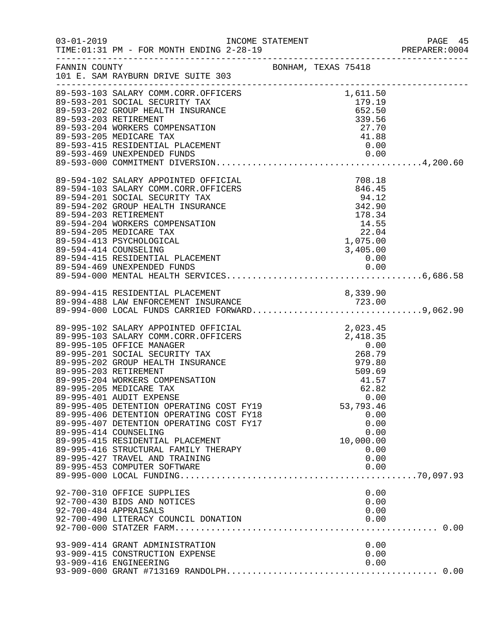|                                                                                                                                                                                                                                                                                                                                                                                                                                                                                                                                                                                                                |                                                                                                    |  |                                                                                                  | PAGE 45<br>PREPARER: 0004 |
|----------------------------------------------------------------------------------------------------------------------------------------------------------------------------------------------------------------------------------------------------------------------------------------------------------------------------------------------------------------------------------------------------------------------------------------------------------------------------------------------------------------------------------------------------------------------------------------------------------------|----------------------------------------------------------------------------------------------------|--|--------------------------------------------------------------------------------------------------|---------------------------|
| FANNIN COUNTY<br>101 E. SAM RAYBURN DRIVE SUITE 303                                                                                                                                                                                                                                                                                                                                                                                                                                                                                                                                                            |                                                                                                    |  |                                                                                                  |                           |
|                                                                                                                                                                                                                                                                                                                                                                                                                                                                                                                                                                                                                |                                                                                                    |  |                                                                                                  |                           |
| 89-594-102 SALARY APPOINTED OFFICIAL<br>89-594-103 SALARY COMM.CORR.OFFICERS<br>89-594-201 SOCIAL SECURITY TAX<br>89-594-202 GROUP HEALTH INSURANCE<br>89-594-203 RETIREMENT<br>89-594-204 WORKERS COMPENSATION<br>89-594-205 MEDICARE TAX<br>89-594-413 PSYCHOLOGICAL<br>89-594-414 COUNSELING                                                                                                                                                                                                                                                                                                                | CIAL<br>CERS<br>846.45<br>94.12<br>E<br>342.90<br>178.34<br>14.55<br>22.04<br>1,075.00<br>3,405.00 |  | 3,405.00                                                                                         |                           |
| 89-994-415 RESIDENTIAL PLACEMENT                                                                                                                                                                                                                                                                                                                                                                                                                                                                                                                                                                               |                                                                                                    |  | 8,339.90                                                                                         |                           |
| 89-995-102 SALARY APPOINTED OFFICIAL<br>89-995-103 SALARY COMM.CORR.OFFICERS<br>89-995-105 OFFICE MANAGER<br>89-995-201 SOCIAL SECURITY TAX<br>89-995-202 GROUP HEALTH INSURANCE<br>89-995-203 RETIREMENT<br>89-995-204 WORKERS COMPENSATION<br>89-995-205 MEDICARE TAX<br>89-995-401 AUDIT EXPENSE<br>89-995-405 DETENTION OPERATING COST FY19<br>89-995-406 DETENTION OPERATING COST FY18<br>89-995-407 DETENTION OPERATING COST FY17<br>89-995-414 COUNSELING<br>89-995-415 RESIDENTIAL PLACEMENT<br>89-995-416 STRUCTURAL FAMILY THERAPY<br>89-995-427 TRAVEL AND TRAINING<br>89-995-453 COMPUTER SOFTWARE | CIAL<br>CERS 2, 023.45<br>CERS 2, 418.35<br>0.00<br>268.79<br>979.80<br>509.69                     |  | 41.57<br>62.82<br>0.00<br>53,793.46<br>0.00<br>0.00<br>0.00<br>10,000.00<br>0.00<br>0.00<br>0.00 |                           |
| 92-700-310 OFFICE SUPPLIES<br>92-700-430 BIDS AND NOTICES<br>92-700-484 APPRAISALS<br>92-700-490 LITERACY COUNCIL DONATION                                                                                                                                                                                                                                                                                                                                                                                                                                                                                     |                                                                                                    |  | 0.00<br>0.00<br>0.00<br>0.00                                                                     |                           |
| 93-909-414 GRANT ADMINISTRATION<br>93-909-415 CONSTRUCTION EXPENSE<br>93-909-416 ENGINEERING                                                                                                                                                                                                                                                                                                                                                                                                                                                                                                                   |                                                                                                    |  | 0.00<br>0.00<br>0.00                                                                             |                           |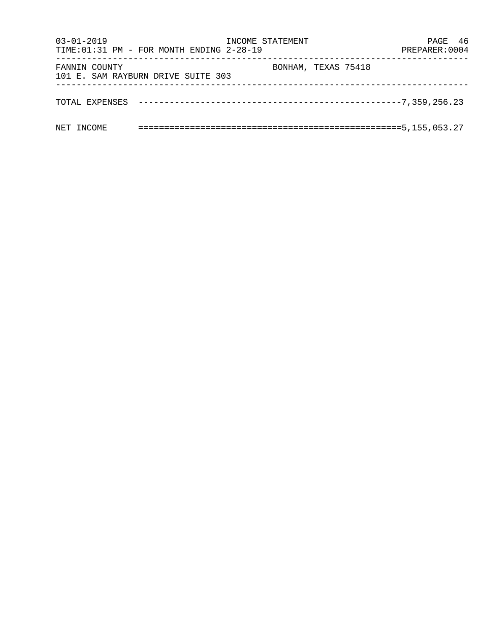| $03 - 01 - 2019$ | TIME: 01:31 PM - FOR MONTH ENDING 2-28-19 | INCOME STATEMENT    |  | PAGE 46<br>PREPARER: 0004 |  |
|------------------|-------------------------------------------|---------------------|--|---------------------------|--|
| FANNIN COUNTY    | 101 E. SAM RAYBURN DRIVE SUITE 303        | BONHAM, TEXAS 75418 |  |                           |  |
|                  |                                           |                     |  |                           |  |
| NET INCOME       |                                           |                     |  |                           |  |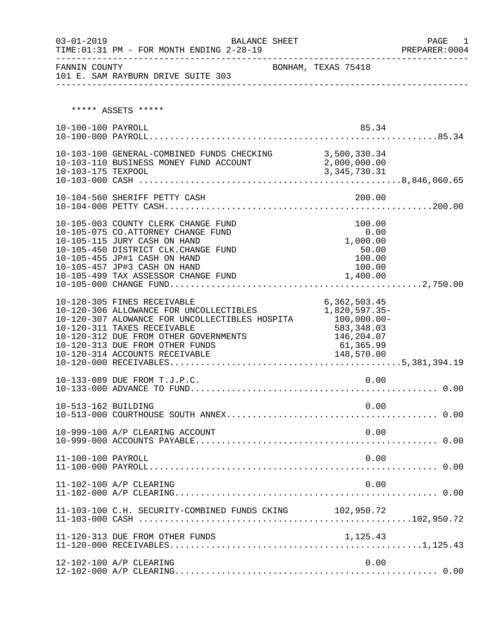| $03 - 01 - 2019$    | TIME: 01:31 PM - FOR MONTH ENDING 2-28-19                                                                                                                                                                                                                             | BALANCE SHEET       |                                                                                                       | PAGE<br>1<br>PREPARER: 0004 |
|---------------------|-----------------------------------------------------------------------------------------------------------------------------------------------------------------------------------------------------------------------------------------------------------------------|---------------------|-------------------------------------------------------------------------------------------------------|-----------------------------|
| FANNIN COUNTY       | 101 E. SAM RAYBURN DRIVE SUITE 303                                                                                                                                                                                                                                    | BONHAM, TEXAS 75418 |                                                                                                       |                             |
|                     | ***** ASSETS *****                                                                                                                                                                                                                                                    |                     |                                                                                                       |                             |
| 10-100-100 PAYROLL  |                                                                                                                                                                                                                                                                       |                     | 85.34                                                                                                 |                             |
| 10-103-175 TEXPOOL  | 10-103-100 GENERAL-COMBINED FUNDS CHECKING 3,500,330.34<br>10-103-110 BUSINESS MONEY FUND ACCOUNT 2,000,000.00                                                                                                                                                        |                     | 3, 345, 730.31                                                                                        |                             |
|                     | 10-104-560 SHERIFF PETTY CASH                                                                                                                                                                                                                                         |                     | 200.00                                                                                                |                             |
|                     | 10-105-003 COUNTY CLERK CHANGE FUND<br>10-105-075 CO.ATTORNEY CHANGE FUND<br>10-105-115 JURY CASH ON HAND<br>10-105-450 DISTRICT CLK.CHANGE FUND<br>10-105-455 JP#1 CASH ON HAND<br>10-105-457 JP#3 CASH ON HAND<br>10-105-499 TAX ASSESSOR CHANGE FUND               |                     | 100.00<br>0.00<br>1,000.00<br>50.00<br>100.00<br>100.00<br>1,400.00                                   |                             |
|                     | 10-120-305 FINES RECEIVABLE<br>10-120-306 ALLOWANCE FOR UNCOLLECTIBLES<br>10-120-307 ALOWANCE FOR UNCOLLECTIBLES HOSPITA<br>10-120-311 TAXES RECEIVABLE<br>10-120-312 DUE FROM OTHER GOVERNMENTS<br>10-120-313 DUE FROM OTHER FUNDS<br>10-120-314 ACCOUNTS RECEIVABLE |                     | 6,362,503.45<br>1,820,597.35-<br>$100,000.00-$<br>583,348.03<br>146,204.07<br>61,365.99<br>148,570.00 |                             |
|                     | 10-133-089 DUE FROM T.J.P.C.                                                                                                                                                                                                                                          |                     | 0.00                                                                                                  |                             |
| 10-513-162 BUILDING |                                                                                                                                                                                                                                                                       |                     | 0.00                                                                                                  |                             |
|                     | 10-999-100 A/P CLEARING ACCOUNT                                                                                                                                                                                                                                       |                     | 0.00                                                                                                  |                             |
| 11-100-100 PAYROLL  |                                                                                                                                                                                                                                                                       |                     | 0.00                                                                                                  |                             |
|                     | 11-102-100 A/P CLEARING                                                                                                                                                                                                                                               |                     | 0.00                                                                                                  |                             |
|                     | 11-103-100 C.H. SECURITY-COMBINED FUNDS CKING 102,950.72                                                                                                                                                                                                              |                     |                                                                                                       |                             |
|                     | 11-120-313 DUE FROM OTHER FUNDS                                                                                                                                                                                                                                       |                     | 1,125.43                                                                                              |                             |
|                     | 12-102-100 A/P CLEARING                                                                                                                                                                                                                                               |                     | 0.00                                                                                                  |                             |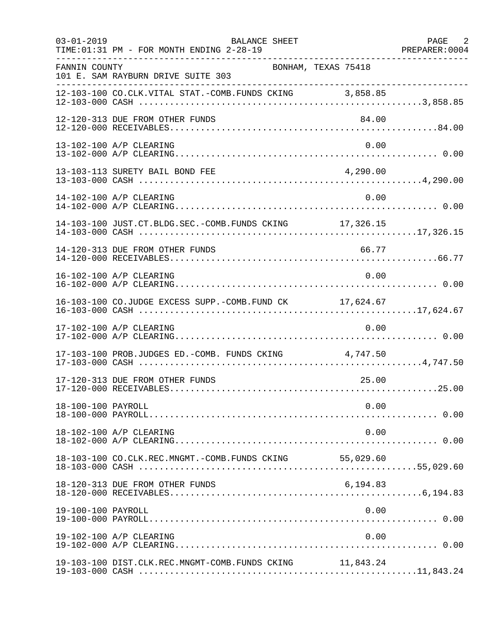| $03 - 01 - 2019$   | BALANCE SHEET<br>TIME: 01:31 PM - FOR MONTH ENDING 2-28-19<br>. _ _ _ _ _ _ _ _ _ _ _ _ _ _ |           | PAGE 2<br>PREPARER: 0004 |
|--------------------|---------------------------------------------------------------------------------------------|-----------|--------------------------|
| FANNIN COUNTY      | BONHAM, TEXAS 75418<br>101 E. SAM RAYBURN DRIVE SUITE 303                                   |           |                          |
|                    | 12-103-100 CO.CLK.VITAL STAT.-COMB.FUNDS CKING 3,858.85                                     |           |                          |
|                    | 12-120-313 DUE FROM OTHER FUNDS                                                             | 84.00     |                          |
|                    | 13-102-100 A/P CLEARING                                                                     | 0.00      |                          |
|                    | 13-103-113 SURETY BAIL BOND FEE                                                             | 4,290.00  |                          |
|                    | 14-102-100 A/P CLEARING                                                                     | 0.00      |                          |
|                    | 14-103-100 JUST.CT.BLDG.SEC.-COMB.FUNDS CKING 17,326.15                                     |           |                          |
|                    | 14-120-313 DUE FROM OTHER FUNDS                                                             | 66.77     |                          |
|                    | 16-102-100 A/P CLEARING                                                                     | 0.00      |                          |
|                    | 16-103-100 CO.JUDGE EXCESS SUPP.-COMB.FUND CK 17,624.67                                     |           |                          |
|                    | 17-102-100 A/P CLEARING                                                                     | 0.00      |                          |
|                    | 17-103-100 PROB.JUDGES ED.-COMB. FUNDS CKING 4,747.50                                       |           |                          |
|                    | 17-120-313 DUE FROM OTHER FUNDS                                                             | 25.00     |                          |
| 18-100-100 PAYROLL |                                                                                             | 0.00      |                          |
|                    | 18-102-100 A/P CLEARING                                                                     | 0.00      |                          |
|                    | 18-103-100 CO.CLK.REC.MNGMT.-COMB.FUNDS CKING                                               | 55,029.60 |                          |
|                    | 18-120-313 DUE FROM OTHER FUNDS                                                             | 6,194.83  |                          |
| 19-100-100 PAYROLL |                                                                                             | 0.00      |                          |
|                    | 19-102-100 A/P CLEARING                                                                     | 0.00      |                          |
|                    | 19-103-100 DIST.CLK.REC.MNGMT-COMB.FUNDS CKING 11,843.24                                    |           |                          |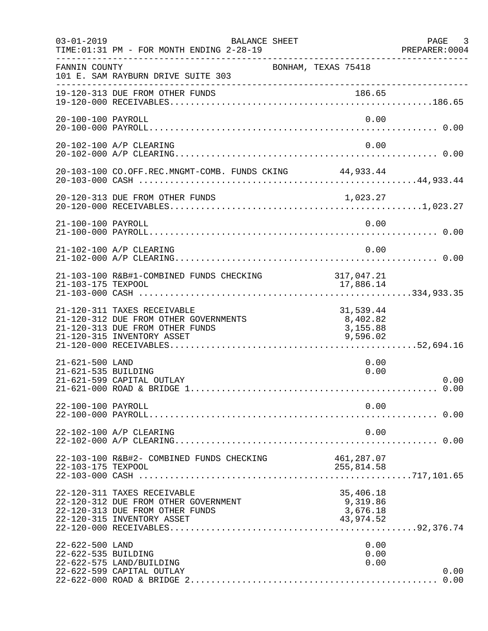| $03 - 01 - 2019$                       | BALANCE SHEET<br>TIME: 01:31 PM - FOR MONTH ENDING 2-28-19                                                                            |                                                | PAGE 3<br>PREPARER: 0004 |
|----------------------------------------|---------------------------------------------------------------------------------------------------------------------------------------|------------------------------------------------|--------------------------|
| FANNIN COUNTY                          | BONHAM, TEXAS 75418<br>101 E. SAM RAYBURN DRIVE SUITE 303                                                                             |                                                |                          |
|                                        | 19-120-313 DUE FROM OTHER FUNDS                                                                                                       | 186.65                                         |                          |
| 20-100-100 PAYROLL                     |                                                                                                                                       | 0.00                                           |                          |
|                                        | 20-102-100 A/P CLEARING                                                                                                               | 0.00                                           |                          |
|                                        | 20-103-100 CO.OFF.REC.MNGMT-COMB. FUNDS CKING 44,933.44                                                                               |                                                |                          |
|                                        |                                                                                                                                       |                                                |                          |
| 21-100-100 PAYROLL                     |                                                                                                                                       | 0.00                                           |                          |
|                                        | 21-102-100 A/P CLEARING                                                                                                               | 0.00                                           |                          |
| 21-103-175 TEXPOOL                     | 21-103-100 R&B#1-COMBINED FUNDS CHECKING                                                                                              | 317,047.21<br>17,886.14                        |                          |
|                                        | 21-120-311 TAXES RECEIVABLE<br>21-120-312 DUE FROM OTHER GOVERNMENTS<br>21-120-313 DUE FROM OTHER FUNDS<br>21-120-315 INVENTORY ASSET | 31,539.44<br>8,402.82<br>3,155.88<br>9,596.02  |                          |
| 21-621-500 LAND<br>21-621-535 BUILDING | 21-621-599 CAPITAL OUTLAY                                                                                                             | 0.00<br>0.00                                   | 0.00<br>0.00             |
| 22-100-100 PAYROLL                     |                                                                                                                                       | 0.00                                           |                          |
|                                        | 22-102-100 A/P CLEARING                                                                                                               | 0.00                                           |                          |
| 22-103-175 TEXPOOL                     | 22-103-100 R&B#2- COMBINED FUNDS CHECKING                                                                                             | 461,287.07<br>255,814.58                       |                          |
|                                        | 22-120-311 TAXES RECEIVABLE<br>22-120-312 DUE FROM OTHER GOVERNMENT<br>22-120-313 DUE FROM OTHER FUNDS<br>22-120-315 INVENTORY ASSET  | 35,406.18<br>9,319.86<br>3,676.18<br>43,974.52 |                          |
| 22-622-500 LAND<br>22-622-535 BUILDING | 22-622-575 LAND/BUILDING<br>22-622-599 CAPITAL OUTLAY                                                                                 | 0.00<br>0.00<br>0.00                           | 0.00                     |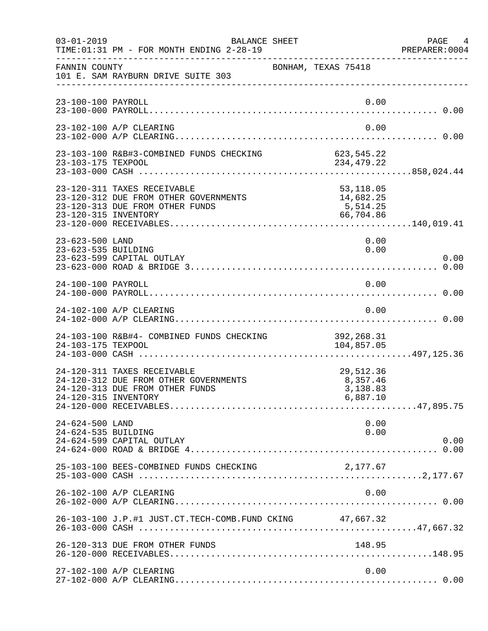| $03 - 01 - 2019$                       | BALANCE SHEET<br>TIME: 01:31 PM - FOR MONTH ENDING 2-28-19                                              |                                                 | PAGE 4<br>PREPARER:0004 |
|----------------------------------------|---------------------------------------------------------------------------------------------------------|-------------------------------------------------|-------------------------|
| FANNIN COUNTY                          | 101 E. SAM RAYBURN DRIVE SUITE 303                                                                      | BONHAM, TEXAS 75418                             |                         |
| 23-100-100 PAYROLL                     |                                                                                                         |                                                 | 0.00                    |
|                                        | 23-102-100 A/P CLEARING                                                                                 |                                                 | 0.00                    |
|                                        |                                                                                                         |                                                 |                         |
| 23-120-315 INVENTORY                   | 23-120-311 TAXES RECEIVABLE<br>23-120-312 DUE FROM OTHER GOVERNMENTS<br>23-120-313 DUE FROM OTHER FUNDS | 53,118.05<br>14,682.25<br>5,514.25<br>66,704.86 |                         |
| 23-623-500 LAND<br>23-623-535 BUILDING | 23-623-599 CAPITAL OUTLAY                                                                               |                                                 | 0.00<br>0.00<br>0.00    |
| 24-100-100 PAYROLL                     |                                                                                                         |                                                 | 0.00                    |
|                                        | 24-102-100 A/P CLEARING                                                                                 |                                                 | 0.00                    |
| 24-103-175 TEXPOOL                     | 24-103-100 R&B#4- COMBINED FUNDS CHECKING                                                               | 392,268.31<br>104,857.05                        |                         |
| 24-120-315 INVENTORY                   | 24-120-311 TAXES RECEIVABLE<br>24-120-312 DUE FROM OTHER GOVERNMENTS<br>24-120-313 DUE FROM OTHER FUNDS | 29,512.36<br>8,357.46<br>3,138.83<br>6,887.10   |                         |
| 24-624-500 LAND<br>24-624-535 BUILDING | 24-624-599 CAPITAL OUTLAY                                                                               |                                                 | 0.00<br>0.00<br>0.00    |
|                                        | 25-103-100 BEES-COMBINED FUNDS CHECKING                                                                 | 2,177.67                                        |                         |
|                                        | 26-102-100 A/P CLEARING                                                                                 |                                                 | 0.00                    |
|                                        | 26-103-100 J.P.#1 JUST.CT.TECH-COMB.FUND CKING 47,667.32                                                |                                                 |                         |
|                                        | 26-120-313 DUE FROM OTHER FUNDS                                                                         | 148.95                                          |                         |
|                                        | 27-102-100 A/P CLEARING                                                                                 |                                                 | 0.00                    |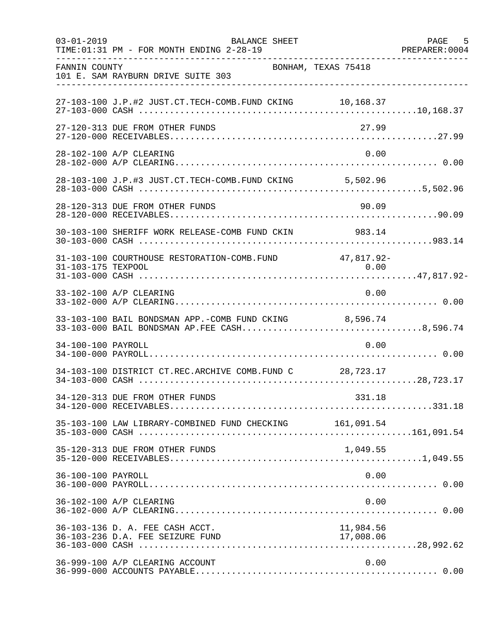| $03 - 01 - 2019$   | <b>BALANCE SHEET</b><br>TIME: 01:31 PM - FOR MONTH ENDING 2-28-19                                      |                    | PAGE<br>5<br>PREPARER: 0004 |
|--------------------|--------------------------------------------------------------------------------------------------------|--------------------|-----------------------------|
| FANNIN COUNTY      | BONHAM, TEXAS 75418<br>101 E. SAM RAYBURN DRIVE SUITE 303                                              |                    |                             |
|                    | 27-103-100 J.P.#2 JUST.CT.TECH-COMB.FUND CKING 10,168.37                                               |                    |                             |
|                    | 27-120-313 DUE FROM OTHER FUNDS                                                                        | 27.99              |                             |
|                    | 28-102-100 A/P CLEARING                                                                                | 0.00               |                             |
|                    | 28-103-100 J.P.#3 JUST.CT.TECH-COMB.FUND CKING 5,502.96                                                |                    |                             |
|                    | 28-120-313 DUE FROM OTHER FUNDS                                                                        | 90.09              |                             |
|                    | 30-103-100 SHERIFF WORK RELEASE-COMB FUND CKIN                                                         | 983.14             |                             |
| 31-103-175 TEXPOOL | 31-103-100 COURTHOUSE RESTORATION-COMB.FUND                                                            | 47,817.92-<br>0.00 |                             |
|                    | 33-102-100 A/P CLEARING                                                                                | 0.00               |                             |
|                    | 33-103-100 BAIL BONDSMAN APP.-COMB FUND CKING 8,596.74<br>33-103-000 BAIL BONDSMAN AP.FEE CASH8,596.74 |                    |                             |
| 34-100-100 PAYROLL |                                                                                                        | 0.00               |                             |
|                    | 34-103-100 DISTRICT CT.REC.ARCHIVE COMB.FUND C 28,723.17                                               |                    |                             |
|                    | 34-120-313 DUE FROM OTHER FUNDS                                                                        | 331.18             |                             |
|                    | 35-103-100 LAW LIBRARY-COMBINED FUND CHECKING 161,091.54                                               |                    |                             |
|                    | 35-120-313 DUE FROM OTHER FUNDS                                                                        | 1,049.55           |                             |
| 36-100-100 PAYROLL |                                                                                                        | 0.00               |                             |
|                    | 36-102-100 A/P CLEARING                                                                                | 0.00               |                             |
|                    | 36-103-136 D. A. FEE CASH ACCT.                                                                        | 11,984.56          |                             |
|                    | 36-999-100 A/P CLEARING ACCOUNT                                                                        | 0.00               |                             |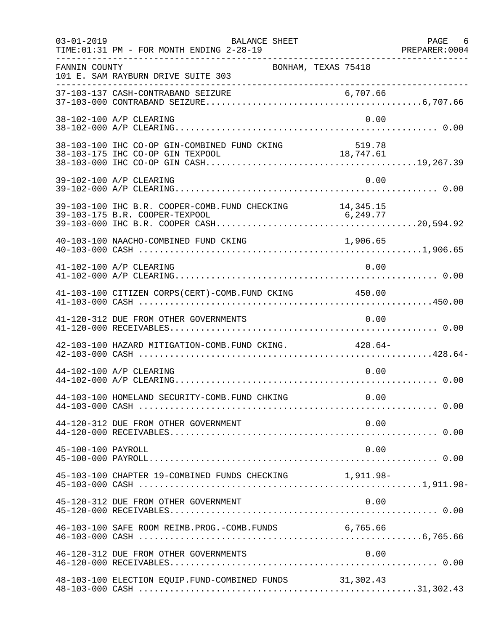| $03 - 01 - 2019$   | <b>BALANCE SHEET</b><br>TIME: 01:31 PM - FOR MONTH ENDING 2-28-19                          |           | PAGE 6 |
|--------------------|--------------------------------------------------------------------------------------------|-----------|--------|
| FANNIN COUNTY      | BONHAM, TEXAS 75418<br>101 E. SAM RAYBURN DRIVE SUITE 303                                  |           |        |
|                    |                                                                                            |           |        |
|                    | 38-102-100 A/P CLEARING                                                                    | 0.00      |        |
|                    |                                                                                            |           |        |
|                    | 39-102-100 A/P CLEARING                                                                    | 0.00      |        |
|                    | 39-103-100 IHC B.R. COOPER-COMB. FUND CHECKING 14,345.15<br>39-103-175 B.R. COOPER-TEXPOOL | 6, 249.77 |        |
|                    | 40-103-100 NAACHO-COMBINED FUND CKING                                                      | 1,906.65  |        |
|                    | 41-102-100 A/P CLEARING                                                                    | 0.00      |        |
|                    | 41-103-100 CITIZEN CORPS(CERT)-COMB. FUND CKING 450.00                                     |           |        |
|                    | 41-120-312 DUE FROM OTHER GOVERNMENTS                                                      | 0.00      |        |
|                    | 42-103-100 HAZARD MITIGATION-COMB. FUND CKING. 428.64-                                     |           |        |
|                    | 44-102-100 A/P CLEARING                                                                    | 0.00      |        |
|                    | 44-103-100 HOMELAND SECURITY-COMB. FUND CHKING                                             | 0.00      |        |
|                    | 44-120-312 DUE FROM OTHER GOVERNMENT                                                       | 0.00      |        |
| 45-100-100 PAYROLL |                                                                                            | 0.00      |        |
|                    | 45-103-100 CHAPTER 19-COMBINED FUNDS CHECKING 1,911.98-                                    |           |        |
|                    | 45-120-312 DUE FROM OTHER GOVERNMENT                                                       | 0.00      |        |
|                    | 46-103-100 SAFE ROOM REIMB. PROG. - COMB. FUNDS 6,765.66                                   |           |        |
|                    | 46-120-312 DUE FROM OTHER GOVERNMENTS                                                      | 0.00      |        |
|                    | 48-103-100 ELECTION EQUIP. FUND-COMBINED FUNDS 31,302.43                                   |           |        |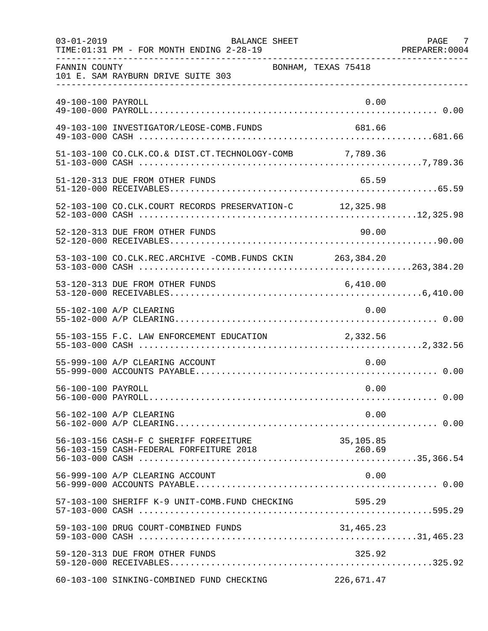| $03 - 01 - 2019$   | <b>BALANCE SHEET</b><br>TIME: 01:31 PM - FOR MONTH ENDING 2-28-19 |                     | PAGE 7 |
|--------------------|-------------------------------------------------------------------|---------------------|--------|
| FANNIN COUNTY      | 101 E. SAM RAYBURN DRIVE SUITE 303                                | BONHAM, TEXAS 75418 |        |
| 49-100-100 PAYROLL |                                                                   | 0.00                |        |
|                    | 49-103-100 INVESTIGATOR/LEOSE-COMB.FUNDS                          | 681.66              |        |
|                    | 51-103-100 CO.CLK.CO.& DIST.CT.TECHNOLOGY-COMB 7,789.36           |                     |        |
|                    | 51-120-313 DUE FROM OTHER FUNDS                                   | 65.59               |        |
|                    | 52-103-100 CO.CLK.COURT RECORDS PRESERVATION-C 12,325.98          |                     |        |
|                    | 52-120-313 DUE FROM OTHER FUNDS                                   | 90.00               |        |
|                    | 53-103-100 CO.CLK.REC.ARCHIVE -COMB.FUNDS CKIN 263,384.20         |                     |        |
|                    | 53-120-313 DUE FROM OTHER FUNDS                                   | 6,410.00            |        |
|                    | 55-102-100 A/P CLEARING                                           | 0.00                |        |
|                    | 55-103-155 F.C. LAW ENFORCEMENT EDUCATION 2,332.56                |                     |        |
|                    | 55-999-100 A/P CLEARING ACCOUNT                                   | 0.00                |        |
| 56-100-100 PAYROLL |                                                                   | 0.00                |        |
|                    | 56-102-100 A/P CLEARING                                           | 0.00                |        |
|                    | 56-103-156 CASH-F C SHERIFF FORFEITURE                            | 35,105.85           |        |
|                    | 56-999-100 A/P CLEARING ACCOUNT                                   | 0.00                |        |
|                    | 57-103-100 SHERIFF K-9 UNIT-COMB.FUND CHECKING                    | 595.29              |        |
|                    | 59-103-100 DRUG COURT-COMBINED FUNDS                              | 31,465.23           |        |
|                    | 59-120-313 DUE FROM OTHER FUNDS                                   | 325.92              |        |
|                    | 60-103-100 SINKING-COMBINED FUND CHECKING                         | 226,671.47          |        |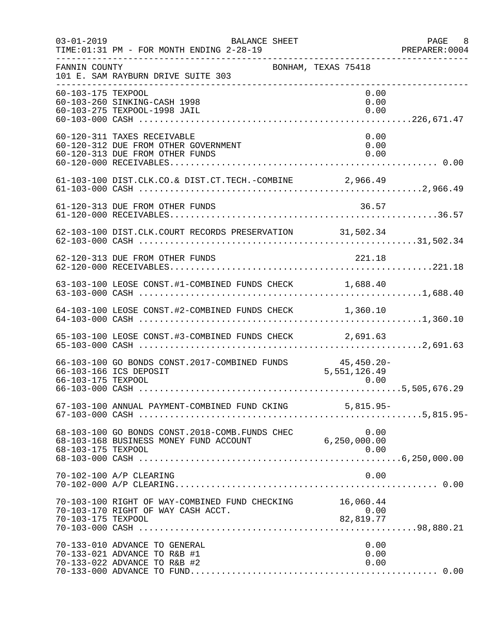| $03 - 01 - 2019$   | BALANCE SHEET<br>TIME: 01:31 PM - FOR MONTH ENDING 2-28-19<br>. _ _ _ _ _ _ _ _ _ _ _ _ _ _ _ _ _ _        |                      | PAGE 8 |
|--------------------|------------------------------------------------------------------------------------------------------------|----------------------|--------|
| FANNIN COUNTY      | BONHAM, TEXAS 75418<br>101 E. SAM RAYBURN DRIVE SUITE 303                                                  |                      |        |
| 60-103-175 TEXPOOL | 60-103-260 SINKING-CASH 1998<br>60-103-275 TEXPOOL-1998 JAIL                                               | 0.00<br>0.00<br>0.00 |        |
|                    | 60-120-311 TAXES RECEIVABLE<br>60-120-312 DUE FROM OTHER GOVERNMENT<br>60-120-313 DUE FROM OTHER FUNDS     | 0.00<br>0.00<br>0.00 |        |
|                    | 61-103-100 DIST.CLK.CO.& DIST.CT.TECH.-COMBINE 2,966.49                                                    |                      |        |
|                    | 61-120-313 DUE FROM OTHER FUNDS                                                                            | 36.57                |        |
|                    |                                                                                                            |                      |        |
|                    | 62-120-313 DUE FROM OTHER FUNDS                                                                            | 221.18               |        |
|                    | 63-103-100 LEOSE CONST.#1-COMBINED FUNDS CHECK 1,688.40                                                    |                      |        |
|                    | 64-103-100 LEOSE CONST.#2-COMBINED FUNDS CHECK 1,360.10                                                    |                      |        |
|                    | 65-103-100 LEOSE CONST.#3-COMBINED FUNDS CHECK 2,691.63                                                    |                      |        |
| 66-103-175 TEXPOOL | 66-103-100 GO BONDS CONST. 2017-COMBINED FUNDS 45,450.20-<br>66-103-166 ICS DEPOSIT                        | 5,551,126.49<br>0.00 |        |
|                    | 67-103-100 ANNUAL PAYMENT-COMBINED FUND CKING 5,815.95-                                                    |                      |        |
| 68-103-175 TEXPOOL | 68-103-100 GO BONDS CONST.2018-COMB.FUNDS CHEC 0.00<br>68-103-168 BUSINESS MONEY FUND ACCOUNT 6,250,000.00 | 0.00                 |        |
|                    | 70-102-100 A/P CLEARING                                                                                    | 0.00                 |        |
| 70-103-175 TEXPOOL | 70-103-100 RIGHT OF WAY-COMBINED FUND CHECKING 16,060.44<br>70-103-170 RIGHT OF WAY CASH ACCT.             | 0.00<br>82,819.77    |        |
|                    | 70-133-010 ADVANCE TO GENERAL<br>70-133-021 ADVANCE TO R&B #1<br>70-133-022 ADVANCE TO R&B #2              | 0.00<br>0.00<br>0.00 |        |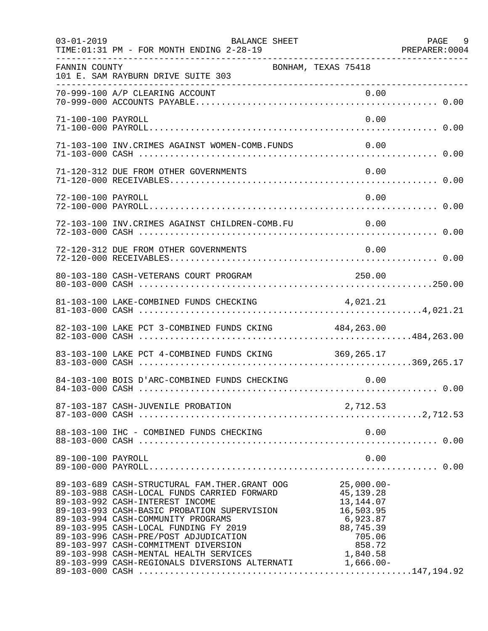| $03 - 01 - 2019$   | BALANCE SHEET<br>TIME: 01:31 PM - FOR MONTH ENDING 2-28-19                                                                                                                                                                                                                                                                                                                                                                                             |                                                                                                                 | PAGE 9 |
|--------------------|--------------------------------------------------------------------------------------------------------------------------------------------------------------------------------------------------------------------------------------------------------------------------------------------------------------------------------------------------------------------------------------------------------------------------------------------------------|-----------------------------------------------------------------------------------------------------------------|--------|
| FANNIN COUNTY      | BONHAM, TEXAS 75418<br>101 E. SAM RAYBURN DRIVE SUITE 303                                                                                                                                                                                                                                                                                                                                                                                              |                                                                                                                 |        |
|                    |                                                                                                                                                                                                                                                                                                                                                                                                                                                        |                                                                                                                 |        |
| 71-100-100 PAYROLL |                                                                                                                                                                                                                                                                                                                                                                                                                                                        | 0.00                                                                                                            |        |
|                    | 71-103-100 INV. CRIMES AGAINST WOMEN-COMB. FUNDS                                                                                                                                                                                                                                                                                                                                                                                                       | 0.00                                                                                                            |        |
|                    | 71-120-312 DUE FROM OTHER GOVERNMENTS                                                                                                                                                                                                                                                                                                                                                                                                                  | 0.00                                                                                                            |        |
| 72-100-100 PAYROLL |                                                                                                                                                                                                                                                                                                                                                                                                                                                        | 0.00                                                                                                            |        |
|                    | 72-103-100 INV.CRIMES AGAINST CHILDREN-COMB.FU 0.00                                                                                                                                                                                                                                                                                                                                                                                                    |                                                                                                                 |        |
|                    | 72-120-312 DUE FROM OTHER GOVERNMENTS                                                                                                                                                                                                                                                                                                                                                                                                                  | 0.00                                                                                                            |        |
|                    | 80-103-180 CASH-VETERANS COURT PROGRAM                                                                                                                                                                                                                                                                                                                                                                                                                 | 250.00                                                                                                          |        |
|                    | 81-103-100 LAKE-COMBINED FUNDS CHECKING                                                                                                                                                                                                                                                                                                                                                                                                                | 4,021.21                                                                                                        |        |
|                    | 82-103-100 LAKE PCT 3-COMBINED FUNDS CKING 484,263.00                                                                                                                                                                                                                                                                                                                                                                                                  |                                                                                                                 |        |
|                    | 83-103-100 LAKE PCT 4-COMBINED FUNDS CKING 369,265.17                                                                                                                                                                                                                                                                                                                                                                                                  |                                                                                                                 |        |
|                    | 84-103-100 BOIS D'ARC-COMBINED FUNDS CHECKING 0.00                                                                                                                                                                                                                                                                                                                                                                                                     |                                                                                                                 |        |
|                    |                                                                                                                                                                                                                                                                                                                                                                                                                                                        |                                                                                                                 |        |
|                    | 88-103-100 IHC - COMBINED FUNDS CHECKING                                                                                                                                                                                                                                                                                                                                                                                                               | 0.00                                                                                                            |        |
| 89-100-100 PAYROLL |                                                                                                                                                                                                                                                                                                                                                                                                                                                        | 0.00                                                                                                            |        |
|                    | 89-103-689 CASH-STRUCTURAL FAM. THER. GRANT OOG<br>89-103-988 CASH-LOCAL FUNDS CARRIED FORWARD<br>89-103-992 CASH-INTEREST INCOME<br>89-103-993 CASH-BASIC PROBATION SUPERVISION<br>89-103-994 CASH-COMMUNITY PROGRAMS<br>89-103-995 CASH-LOCAL FUNDING FY 2019<br>89-103-996 CASH-PRE/POST ADJUDICATION<br>89-103-997 CASH-COMMITMENT DIVERSION<br>89-103-998 CASH-MENTAL HEALTH SERVICES<br>89-103-999 CASH-REGIONALS DIVERSIONS ALTERNATI 1,666.00- | $25,000.00-$<br>45, 139. 28<br>13, 144.07<br>16,503.95<br>6,923.87<br>88,745.39<br>705.06<br>858.72<br>1,840.58 |        |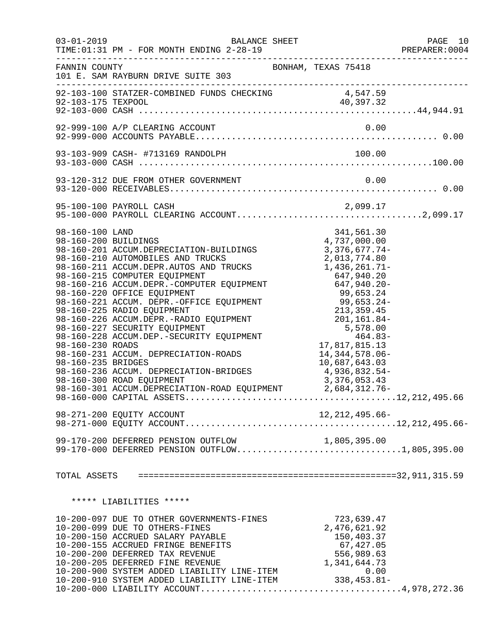|                                                               | $03 - 01 - 2019$<br><b>BALANCE SHEET</b>                                                                                                                                                                                                                                                                                                                                                                                                                                                                                                                                                                                                                                                                                                                                                                 |                                                                                                                                                                                                 | PAGE 10<br>PREPARER: 0004 |
|---------------------------------------------------------------|----------------------------------------------------------------------------------------------------------------------------------------------------------------------------------------------------------------------------------------------------------------------------------------------------------------------------------------------------------------------------------------------------------------------------------------------------------------------------------------------------------------------------------------------------------------------------------------------------------------------------------------------------------------------------------------------------------------------------------------------------------------------------------------------------------|-------------------------------------------------------------------------------------------------------------------------------------------------------------------------------------------------|---------------------------|
| FANNIN COUNTY                                                 | 101 E. SAM RAYBURN DRIVE SUITE 303                                                                                                                                                                                                                                                                                                                                                                                                                                                                                                                                                                                                                                                                                                                                                                       | BONHAM, TEXAS 75418                                                                                                                                                                             |                           |
|                                                               |                                                                                                                                                                                                                                                                                                                                                                                                                                                                                                                                                                                                                                                                                                                                                                                                          |                                                                                                                                                                                                 |                           |
|                                                               | 92-999-100 A/P CLEARING ACCOUNT                                                                                                                                                                                                                                                                                                                                                                                                                                                                                                                                                                                                                                                                                                                                                                          | 0.00                                                                                                                                                                                            |                           |
|                                                               |                                                                                                                                                                                                                                                                                                                                                                                                                                                                                                                                                                                                                                                                                                                                                                                                          |                                                                                                                                                                                                 |                           |
|                                                               |                                                                                                                                                                                                                                                                                                                                                                                                                                                                                                                                                                                                                                                                                                                                                                                                          |                                                                                                                                                                                                 |                           |
|                                                               |                                                                                                                                                                                                                                                                                                                                                                                                                                                                                                                                                                                                                                                                                                                                                                                                          |                                                                                                                                                                                                 |                           |
| 98-160-100 LAND<br>98-160-200 BUILDINGS<br>98-160-235 BRIDGES | 98-160-201 ACCUM.DEPRECIATION-BUILDINGS<br>98-160-210 AUTOMOBILES AND TRUCKS<br>98-160-211 ACCUM.DEPR.AUTOS AND TRUCKS<br>98-160-215 COMPUTER EQUIPMENT 647,940.20<br>98-160-216 ACCUM.DEPR.-COMPUTER EQUIPMENT 647,940.20<br>98-150-216 ACCUM.DEPR.-COMPUTER EQUIPMENT 647,940.20<br>98-160-216 ACCUM.DEPR.-COMPUTER EQUIPMENT<br>98-160-220 OFFICE EQUIPMENT<br>98-160-221 ACCUM.DEPR.-OFFICE EQUIPMENT<br>99,653.24-<br>98-160-225 RADIO EQUIPMENT<br>98-160-225 RADIO EQUIPMENT<br>98-160-226 ACCUM.DEPR.-RADIO EQUIPMENT<br>9<br>98-160-231 ACCUM. DEPRECIATION-ROADS<br>98-160-236 ACCUM. DEPRECIATION-BRIDGES<br>98-160-300 ROAD EQUIPMENT<br>98-160-301 ACCUM.DEPRECIATION-ROAD EQUIPMENT<br>99-170-200 DEFERRED PENSION OUTFLOW 1,805,395.00<br>99-170-000 DEFERRED PENSION OUTFLOW1,805,395.00 | 341,561.30<br>00.100,11<br>4,737,000.00<br>3.376.677<br>$3,376,677.74-$<br>2,013,774.80<br>1,436,261.71-<br>14, 344, 578.06-<br>10,687,643.03<br>4,936,832.54-<br>3,376,053.43<br>2,684,312.76- |                           |
|                                                               |                                                                                                                                                                                                                                                                                                                                                                                                                                                                                                                                                                                                                                                                                                                                                                                                          |                                                                                                                                                                                                 |                           |
|                                                               | ***** LIABILITIES *****                                                                                                                                                                                                                                                                                                                                                                                                                                                                                                                                                                                                                                                                                                                                                                                  |                                                                                                                                                                                                 |                           |
|                                                               |                                                                                                                                                                                                                                                                                                                                                                                                                                                                                                                                                                                                                                                                                                                                                                                                          |                                                                                                                                                                                                 |                           |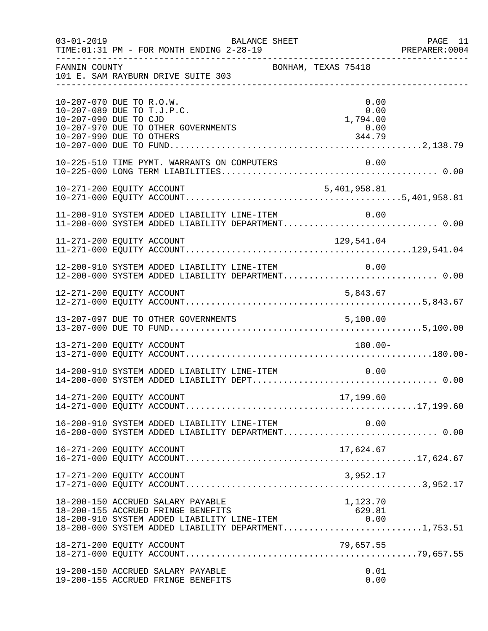| $03 - 01 - 2019$      | TIME: 01:31 PM - FOR MONTH ENDING 2-28-19                                                                                                                                                                                       | BALANCE SHEET       |                                  | PAGE 11<br>PREPARER: 0004 |
|-----------------------|---------------------------------------------------------------------------------------------------------------------------------------------------------------------------------------------------------------------------------|---------------------|----------------------------------|---------------------------|
| FANNIN COUNTY         | 101 E. SAM RAYBURN DRIVE SUITE 303                                                                                                                                                                                              | BONHAM, TEXAS 75418 |                                  |                           |
| 10-207-090 DUE TO CJD | 10-207-070 DUE TO R.O.W.<br>10-207-089 DUE TO T.J.P.C.<br>10-207-970 DUE TO OTHER GOVERNMENTS                                                                                                                                   |                     | 0.00<br>0.00<br>1,794.00<br>0.00 |                           |
|                       |                                                                                                                                                                                                                                 |                     |                                  |                           |
|                       |                                                                                                                                                                                                                                 |                     |                                  |                           |
|                       | 11-200-910 SYSTEM ADDED LIABILITY LINE-ITEM                                                                                                                                                                                     |                     | 0.00                             |                           |
|                       | 11-271-200 EQUITY ACCOUNT                                                                                                                                                                                                       |                     | 129,541.04                       |                           |
|                       | 12-200-910 SYSTEM ADDED LIABILITY LINE-ITEM $0.00$<br>12-200-000 SYSTEM ADDED LIABILITY DEPARTMENT0.00                                                                                                                          |                     |                                  |                           |
|                       |                                                                                                                                                                                                                                 |                     |                                  |                           |
|                       |                                                                                                                                                                                                                                 |                     |                                  |                           |
|                       | 13-271-200 EQUITY ACCOUNT                                                                                                                                                                                                       |                     | 180.00-                          |                           |
|                       | 14-200-910 SYSTEM ADDED LIABILITY LINE-ITEM                                                                                                                                                                                     |                     | 0.00                             |                           |
|                       |                                                                                                                                                                                                                                 |                     |                                  |                           |
|                       | 16-200-910 SYSTEM ADDED LIABILITY LINE-ITEM 0.00<br>16-200-000 SYSTEM ADDED LIABILITY DEPARTMENT0.00                                                                                                                            |                     |                                  |                           |
|                       | 16-271-200 EQUITY ACCOUNT                                                                                                                                                                                                       |                     |                                  |                           |
|                       | 17-271-200 EQUITY ACCOUNT                                                                                                                                                                                                       |                     | 3,952.17                         |                           |
|                       | 18-200-150 ACCRUED SALARY PAYABLE<br>18-200-155 ACCRUED SABARI FATABLE<br>18-200-155 ACCRUED FRINGE BENEFITS 629.81<br>18-200-910 SYSTEM ADDED LIABILITY LINE-ITEM 0.00<br>18-200-000 SYSTEM ADDED LIABILITY DEPARTMENT1,753.51 |                     | 1,123.70                         |                           |
|                       | 18-271-200 EQUITY ACCOUNT                                                                                                                                                                                                       |                     |                                  |                           |
|                       | 19-200-150 ACCRUED SALARY PAYABLE<br>19-200-155 ACCRUED FRINGE BENEFITS                                                                                                                                                         |                     | 0.01<br>0.00                     |                           |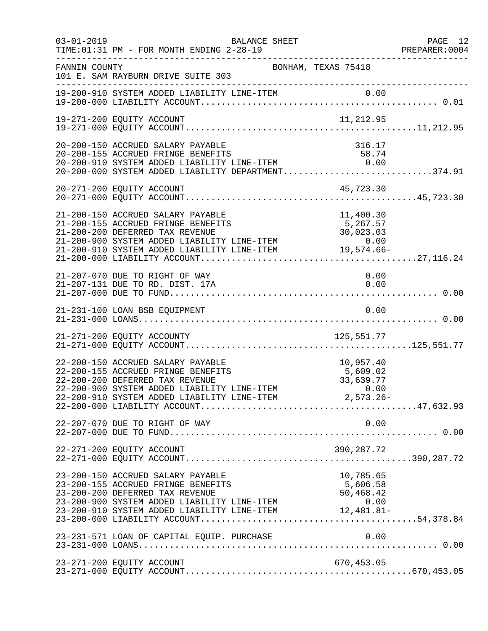| $03 - 01 - 2019$ | BALANCE SHEET<br>TIME: 01:31 PM - FOR MONTH ENDING 2-28-19                                                                                                                                                                                                                                                                       |                                    | PAGE 12<br>PREPARER: 0004 |
|------------------|----------------------------------------------------------------------------------------------------------------------------------------------------------------------------------------------------------------------------------------------------------------------------------------------------------------------------------|------------------------------------|---------------------------|
| FANNIN COUNTY    | 101 E. SAM RAYBURN DRIVE SUITE 303                                                                                                                                                                                                                                                                                               | BONHAM, TEXAS 75418                |                           |
|                  |                                                                                                                                                                                                                                                                                                                                  |                                    |                           |
|                  | 19-271-200 EQUITY ACCOUNT                                                                                                                                                                                                                                                                                                        |                                    |                           |
|                  | 20-200-150 ACCRUED SALARY PAYABLE<br>20-200-155 ACCRUED FRINGE BENEFITS<br>20-200-910 SYSTEM ADDED LIABILITY LINE-ITEM 0.00<br>20-200-000 SYSTEM ADDED LIABILITY DEPARTMENT374.91                                                                                                                                                | 316.17                             |                           |
|                  | 20-271-200 EQUITY ACCOUNT                                                                                                                                                                                                                                                                                                        | 45,723.30                          |                           |
|                  | 21-200-150 ACCRUED SALARY PAYABLE<br>21-200-155 ACCRUED FRINGE BENEFITS<br>21-200-200 DEFERRED TAX REVENUE                                                                                                                                                                                                                       | 11,400.30<br>5,267.57<br>30,023.03 |                           |
|                  | 21-207-070 DUE TO RIGHT OF WAY<br>21-207-131 DUE TO RD. DIST. 17A                                                                                                                                                                                                                                                                | 0.00<br>0.00                       |                           |
|                  | 21-231-100 LOAN BSB EQUIPMENT                                                                                                                                                                                                                                                                                                    | 0.00                               |                           |
|                  | 21-271-200 EQUITY ACCOUNTY                                                                                                                                                                                                                                                                                                       | 125, 551. 77                       |                           |
|                  | 22-200-150 ACCRUED SALARY PAYABLE<br>22-200-155 ACCRUED FRINGE BENEFITS<br>22-200-155 ACCRUED FRINGE BENEFITS 5,609.02<br>22-200-200 DEFERRED TAX REVENUE 33,639.77<br>22-200-900 SYSTEM ADDED LIABILITY LINE-ITEM 0.00<br>22-200-910 SYSTEM ADDED LIABILITY LINE-ITEM 2,573.26-<br>22-200-000 LIABILITY ACCOUNT.                | 10,957.40<br>5,609.02              |                           |
|                  | 22-207-070 DUE TO RIGHT OF WAY                                                                                                                                                                                                                                                                                                   | 0.00                               |                           |
|                  | 22-271-200 EQUITY ACCOUNT                                                                                                                                                                                                                                                                                                        |                                    |                           |
|                  | 23-200-150 ACCRUED SALARY PAYABLE<br>23-200-155 ACCRUED FRINGE BENEFITS<br>23-200-200 DEFERRED TAX REVENUE<br>$23-200-200$ DEFERRED TAX REVENUE $23-200-900$ SYSTEM ADDED LIABILITY LINE-ITEM $0.00$<br>$23-200-910$ SYSTEM ADDED LIABILITY LINE-ITEM $12,481.81-$<br>$23-200-000$ SYSTEM ADDED LIABILITY LINE-ITEM $12,481.81-$ | 10,785.65<br>5,606.58<br>50,468.42 |                           |
|                  | 23-231-571 LOAN OF CAPITAL EQUIP. PURCHASE                                                                                                                                                                                                                                                                                       | 0.00                               |                           |
|                  | 23-271-200 EQUITY ACCOUNT                                                                                                                                                                                                                                                                                                        | 670,453.05                         |                           |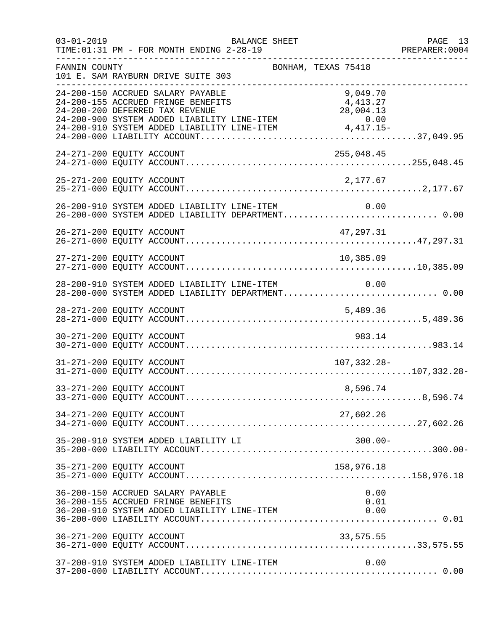| $03 - 01 - 2019$ | BALANCE SHEET<br>TIME: 01:31 PM - FOR MONTH ENDING 2-28-19                                                                                                                                                              |                                   | PAGE 13<br>PREPARER: 0004 |
|------------------|-------------------------------------------------------------------------------------------------------------------------------------------------------------------------------------------------------------------------|-----------------------------------|---------------------------|
| FANNIN COUNTY    | 101 E. SAM RAYBURN DRIVE SUITE 303                                                                                                                                                                                      | BONHAM, TEXAS 75418               |                           |
|                  | 24-200-150 ACCRUED SALARY PAYABLE<br>24-200-155 ACCRUED FRINGE BENEFITS<br>24-200-200 DEFERRED TAX REVENUE<br>24-200-900 SYSTEM ADDED LIABILITY LINE-ITEM 0.00<br>24-200-910 SYSTEM ADDED LIABILITY LINE-ITEM 4,417.15- | 9,049.70<br>4,413.27<br>28,004.13 |                           |
|                  | 24-271-200 EQUITY ACCOUNT                                                                                                                                                                                               | 255,048.45                        |                           |
|                  | 25-271-200 EQUITY ACCOUNT                                                                                                                                                                                               | 2,177.67                          |                           |
|                  | 26-200-910 SYSTEM ADDED LIABILITY LINE-ITEM 0.00<br>26-200-000 SYSTEM ADDED LIABILITY DEPARTMENT 0.00                                                                                                                   |                                   |                           |
|                  |                                                                                                                                                                                                                         |                                   |                           |
|                  | 27-271-200 EQUITY ACCOUNT                                                                                                                                                                                               | 10,385.09                         |                           |
|                  | 28-200-910 SYSTEM ADDED LIABILITY LINE-ITEM 0.00<br>28-200-000 SYSTEM ADDED LIABILITY DEPARTMENT 0.00                                                                                                                   |                                   |                           |
|                  |                                                                                                                                                                                                                         |                                   |                           |
|                  | 30-271-200 EQUITY ACCOUNT                                                                                                                                                                                               | 983.14                            |                           |
|                  | 31-271-200 EQUITY ACCOUNT                                                                                                                                                                                               | 107,332.28-                       |                           |
|                  | 33-271-200 EQUITY ACCOUNT                                                                                                                                                                                               | 8,596.74                          |                           |
|                  | 34-271-200 EQUITY ACCOUNT                                                                                                                                                                                               | 27,602.26                         |                           |
|                  | 35-200-910 SYSTEM ADDED LIABILITY LI                                                                                                                                                                                    | $300.00 -$                        |                           |
|                  | 35-271-200 EQUITY ACCOUNT                                                                                                                                                                                               | 158,976.18                        |                           |
|                  | 36-200-150 ACCRUED SALARY PAYABLE<br>36-200-155 ACCRUED FRINGE BENEFITS<br>36-200-910 SYSTEM ADDED LIABILITY LINE-ITEM                                                                                                  | 0.00<br>0.01<br>0.00              |                           |
|                  | 36-271-200 EQUITY ACCOUNT                                                                                                                                                                                               | 33,575.55                         |                           |
|                  | 37-200-910 SYSTEM ADDED LIABILITY LINE-ITEM                                                                                                                                                                             | 0.00                              |                           |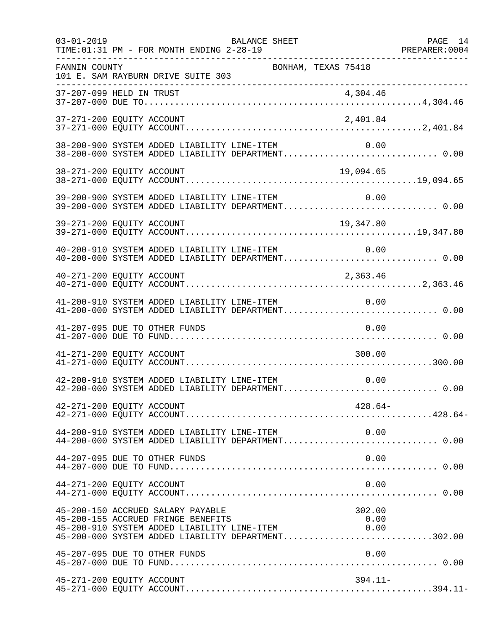| $03 - 01 - 2019$ | BALANCE SHEET<br>TIME: 01:31 PM - FOR MONTH ENDING 2-28-19                                                                                                                                                                                              | PAGE 14 |
|------------------|---------------------------------------------------------------------------------------------------------------------------------------------------------------------------------------------------------------------------------------------------------|---------|
| FANNIN COUNTY    | BONHAM, TEXAS 75418<br>101 E. SAM RAYBURN DRIVE SUITE 303                                                                                                                                                                                               |         |
|                  |                                                                                                                                                                                                                                                         |         |
|                  |                                                                                                                                                                                                                                                         |         |
|                  | 38-200-900 SYSTEM ADDED LIABILITY LINE-ITEM<br>0.00<br>38-200-000 SYSTEM ADDED LIABILITY DEPARTMENT 0.00                                                                                                                                                |         |
|                  | 38-271-200 EQUITY ACCOUNT<br>19,094.65                                                                                                                                                                                                                  |         |
|                  | 0.00 SYSTEM ADDED LIABILITY LINE-ITEM 0.00<br>39-200-000 SYSTEM ADDED LIABILITY DEPARTMENT0.00                                                                                                                                                          |         |
|                  |                                                                                                                                                                                                                                                         |         |
|                  | 40-200-910 SYSTEM ADDED LIABILITY LINE-ITEM<br>0.00<br>40-200-000 SYSTEM ADDED LIABILITY DEPARTMENT 0.00                                                                                                                                                |         |
|                  | 40-271-200 EQUITY ACCOUNT<br>2,363.46                                                                                                                                                                                                                   |         |
|                  | 41-200-910 SYSTEM ADDED LIABILITY LINE-ITEM<br>0.00<br>41-200-000 SYSTEM ADDED LIABILITY DEPARTMENT 0.00                                                                                                                                                |         |
|                  | 41-207-095 DUE TO OTHER FUNDS<br>0.00                                                                                                                                                                                                                   |         |
|                  | 41-271-200 EQUITY ACCOUNT<br>300.00                                                                                                                                                                                                                     |         |
|                  | 42-200-910 SYSTEM ADDED LIABILITY LINE-ITEM<br>0.00<br>42-200-000 SYSTEM ADDED LIABILITY DEPARTMENT 0.00                                                                                                                                                |         |
|                  | 42-271-200 EQUITY ACCOUNT<br>$428.64-$                                                                                                                                                                                                                  |         |
|                  |                                                                                                                                                                                                                                                         |         |
|                  | 44-207-095 DUE TO OTHER FUNDS<br>0.00                                                                                                                                                                                                                   |         |
|                  | 44-271-200 EQUITY ACCOUNT<br>0.00                                                                                                                                                                                                                       |         |
|                  | 45-200-150 ACCRUED SALARY PAYABLE<br>302.00<br>45-200-155 ACCRUED FRINGE BENEFITS<br>0.00<br>45-200-910 SYSTEM ADDED LIABILITY LINE-ITEM 0.00<br>45-200-000 SYSTEM ADDED LIABILITY LINE-ITEM 0.00<br>45-200-000 SYSTEM ADDED LIABILITY DEPARTMENT302.00 |         |
|                  | 45-207-095 DUE TO OTHER FUNDS<br>0.00                                                                                                                                                                                                                   |         |
|                  | 45-271-200 EQUITY ACCOUNT<br>$394.11-$                                                                                                                                                                                                                  |         |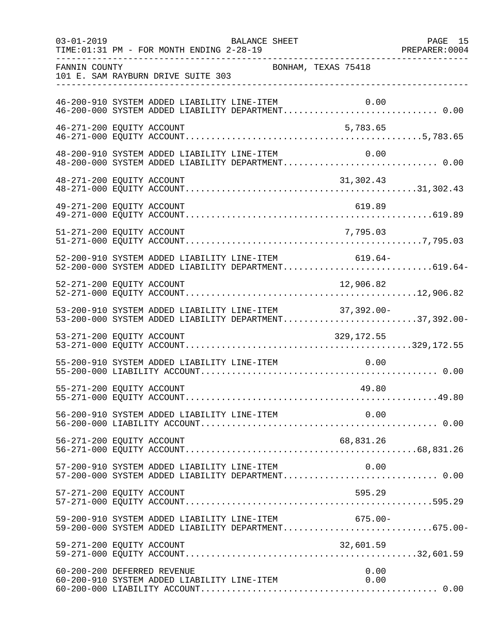| $03 - 01 - 2019$ | BALANCE SHEET<br>TIME: 01:31 PM - FOR MONTH ENDING 2-28-19                                                                                                           | PAGE 15 |
|------------------|----------------------------------------------------------------------------------------------------------------------------------------------------------------------|---------|
| FANNIN COUNTY    | BONHAM, TEXAS 75418<br>101 E. SAM RAYBURN DRIVE SUITE 303                                                                                                            |         |
|                  | 46-200-910 SYSTEM ADDED LIABILITY LINE-ITEM<br>0.00<br>46-200-910 SYSTEM ADDED LIABILITY LINE-ITEM         0.00<br>46-200-000 SYSTEM ADDED LIABILITY DEPARTMENT 0.00 |         |
|                  | 46-271-200 EQUITY ACCOUNT<br>5,783.65                                                                                                                                |         |
|                  | 48-200-910 SYSTEM ADDED LIABILITY LINE-ITEM<br>0.00<br>48-200-000 SYSTEM ADDED LIABILITY DEPARTMENT 0.00                                                             |         |
|                  | 48-271-200 EQUITY ACCOUNT<br>31,302.43                                                                                                                               |         |
|                  | 49-271-200 EQUITY ACCOUNT<br>619.89                                                                                                                                  |         |
|                  | 51-271-200 EQUITY ACCOUNT<br>7,795.03                                                                                                                                |         |
|                  | 52-200-910 SYSTEM ADDED LIABILITY LINE-ITEM 619.64-<br>52-200-000 SYSTEM ADDED LIABILITY DEPARTMENT619.64-                                                           |         |
|                  | 52-271-200 EQUITY ACCOUNT<br>12,906.82                                                                                                                               |         |
|                  | 53-200-910 SYSTEM ADDED LIABILITY LINE-ITEM 37,392.00-<br>53-200-000 SYSTEM ADDED LIABILITY DEPARTMENT37,392.00-                                                     |         |
|                  | 53-271-200 EQUITY ACCOUNT<br>329,172.55                                                                                                                              |         |
|                  | 55-200-910 SYSTEM ADDED LIABILITY LINE-ITEM<br>0.00                                                                                                                  |         |
|                  | 55-271-200 EQUITY ACCOUNT<br>49.80                                                                                                                                   |         |
|                  |                                                                                                                                                                      |         |
|                  | 56-271-200 EQUITY ACCOUNT<br>68,831.26                                                                                                                               |         |
|                  | 57-200-910 SYSTEM ADDED LIABILITY LINE-ITEM<br>0.00<br>57-200-000 SYSTEM ADDED LIABILITY DEPARTMENT 0.00                                                             |         |
|                  | 595.29<br>57-271-200 EQUITY ACCOUNT                                                                                                                                  |         |
|                  | 59-200-910 SYSTEM ADDED LIABILITY LINE-ITEM 675.00-<br>59-200-000 SYSTEM ADDED LIABILITY DEPARTMENT675.00-                                                           |         |
|                  | 59-271-200 EQUITY ACCOUNT<br>32,601.59                                                                                                                               |         |
|                  | 60-200-200 DEFERRED REVENUE<br>0.00<br>60-200-910 SYSTEM ADDED LIABILITY LINE-ITEM<br>0.00                                                                           |         |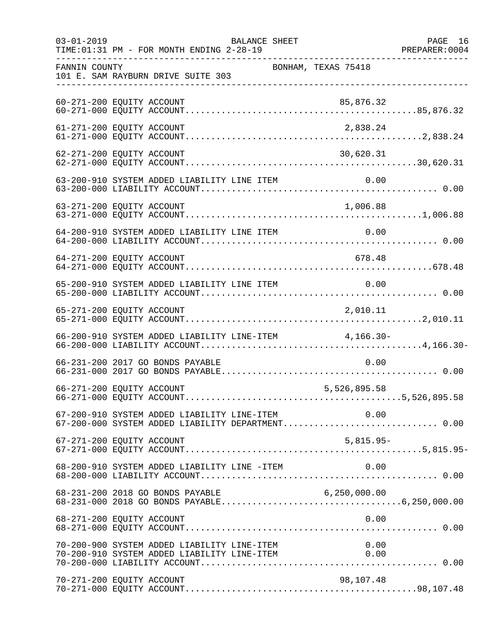| $03 - 01 - 2019$<br>BALANCE SHEET<br>TIME: 01:31 PM - FOR MONTH ENDING 2-28-19 |                                                                                                       |                                           | PAGE 16 |
|--------------------------------------------------------------------------------|-------------------------------------------------------------------------------------------------------|-------------------------------------------|---------|
| FANNIN COUNTY                                                                  | 101 E. SAM RAYBURN DRIVE SUITE 303                                                                    | BONHAM, TEXAS 75418                       |         |
|                                                                                | 60-271-200 EQUITY ACCOUNT                                                                             | 85,876.32                                 |         |
|                                                                                | 61-271-200 EQUITY ACCOUNT                                                                             | 2,838.24                                  |         |
|                                                                                | 62-271-200 EQUITY ACCOUNT                                                                             | 30,620.31                                 |         |
|                                                                                |                                                                                                       |                                           |         |
|                                                                                |                                                                                                       |                                           |         |
|                                                                                | 64-200-910 SYSTEM ADDED LIABILITY LINE ITEM                                                           | 0.00                                      |         |
|                                                                                | 64-271-200 EQUITY ACCOUNT                                                                             | 678.48                                    |         |
|                                                                                | 65-200-910 SYSTEM ADDED LIABILITY LINE ITEM                                                           | $\begin{array}{ccc} & & 0.00 \end{array}$ |         |
|                                                                                | 65-271-200 EQUITY ACCOUNT                                                                             | 2,010.11                                  |         |
|                                                                                | 66-200-910 SYSTEM ADDED LIABILITY LINE-ITEM 4,166.30-                                                 |                                           |         |
|                                                                                | 66-231-200 2017 GO BONDS PAYABLE                                                                      | 0.00                                      |         |
|                                                                                | 66-271-200 EQUITY ACCOUNT                                                                             | 5,526,895.58                              |         |
|                                                                                | 67-200-910 SYSTEM ADDED LIABILITY LINE-ITEM 0.00<br>67-200-000 SYSTEM ADDED LIABILITY DEPARTMENT 0.00 |                                           |         |
|                                                                                | 67-271-200 EQUITY ACCOUNT                                                                             | $5,815.95-$                               |         |
|                                                                                | 68-200-910 SYSTEM ADDED LIABILITY LINE -ITEM                                                          | 0.00                                      |         |
|                                                                                | 68-231-200 2018 GO BONDS PAYABLE                                                                      | 6, 250, 000.00                            |         |
|                                                                                | 68-271-200 EQUITY ACCOUNT                                                                             | 0.00                                      |         |
|                                                                                | 70-200-900 SYSTEM ADDED LIABILITY LINE-ITEM<br>70-200-910 SYSTEM ADDED LIABILITY LINE-ITEM            | 0.00<br>0.00                              |         |
|                                                                                | 70-271-200 EQUITY ACCOUNT                                                                             | 98,107.48                                 |         |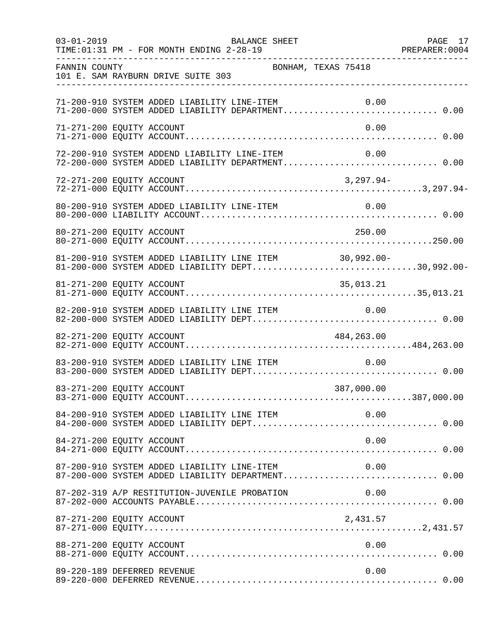| $03 - 01 - 2019$ | BALANCE SHEET<br>TIME: 01:31 PM - FOR MONTH ENDING 2-28-19                                                 | PAGE 17 |
|------------------|------------------------------------------------------------------------------------------------------------|---------|
| FANNIN COUNTY    | BONHAM, TEXAS 75418<br>101 E. SAM RAYBURN DRIVE SUITE 303                                                  |         |
|                  | 71-200-910 SYSTEM ADDED LIABILITY LINE-ITEM<br>0.00                                                        |         |
|                  | 71-271-200 EQUITY ACCOUNT<br>0.00                                                                          |         |
|                  | 72-200-910 SYSTEM ADDEND LIABILITY LINE-ITEM<br>0.00<br>72-200-000 SYSTEM ADDED LIABILITY DEPARTMENT 0.00  |         |
|                  | $3,297.94-$<br>72-271-200 EQUITY ACCOUNT                                                                   |         |
|                  |                                                                                                            |         |
|                  | 80-271-200 EQUITY ACCOUNT<br>250.00                                                                        |         |
|                  | 81-200-910 SYSTEM ADDED LIABILITY LINE ITEM 30,992.00-<br>81-200-000 SYSTEM ADDED LIABILITY DEPT30,992.00- |         |
|                  | 81-271-200 EQUITY ACCOUNT<br>35,013.21                                                                     |         |
|                  | 82-200-910 SYSTEM ADDED LIABILITY LINE ITEM<br>0.00                                                        |         |
|                  | 82-271-200 EQUITY ACCOUNT<br>484,263.00                                                                    |         |
|                  | 83-200-910 SYSTEM ADDED LIABILITY LINE ITEM<br>0.00                                                        |         |
|                  | 83-271-200 EQUITY ACCOUNT<br>387,000.00                                                                    |         |
|                  | 84-200-910 SYSTEM ADDED LIABILITY LINE ITEM<br>0.00                                                        |         |
|                  | 84-271-200 EQUITY ACCOUNT<br>0.00                                                                          |         |
|                  | 87-200-910 SYSTEM ADDED LIABILITY LINE-ITEM<br>0.00<br>87-200-000 SYSTEM ADDED LIABILITY DEPARTMENT 0.00   |         |
|                  | 87-202-319 A/P RESTITUTION-JUVENILE PROBATION<br>0.00                                                      |         |
|                  | 2,431.57<br>87-271-200 EQUITY ACCOUNT                                                                      |         |
|                  | 88-271-200 EQUITY ACCOUNT<br>0.00                                                                          |         |
|                  | 89-220-189 DEFERRED REVENUE<br>0.00                                                                        |         |